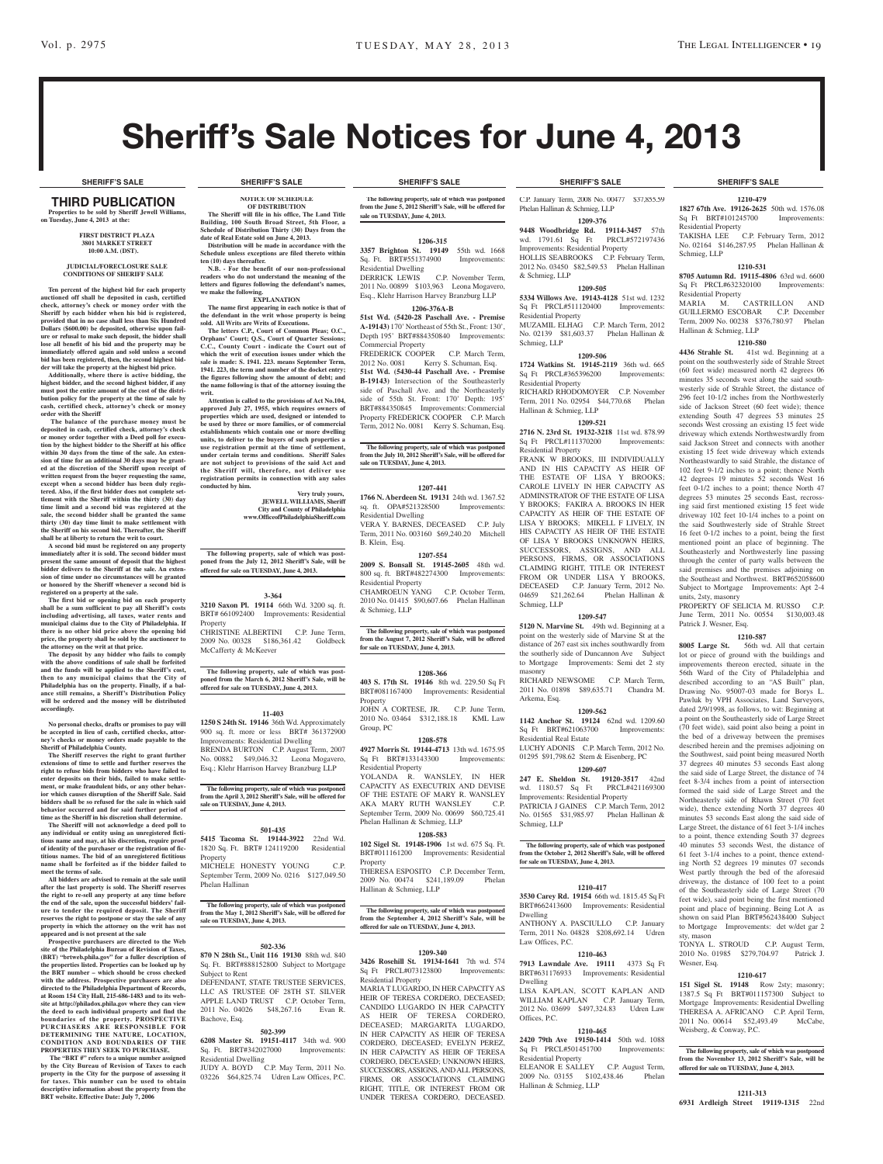# Sheriff's Sale Notices for June 4, 2013

#### **SHERIFF'S SALE SHERIFF'S SALE SHERIFF'S SALE SHERIFF'S SALE SHERIFF'S SALE**

#### THIRD PUBLICATION **Properties to be sold by Sheriff Jewell Williams, on Tuesday, June 4, 2013 at the:**

#### **First District Plaza 3801 Market Street 10:00 A.M. (DST).**

#### **JUDICIAL/FORECLOSURE SALE CONDITIONS OF SHERIFF SALE**

**Ten percent of the highest bid for each property auctioned off shall be deposited in cash, certified check, attorney's check or money order with the Sheriff by each bidder when his bid is registered, provided that in no case shall less than Six Hundred Dollars (\$600.00) be deposited, otherwise upon fail-ure or refusal to make such deposit, the bidder shall lose all benefit of his bid and the property may be immediately offered again and sold unless a second bid has been registered, then, the second highest bid-**

**der will take the property at the highest bid price. Additionally, where there is active bidding, the highest bidder, and the second highest bidder, if any must post the entire amount of the cost of the distri-bution policy for the property at the time of sale by cash, certified check, attorney's check or money order with the Sheriff**

 **The balance of the purchase money must be deposited in cash, certified check, attorney's check or money order together with a Deed poll for execution by the highest bidder to the Sheriff at his office within 30 days from the time of the sale. An extension of time for an additional 30 days may be granted at the discretion of the Sheriff upon receipt of written request from the buyer requesting the same,**  excent when a second bidder has been duly regis**tered. Also, if the first bidder does not complete settlement with the Sheriff within the thirty (30) day time limit and a second bid was registered at the sale, the second bidder shall be granted the same thirty (30) day time limit to make settlement with the Sheriff on his second bid. Thereafter, the Sheriff shall be at liberty to return the writ to court.**

**A second bid must be registered on any property immediately after it is sold. The second bidder must present the same amount of deposit that the highest**  delivers to the Sheriff at the sale. An exten**sion of time under no circumstances will be granted or honored by the Sheriff whenever a second bid is registered on a property at the sale.** 

**The first bid or opening bid on each property shall be a sum sufficient to pay all Sheriff's costs including advertising, all taxes, water rents and municipal claims due to the City of Philadelphia. If there is no other bid price above the opening bid price, the property shall be sold by the auctioneer to** 

**the attorney on the writ at that price. The deposit by any bidder who fails to comply with the above conditions of sale shall be forfeited and the funds will be applied to the Sheriff's cost, then to any municipal claims that the City of Philadelphia has on the property. Finally, if a bal-ance still remains, a Sheriff's Distribution Policy will be ordered and the money will be distributed accordingly.**

**No personal checks, drafts or promises to pay will be accepted in lieu of cash, certified checks, attorney's checks or money orders made payable to the Sheriff of Philadelphia County.**

**The Sheriff reserves the right to grant further extensions of time to settle and further reserves the right to refuse bids from bidders who have failed to enter deposits on their bids, failed to make settle-ment, or make fraudulent bids, or any other behavior which causes disruption of the Sheriff Sale. Said bidders shall be so refused for the sale in which said behavior occurred and for said further period of time as the Sheriff in his discretion shall determine. The Sheriff will not acknowledge a deed poll to** 

**any individual or entity using an unregistered fictithe matrice of the control of the control of the control of the control of**  $\theta$ **of identity of the purchaser or the registration of fictitious names. The bid of an unregistered fictitious name shall be forfeited as if the bidder failed to meet the terms of sale.**

**All bidders are advised to remain at the sale until after the last property is sold. The Sheriff reserves the right to re-sell any property at any time before the end of the sale, upon the successful bidders' failure to tender the required deposit. The Sheriff reserves the right to postpone or stay the sale of any property in which the attorney on the writ has not** 

**appeared and is not present at the sale Prospective purchasers are directed to the Web site of the Philadelphia Bureau of Revision of Taxes, (BRT) "brtweb.phila.gov" for a fuller description of the properties listed. Properties can be looked up by the BRT number – which should be cross checked with the address. Prospective purchasers are also directed to the Philadelphia Department of Records, at Room 154 City Hall, 215-686-1483 and to its website at http://philadox.phila.gov where they can view the deed to each individual property and find the boundaries of the property. PROSPECTIVE PURCHASERS ARE RESPONSIBLE FOR DETERMINING THE NATURE, LOCATION, CONDITION AND BOUNDARIES OF THE PROPERTIES THEY SEEK TO PURCHASE.**

**The "BRT #" refers to a unique number assigned by the City Bureau of Revision of Taxes to each property in the City for the purpose of assessing it for taxes. This number can be used to obtain descriptive information about the property from the BRT website. Effective Date: July 7, 2006**

**NOTICE OF SCHEDULE OF DISTRIBUTION**

**Distribution will be made in accordance with the Schedule unless exceptions are filed thereto within ten (10) days thereafter. N.B. - For the benefit of our non-professional readers who do not understand the meaning of the letters and figures following the defendant's names,** 

**EXPLANATION The name first appearing in each notice is that of the defendant in the writ whose property is being sold. All Writs are Writs of Executions. The letters C.P., Court of Common Pleas; O.C.,**  Orphans' Court; Q.S., Court of Quarter Session **C.C., County Court - indicate the Court out of which the writ of execution issues under which the**  sale is made: S. 1941. 223. means September Term, **1941. 223, the term and number of the docket entry; the figures following show the amount of debt; and the name following is that of the attorney issuing the** 

**Attention is called to the provisions of Act No.104, approved July 27, 1955, which requires owners of properties which are used, designed or intended to be used by three or more families, or of commercial establishments which contain one or more dwelling units, to deliver to the buyers of such properties a use registration permit at the time of settlement, under certain terms and conditions. Sheriff Sales are not subject to provisions of the said Act and the Sheriff will, therefore, not deliver use registration permits in connection with any sales** 

**The following property, sale of which was post-poned from the July 12, 2012 Sheriff's Sale, will be offered for sale on TUESDAY, June 4, 2013.**

**3-364 3210 Saxon Pl. 19114** 66th Wd. 3200 sq. ft. BRT# 661092400 Improvements: Residential

CHRISTINE ALBERTINI C.P. June Term, 2009 No. 00328 \$186,361.42 Goldbeck

**The following property, sale of which was post-poned from the March 6, 2012 Sheriff's Sale, will be offered for sale on TUESDAY, June 4, 2013.**

**11-403 1250 S 24th St. 19146** 36th Wd. Approximately 900 sq. ft. more or less BRT# 361372900 Improvements: Residential Dwelling BRENDA BURTON C.P. August Term, 2007 No. 00882 \$49,046.32 Leona Mogavero, Esq.; Klehr Harrison Harvey Branzburg LLP The following property, sale of which was postponed **from the April 3, 2012 Sheriff's Sale, will be offered for** 

**501-435 5415 Tacoma St. 19144-3922** 22nd Wd. 1820 Sq. Ft. BRT# 124119200 Residential

MICHELE HONESTY YOUNG C.P. September Term, 2009 No. 0216 \$127,049.50

The following property, sale of which was postponed *The following property, sale of which was postpo* **from the May 1, 2012 Sheriff's Sale, will be offered for** 

**502-336 870 N 28th St., Unit 116 19130** 88th wd. 840 Sq. Ft. BRT#888152800 Subject to Mortgage

DEFENDANT, STATE TRUSTEE SERVICES, LLC AS TRUSTEE OF 28TH ST. SILVER APPLE LAND TRUST C.P. October Term, 2011 No. 04026 \$48,267.16 Evan R.

**502-399 6208 Master St. 19151-4117** 34th wd. 900 Sq. Ft. BRT#342027000 Improvements:

JUDY A. BOYD C.P. May Term, 2011 No. 03226 \$64,825.74 Udren Law Offices, P.C.

**Very truly yours, JEWELL WILLIAMS, Sheriff City and County of Philadelphia www.OfficeofPhiladelphiaSheriff.com**

**we make the following.**

**writ.**

**conducted by him.**

Property

McCafferty & McKeever

**sale on TUESDAY, June 4, 2013.**

**sale on TUESDAY, June 4, 2013.**

Property

Phelan Hallinan

Subject to Rent

Bachove, Esq.

Residential Dwelling

**The Sheriff will file in his office, The Land Title Building, 100 South Broad Street, 5th Floor, a Schedule of Distribution Thirty (30) Days from the date of Real Estate sold on June 4, 2013. The following property, sale of which was postponed from the June 5, 2012 Sheriff's Sale, will be offered for sale on TUESDAY, June 4, 2013.**

## **1206-315**

**3357 Brighton St. 19149 55th wd. 1668**<br>Sq. Ft. BRT#551374900 **Improvements:** Sq. Ft. BRT#551374900 Residential Dwelling<br>DERRICK LEWIS C.P. November Term, 2011 No. 00899 \$103,963 Leona Mogavero, Esq., Klehr Harrison Harvey Branzburg LLP

**1206-376A-B**

**51st Wd. (5420-28 Paschall Ave. - Premise A-19143)** 170' Northeast of 55th St., Front: 130', Depth 195' BRT#884350840 Improvements: Commercial Property

FREDERICK COOPER C.P. March Term,<br>
2012 No. 0081 Kerry S. Schuman, Esq. Kerry S. Schuman, Esq. **51st Wd. (5430-44 Paschall Ave. - Premise B-19143)** Intersection of the Southeasterly side of Paschall Ave. and the Northeasterly side of 55th St. Front: 170' Depth: 195' BRT#884350845 Improvements: Commercial Property FREDERICK COOPER C.P. March Term, 2012 No. 0081 Kerry S. Schuman, Esq.

**The following property, sale of which was postponed from the July 10, 2012 Sheriff's Sale, will be offered for sale on TUESDAY, June 4, 2013.**

#### **1207-441**

**1766 N. Aberdeen St. 19131** 24th wd. 1367.52 sq. ft. OPA#521328500 Improvements: Residential Dwelling

VERA Y. BARNES, DECEASED C.P. July Term, 2011 No. 003160 \$69,240.20 Mitchell

## **1207-554**

B. Klein, Esq.

**2009 S. Bonsall St. 19145-2605** 48th wd. 800 sq. ft. BRT#482274300 Improvements: Residential Property CHAMROEUN YANG C.P. October Term,

2010 No. 01415 \$90,607.66 Phelan Hallinan & Schmieg, LLP

**The following property, sale of which was postponed from the August 7, 2012 Sheriff's Sale, will be offered for sale on TUESDAY, June 4, 2013.**

#### **1208-366**

**403 S. 17th St. 19146** 8th wd. 229.50 Sq Ft BRT#081167400 Improvements: Residential Property

JOHN A CORTESE, JR. C.P. June Term, 2010 No. 03464 \$312,188.18 KML Law Group, PC

### **1208-578**

**4927 Morris St. 19144-4713** 13th wd. 1675.95 Sq Ft BRT#133143300 Improvements: Residential Property

YOLANDA R. WANSLEY, IN HER

BRT#011161200 Improvements: Residential

2009 No. 00474 \$241,189.09 Phelan

# **The following property, sale of which was postponed from the September 4, 2012 Sheriff's Sale, will be**

Sq Ft PRCL#073123800 Improvements:

FIRMS, OR ASSOCIATIONS CLAIMING RIGHT, TITLE, OR INTEREST FROM OR UNDER TERESA CORDERO, DECEASED.

C.P. January Term, 2008 No. 00477 \$37,855.59 Phelan Hallinan & Schmieg, LLP

**1209-376 9448 Woodbridge Rd. 19114-3457** 57th wd. 1791.61 Sq Ft PRCL#572197436 Improvements: Residential Property HOLLIS SEABROOKS C.P. February Term 2012 No. 03450 \$82,549.53 Phelan Hallinan & Schmieg, LLP

### **1209-505 5334 Willows Ave. 19143-4128** 51st wd. 1232

Sq Ft PRCL#511120400 Improvements: Residential Property MUZAMIL ELHAG C.P. March Term, 2012 No. 02139 \$81,603.37 Phelan Hallinan & Schmieg, LLP

## **1209-506**

**1724 Watkins St. 19145-2119** 36th wd. 665 Sq Ft PRCL#365396200 Residential Property RICHARD RHODOMOYER C.P. November

Term, 2011 No. 02954 \$44,770.68 Phelan Hallinan & Schmieg, LLP **1209-521**

**2716 N. 23rd St. 19132-3218** 11st wd. 878.99 Sq Ft PRCL#111370200 Improvements: Residential Property

FRANK W BROOKS, III INDIVIDUALLY AND IN HIS CAPACITY AS HEIR OF THE ESTATE OF LISA Y BROOKS: CAROLE LIVELY IN HER CAPACITY AS ADMINSTRATOR OF THE ESTATE OF LISA Y BROOKS; FAKIRA A. BROOKS IN HER CAPACITY AS HEIR OF THE ESTATE OF LISA Y BROOKS; MIKELL F LIVELY, IN HIS CAPACITY AS HEIR OF THE ESTATE OF LISA Y BROOKS UNKNOWN HEIRS, SUCCESSORS, ASSIGNS, AND ALL PERSONS, FIRMS, OR ASSOCIATIONS CLAIMING RIGHT, TITLE OR INTEREST FROM OR UNDER LISA Y BROOKS, DECEASED C.P. January Term, 2012 No.<br>04659 \$21,262.64 Phelan Hallinan & Phelan Hallinan & Schmieg, LLP

## **1209-547**

**5120 N. Marvine St.** 49th wd. Beginning at a point on the westerly side of Marvine St at the distance of 267 east six inches southwardly from the southerly side of Duncannon Ave Subject to Mortgage Improvements: Semi det 2 sty masonry

RICHARD NEWSOME C.P. March Term, 2011 No. 01898 \$89,635.71 Chandra M. Arkema, Esq.

## **1209-562**

**1142 Anchor St. 19124** 62nd wd. 1209.60 Sq Ft BRT#621063700 Improvements: Residential Real Estate LUCHY ADONIS C.P. March Term, 2012 No.

01295 \$91,798.62 Stern & Eisenberg, PC **1209-607 247 E. Sheldon St. 19120-3517** 42nd

wd. 1180.57 Sq Ft PRCL#421169300 Improvements: Residential Property PATRICIA J GAINES C.P. March Term, 2012 No. 01565 \$31,985.97 Phelan Hallinan & Schmieg, LLP

#### **The following property, sale of which was postponed from the October 2, 2012 Sheriff's Sale, will be offered for sale on TUESDAY, June 4, 2013.**

#### **1210-417**

**3530 Carey Rd. 19154** 66th wd. 1815.45 Sq Ft BRT#662413600 Improvements: Residential Dwelling

ANTHONY A. PASCIULLO C.P. January Term, 2011 No. 04828 \$208,692.14 Udren Law Offices, P.C.

## **1210-463**

**7913 Lawndale Ave. 19111** 4373 Sq Ft BRT#631176933 Improvements: Residential Dwelling LISA KAPLAN, SCOTT KAPLAN AND

WILLIAM KAPLAN C.P. January Term, 2012 No. 03699 \$497,324.83 Udren Law Offices, P.C.

#### **1210-465 2420 79th Ave 19150-1414** 50th wd. 1088

Sq Ft PRCL#501451700 Improvements: Residential Property ELEANOR E SALLEY C.P. August Term,

2009 No. 03155 \$102,438.46 Phelan Hallinan & Schmieg, LLP

#### **1210-479**

**1827 67th Ave. 19126-2625** 50th wd. 1576.08 Sq Ft BRT#101245700 Improvements: Residential Property<br>TAKISHA LEE C.P. February Term, 2012 No. 02164 \$146,287.95 Phelan Hallinan & Schmieg, LLP

#### **1210-531**

**8705 Autumn Rd. 19115-4806** 63rd wd. 6600 Sq Ft PRCL#632320100 Improvements: Residential Property MARIA M. CASTRILLON AND GUILLERMO ESCOBAR C.P. December Term, 2009 No. 00238 \$376,780.97 Phelan Hallinan & Schmieg, LLP

#### **1210-580**

**4436 Strahle St.** 41st wd. Beginning at a point on the southwesterly side of Strahle Street (60 feet wide) measured north 42 degrees 06 minutes 35 seconds west along the said southwesterly side of Strahle Street, the distance of 296 feet 10-1/2 inches from the Northwesterly side of Jackson Street (60 feet wide); thence extending South 47 degrees 53 minutes 25 seconds West crossing an existing 15 feet wide driveway which extends Northwestwardly from said Jackson Street and connects with another existing 15 feet wide driveway which extends Northeastwardly to said Strahle, the distance of 102 feet 9-1/2 inches to a point; thence North 42 degrees 19 minutes 52 seconds West 16 feet 0-1/2 inches to a point; thence North 47 degrees 53 minutes 25 seconds East, recrossing said first mentioned existing 15 feet wide driveway 102 feet 10-1/4 inches to a point on the said Southwesterly side of Strahle Street 16 feet 0-1/2 inches to a point, being the first mentioned point an place of beginning. The Southeasterly and Northwesterly line passing through the center of party walls between the said premises and the premises adjoining on the Southeast and Northwest. BRT#652058600 Subject to Mortgage Improvements: Apt 2-4 units, 2sty, masonry

PROPERTY OF SELICIA M. RUSSO C.P. June Term, 2011 No. 00554 \$130,003.48 Patrick J. Wesner, Esq.

## **1210-587**

**8005 Large St.** 56th wd. All that certain lot or piece of ground with the buildings and improvements thereon erected, situate in the 56th Ward of the City of Philadelphia and described according to an "AS Built" plan, Drawing No. 95007-03 made for Borys L. Pawluk by VPH Associates, Land Surveyors, dated 2/9/1998, as follows, to wit: Beginning at a point on the Southeasterly side of Large Street (70 feet wide), said point also being a point in the bed of a driveway between the premises described herein and the premises adjoining on the Southwest, said point being measured North 37 degrees 40 minutes 53 seconds East along the said side of Large Street, the distance of 74 feet 8-3/4 inches from a point of intersection formed the said side of Large Street and the Northeasterly side of Rhawn Street (70 feet wide), thence extending North 37 degrees 40 minutes 53 seconds East along the said side of Large Street, the distance of 61 feet 3-1/4 inches to a point, thence extending South 37 degrees 40 minutes 53 seconds West, the distance of 61 feet 3-1/4 inches to a point, thence extending North 52 degrees 19 minutes 07 seconds West partly through the bed of the aforesaid driveway, the distance of 100 feet to a point of the Southeasterly side of Large Street (70 feet wide), said point being the first mentioned point and place of beginning. Being Lot A as shown on said Plan BRT#562438400 Subject to Mortgage Improvements: det w/det gar 2 sty, mason

TONYA L. STROUD C.P. August Term, 2010 No. 01985 \$279,704.97 Patrick J. Wesner, Esq.

#### **1210-617**

**151 Sigel St. 19148** Row 2sty; masonry; 1387.5 Sq Ft BRT#011157300 Subject to Mortgage Improvements: Residential Dwelling THERESA A. AFRICANO C.P. April Term, 2011 No. 00614 \$52,493.49 McCabe, Weisberg, & Conway, P.C.

#### The following property, sale of which was postpo **from the November 13, 2012 Sheriff's Sale, will be offered for sale on TUESDAY, June 4, 2013.**

**1211-313 6931 Ardleigh Street 19119-1315** 22nd

## CAPACITY AS EXECUTRIX AND DEVISE OF THE ESTATE OF MARY R. WANSLEY AKA MARY RUTH WANSLEY C.P. September Term, 2009 No. 00699 \$60,725.41 Phelan Hallinan & Schmieg, LLP **1208-583 102 Sigel St. 19148-1906** 1st wd. 675 Sq. Ft.

Property THERESA ESPOSITO C.P. December Term,

Hallinan & Schmieg, LLP

**offered for sale on TUESDAY, June 4, 2013.**

**1209-340**

**3426 Rosehill St. 19134-1641** 7th wd. 574 Residential Property

MARIA T LUGARDO, IN HER CAPACITY AS HEIR OF TERESA CORDERO, DECEASED; CANDIDO LUGARDO IN HER CAPACITY AS HEIR OF TERESA CORDERO, DECEASED; MARGARITA LUGARDO, IN HER CAPACITY AS HEIR OF TERESA CORDERO, DECEASED; EVELYN PEREZ, IN HER CAPACITY AS HEIR OF TERESA CORDERO, DECEASED; UNKNOWN HEIRS, SUCCESSORS, ASSIGNS, ANDALL PERSONS,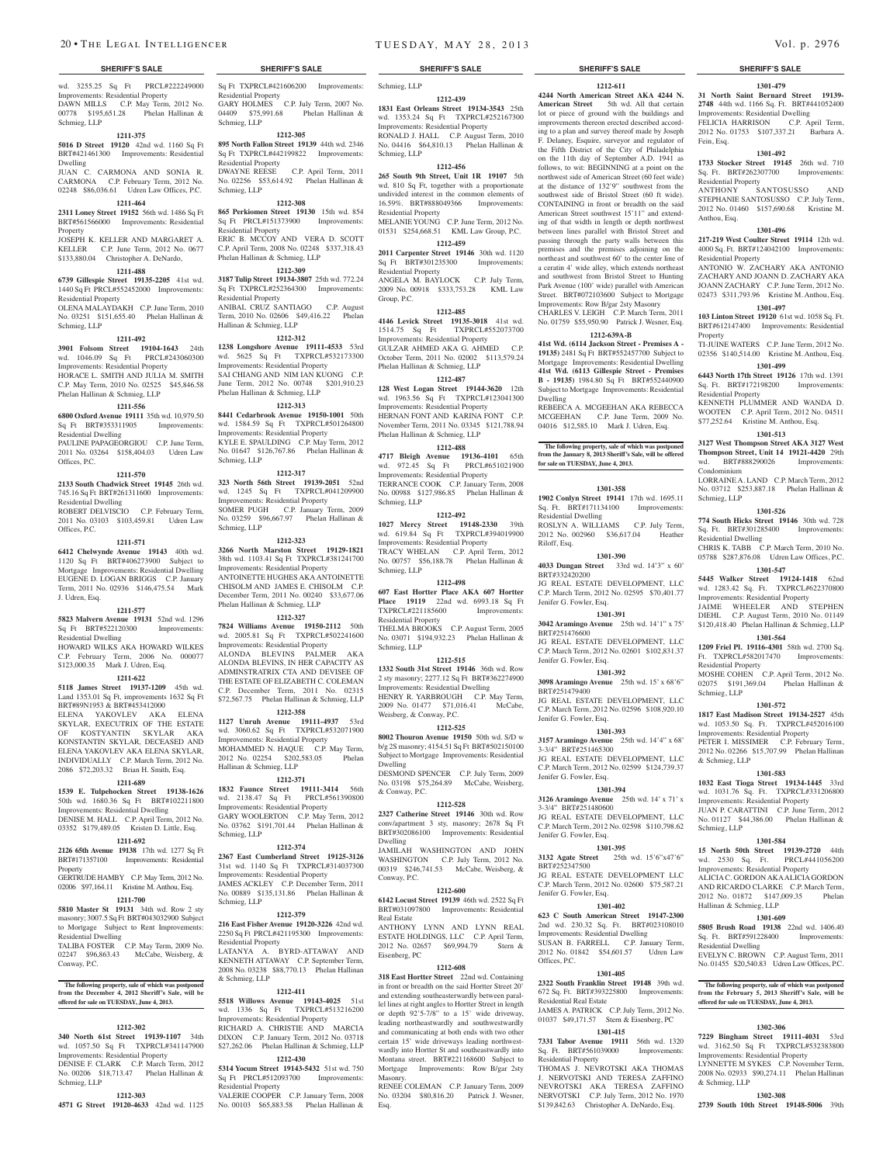wd. 3255.25 Sq Ft PRCL#222249000 Improvements: Residential Property DAWN MILLS C.P. May Term, 2012 No. 00778 \$195,651.28 Phelan Hallinan & Schmieg, LLP

#### **1211-375**

**5016 D Street 19120** 42nd wd. 1160 Sq Ft BRT#421461300 Improvements: Residential Dwelling

JUAN C. CARMONA AND SONIA R. CARMONA C.P. February Term, 2012 No. 02248 \$86,036.61 Udren Law Offices, P.C.

#### **1211-464 2311 Loney Street 19152** 56th wd. 1486 Sq Ft

BRT#561566000 Improvements: Residential Property

JOSEPH K. KELLER AND MARGARET A. KELLER C.P. June Term, 2012 No. 0677 \$133,880.04 Christopher A. DeNardo,

## **1211-488**

**6739 Gillespie Street 19135-2205** 41st wd. 1440 Sq Ft PRCL#552452000 Improvements: Residential Property OLENA MALAYDAKH C.P. June Term, 2010 No. 03251 \$151,655.40 Phelan Hallinan & Schmieg, LLP

#### **1211-492**

**3901 Folsom Street 19104-1643** 24th wd. 1046.09 Sq Ft PRCL#243060300 Improvements: Residential Property HORACE L. SMITH AND JULIA M. SMITH C.P. May Term, 2010 No. 02525 \$45,846.58 Phelan Hallinan & Schmieg, LLP

#### **1211-556**

**6800 Oxford Avenue 19111** 35th wd. 10,979.50 Sq Ft BRT#353311905 Improvements:

Residential Dwelling PAULINE PAPAGEORGIOU C.P. June Term, 2011 No. 03264 \$158,404.03 Udren Law Offices, P.C.

#### **1211-570**

**2133 South Chadwick Street 19145** 26th wd. 745.16 Sq Ft BRT#261311600 Improvements: Residential Dwelling

ROBERT DELVISCIO C.P. February Term, 2011 No. 03103 \$103,459.81 Udren Law Offices, P.C.

#### **1211-571**

**6412 Chelwynde Avenue 19143** 40th wd. 1120 Sq Ft BRT#406273900 Subject to Mortgage Improvements: Residential Dwelling EUGENE D. LOGAN BRIGGS C.P. January Term, 2011 No. 02936 \$146,475.54 Mark J. Udren, Esq.

#### **1211-577**

**5823 Malvern Avenue 19131** 52nd wd. 1296 Sq Ft BRT#522120300 Improvements: Residential Dwelling

HOWARD WILKS AKA HOWARD WILKES C.P. February Term, 2006 No. 000077 \$123,000.35 Mark J. Udren, Esq.

#### **1211-622**

**5118 James Street 19137-1209** 45th wd. Land 1353.01 Sq Ft, improvements 1632 Sq Ft BRT#89N1953 & BRT#453412000 ELENA YAKOVLEV AKA ELENA SKYLAR, EXECUTRIX OF THE ESTATE

OF KOSTYANTIN SKYLAR AKA KONSTANTIN SKYLAR, DECEASED AND ELENA YAKOVLEV AKA ELENA SKYLAR, INDIVIDUALLY C.P. March Term, 2012 No. 2086 \$72,203.32 Brian H. Smith, Esq.

## **1211-689**

**1539 E. Tulpehocken Street 19138-1626**  50th wd. 1680.36 Sq Ft BRT#102211800 Improvements: Residential Dwelling

DENISE M. HALL C.P. April Term, 2012 No. 03352 \$179,489.05 Kristen D. Little, Esq.

#### **1211-692**

**2126 65th Avenue 19138** 17th wd. 1277 Sq Ft BRT#171357100 Improvements: Residential Property

GERTRUDE HAMBY C.P. May Term, 2012 No. 02006 \$97,164.11 Kristine M. Anthou, Esq.

## **1211-700**

**5810 Master St 19131** 34th wd. Row 2 sty masonry; 3007.5 Sq Ft BRT#043032900 Subject to Mortgage Subject to Rent Improvements: Residential Dwelling

TALIBA FOSTER C.P. May Term, 2009 No. 02247 \$96,863.43 McCabe, Weisberg, & Conway, P.C.

## **The following property, sale of which was postponed from the December 4, 2012 Sheriff's Sale, will be offered for sale on TUESDAY, June 4, 2013.**

#### **1212-302**

**340 North 61st Street 19139-1107** 34th wd. 1057.50 Sq Ft TXPRCL#341147900 Improvements: Residential Property DENISE F. CLARK C.P. March Term, 2012 No. 00206 \$18,713.47 Phelan Hallinan &

### Schmieg, LLP **1212-303**

**4571 G Street 19120-4633** 42nd wd. 1125

## Sq Ft TXPRCL#421606200 Improvements: Residential Property GARY HOLMES C.P. July Term, 2007 No.

04409 \$75,991.68 Phelan Hallinan & Schmieg, LLP **1212-305**

## **895 North Fallon Street 19139** 44th wd. 2346 Sq Ft TXPRCL#442199822 Improvements:

Residential Property<br>DWAYNE REESE C.P. April Term, 2011 No. 02256 \$53,614.92 Phelan Hallinan & Schmieg, LLP **1212-308**

#### **865 Perkiomen Street 19130** 15th wd. 854 Sq Ft PRCL#151373900 Improvements: Residential Property ERIC B. MCCOY AND VERA D. SCOTT C.P. April Term, 2008 No. 02248 \$337,318.43

Phelan Hallinan & Schmieg, LLP **1212-309**

**3187 Tulip Street 19134-3807** 25th wd. 772.24 Sq Ft TXPRCL#252364300 Improvements: Residential Property ANIBAL CRUZ SANTIAGO C.P. August Term, 2010 No. 02606 \$49,416.22 Phelan Hallinan & Schmieg, LLP

## **1212-312**

**1238 Longshore Avenue 19111-4533** 53rd wd. 5625 Sq Ft TXPRCL#532173300 Improvements: Residential Property SAI CHIANG AND NIM IAN KUONG C.P. June Term, 2012 No. 00748 \$201,910.23 Phelan Hallinan & Schmieg, LLP

## **1212-313**

**8441 Cedarbrook Avenue 19150-1001** 50th wd. 1584.59 Sq Ft TXPRCL#501264800 Improvements: Residential Property KYLE E. SPAULDING C.P. May Term, 2012 No. 01647 \$126,767.86 Phelan Hallinan & Schmieg, LLP

## **1212-317**

**323 North 56th Street 19139-2051** 52nd wd. 1245 Sq Ft TXPRCL#041209900 Improvements: Residential Property SOMER PUGH C.P. January Term, 2009 No. 03259 \$96,667.97 Phelan Hallinan & Schmieg, LLP

#### **1212-323**

**3266 North Marston Street 19129-1821**  38th wd. 1103.41 Sq Ft TXPRCL#381241700 Improvements: Residential Property ANTOINETTE HUGHES AKA ANTOINETTE CHISOLM AND JAMES E. CHISOLM C.P. December Term, 2011 No. 00240 \$33,677.06 Phelan Hallinan & Schmieg, LLP

## **1212-327**

**7824 Williams Avenue 19150-2112** 50th wd. 2005.81 Sq Ft TXPRCL#502241600 Improvements: Residential Property ALONDA BLEVINS PALMER AKA ALONDA BLEVINS, IN HER CAPACITY AS ADMINSTRATRIX CTA AND DEVISEE OF THE ESTATE OF ELIZABETH C. COLEMAN

C.P. December Term, 2011 No. 02315 \$72,567.75 Phelan Hallinan & Schmieg, LLP **1212-358**

### **1127 Unruh Avenue 19111-4937** 53rd wd. 3060.62 Sq Ft TXPRCL#532071900

Improvements: Residential Property MOHAMMED N. HAQUE C.P. May Term, 2012 No. 02254 \$202,583.05 Phelan Hallinan & Schmieg, LLP

#### **1212-371**

**1832 Faunce Street 19111-3414** 56th wd. 2138.47 Sq Ft PRCL#561390800 Improvements: Residential Property GARY WOOLERTON C.P. May Term, 2012 No. 03762 \$191,701.44 Phelan Hallinan & Schmieg, LLP

#### **1212-374**

**2367 East Cumberland Street 19125-3126**  31st wd. 1140 Sq Ft TXPRCL#314037300 Improvements: Residential Property JAMES ACKLEY C.P. December Term, 2011 No. 00889 \$135,131.86 Phelan Hallinan & Schmieg, LLP

#### **1212-379**

**216 East Fisher Avenue 19120-3226** 42nd wd. 2250 Sq Ft PRCL#421195300 Improvements: Residential Property LATANYA A. BYRD-ATTAWAY AND KENNETH ATTAWAY C.P. September Term, 2008 No. 03238 \$88,770.13 Phelan Hallinan & Schmieg, LLP

#### **1212-411**

**5518 Willows Avenue 19143-4025** 51st wd. 1336 Sq Ft TXPRCL#513216200 Improvements: Residential Property RICHARD A. CHRISTIE AND MARCIA DIXON C.P. January Term, 2012 No. 03718 \$27,262.06 Phelan Hallinan & Schmieg, LLP **1212-430**

# **5314 Yocum Street 19143-5432** 51st wd. 750

Sq Ft PRCL#512093700 Improvements: Residential Property VALERIE COOPER C.P. January Term, 2008 No. 00103 \$65,883.58 Phelan Hallinan &

### **SHERIFF'S SALE SHERIFF'S SALE SHERIFF'S SALE SHERIFF'S SALE SHERIFF'S SALE**

**1212-611 4244 North American Street AKA 4244 N.**  American Street 5th wd. All that certain lot or piece of ground with the buildings and improvements thereon erected described according to a plan and survey thereof made by Joseph F. Delaney, Esquire, surveyor and regulator of the Fifth District of the City of Philadelphia on the 11th day of September A.D. 1941 as follows, to wit: BEGINNING at a point on the northwest side of American Street (60 feet wide) at the distance of 132'9" southwest from the southwest side of Bristol Street (60 ft wide). CONTAINING in front or breadth on the said American Street southwest 15'11" and extending of that width in length or depth northwest between lines parallel with Bristol Street and passing through the party walls between this premises and the premises adjoining on the northeast and southwest 60' to the center line of a ceratin 4' wide alley, which extends northeast and southwest from Bristol Street to Hunting Park Avenue (100' wide) parallel with American Street. BRT#072103600 Subject to Mortgage Improvements: Row B/gar 2sty Masonry CHARLES V. LEIGH C.P. March Term, 2011 No. 01759 \$55,950.90 Patrick J. Wesner, Esq. **1212-639A-B 41st Wd. (6114 Jackson Street - Premises A - 19135)** 2481 Sq Ft BRT#552457700 Subject to Mortgage Improvements: Residential Dwelling **41st Wd. (6113 Gillespie Street - Premises B - 19135)** 1984.80 Sq Ft BRT#552440900 Subject to Mortgage Improvements: Residential

**1301-479 31 North Saint Bernard Street 19139- 2748** 44th wd. 1166 Sq. Ft. BRT#441052400 Improvements: Residential Dwelling FELICIA HARRISON C.P. April Term, 2012 No. 01753 \$107,337.21 Barbara A.

**1301-492 1733 Stocker Street 19145** 26th wd. 710 Sq. Ft. BRT#262307700 Improvements:

STEPHANIE SANTOSUSSO C.P. July Term, 2012 No. 01460 \$157,690.68 Kristine M.

**1301-496 217-219 West Coulter Street 19114** 12th wd. 4000 Sq. Ft. BRT#124042100 Improvements:

ANTONIO W. ZACHARY AKA ANTONIO ZACHARY AND JOANN D. ZACHARY AKA JOANN ZACHARY C.P. June Term, 2012 No. 02473 \$311,793.96 Kristine M. Anthou, Esq. **1301-497 103 Linton Street 19120** 61st wd. 1058 Sq. Ft. BRT#612147400 Improvements: Residential

TI-JUINE WATERS C.P. June Term, 2012 No. 02356 \$140,514.00 Kristine M. Anthou, Esq. **1301-499 6443 North 17th Street 19126** 17th wd. 1391 Sq. Ft. BRT#172198200 Improvements:

KENNETH PLUMMER AND WANDA D. WOOTEN C.P. April Term, 2012 No. 04511 \$77,252.64 Kristine M. Anthou, Esq. **1301-513 3127 West Thompson Street AKA 3127 West Thompson Street, Unit 14 19121-4420** 29th wd. BRT#888290026 Improvements:

LORRAINE A. LAND C.P. March Term, 2012 No. 03712 \$253,887.18 Phelan Hallinan &

**1301-526 774 South Hicks Street 19146** 30th wd. 728 Sq. Ft. BRT#301285400 Improvements:

CHRIS K. TABB C.P. March Term, 2010 No. 05788 \$287,876.08 Udren Law Offices, P.C. **1301-547 5445 Walker Street 19124-1418** 62nd wd. 1283.42 Sq. Ft. TXPRCL#622370800 Improvements: Residential Property JAIME WHEELER AND STEPHEN DIEHL C.P. August Term, 2010 No. 01149 \$120,418.40 Phelan Hallinan & Schmieg, LLP **1301-564 1209 Friel Pl. 19116-4301** 58th wd. 2700 Sq. Ft. TXPRCL#582017470 Improvements:

MOSHE COHEN C.P. April Term, 2012 No. 02075 \$191,369.04 Phelan Hallinan &

**1301-572 1817 East Madison Street 19134-2527** 45th wd. 1053.50 Sq. Ft. TXPRCL#452016100 Improvements: Residential Property PETER I. MISSIMER C.P. February Term, 2012 No. 02266 \$15,707.99 Phelan Hallinan

**1301-583 1032 East Tioga Street 19134-1445** 33rd wd. 1031.76 Sq. Ft. TXPRCL#331206800 Improvements: Residential Property JUAN P. CARATTINI C.P. June Term, 2012 No. 01127 \$44,386.00 Phelan Hallinan &

**1301-584 15 North 50th Street 19139-2720** 44th wd. 2530 Sq. Ft. PRCL#441056200 Improvements: Residential Property ALICIA C. GORDON AKA ALICIA GORDON AND RICARDO CLARKE C.P. March Term,<br>2012 No. 01872 \$147,009.35 Phelan 2012 No. 01872 \$147,009.35 Hallinan & Schmieg, LLP

**1301-609 5805 Brush Road 19138** 22nd wd. 1406.40 Sq. Ft. BRT#591228400 Improvements:

EVELYN C. BROWN C.P. August Term, 2011 No. 01455 \$20,540.83 Udren Law Offices, P.C.

**The following property, sale of which was postponed from the February 5, 2013 Sheriff's Sale, will be offered for sale on TUESDAY, June 4, 2013.**

**1302-306 7229 Bingham Street 19111-4031** 53rd wd. 3162.50 Sq Ft TXPRCL#532383800 Improvements: Residential Property LYNNETTE M SYKES C.P. November Term, 2008 No. 02933 \$90,274.11 Phelan Hallinan

**1302-308 2739 South 10th Street 19148-5006** 39th

SANTOSUSSO AND

Fein, Esq.

Residential Property<br>ANTHONY SA

Residential Property

Residential Property

Condominium

Schmieg, LLP

Residential Dwelling

Residential Property

Schmieg, LLP

& Schmieg, LLP

Schmieg, LLP

Residential Dwelling

& Schmieg, LLP

Anthou, Esq.

Property

#### Schmieg, LLP **1212-439**

**1831 East Orleans Street 19134-3543** 25th wd. 1353.24 Sq Ft TXPRCL#252167300 Improvements: Residential Property

RONALD J. HALL C.P. August Term, 2010 No. 04416 \$64,810.13 Phelan Hallinan & Schmieg, LLP

#### **1212-456 265 South 9th Street, Unit 1R 19107** 5th

wd. 810 Sq Ft, together with a proportionate undivided interest in the common elements of 16.59%. BRT#888049366 Improvements: Residential Property MELANIEYOUNG C.P. June Term, 2012 No.

01531 \$254,668.51 KML Law Group, P.C. **1212-459**

**2011 Carpenter Street 19146** 30th wd. 1120 Sq Ft BRT#301235300 Improvements: Residential Property ANGELA M. BAYLOCK C.P. July Term, 2009 No. 00918 \$333,753.28 KML Law

## **1212-485**

Group, P.C.

**4146 Levick Street 19135-3018** 41st wd. 1514.75 Sq Ft TXPRCL#552073700 Improvements: Residential Property GULZAR AHMED AKA G. AHMED C.P. October Term, 2011 No. 02002 \$113,579.24 Phelan Hallinan & Schmieg, LLP **1212-487**

Dwelling

REBEECA A. MCGEEHAN AKA REBECCA MCGEEHAN C.P. June Term, 2009 No. 04016 \$12,585.10 Mark J. Udren, Esq.

**The following property, sale of which was postponed from the January 8, 2013 Sheriff's Sale, will be offered** 

**1301-358 1902 Conlyn Street 19141** 17th wd. 1695.11 Sq. Ft. BRT#171134100 Improvements:

ROSLYN A. WILLIAMS C.P. July Term, 2012 No. 002960 \$36,617.04 Heather

**1301-390 4033 Dungan Street** 33rd wd. 14'3" x 60'

JG REAL ESTATE DEVELOPMENT, LLC C.P. March Term, 2012 No. 02595 \$70,401.77

**1301-391 3042 Aramingo Avenue** 25th wd. 14'1" x 75'

JG REAL ESTATE DEVELOPMENT, LLC C.P. March Term, 2012 No. 02601 \$102,831.37

**1301-392 3098 Aramingo Avenue** 25th wd. 15' x 68'6"

JG REAL ESTATE DEVELOPMENT, LLC C.P. March Term, 2012 No. 02596 \$108,920.10

**1301-393 3157 Aramingo Avenue** 25th wd. 14'4" x 68'

JG REAL ESTATE DEVELOPMENT, LLC C.P. March Term, 2012 No. 02599 \$124,739.37

**1301-394 3126 Aramingo Avenue** 25th wd. 14' x 71' x

JG REAL ESTATE DEVELOPMENT LLC C.P. March Term, 2012 No. 02598 \$110,798.62

**1301-395 3132 Agate Street** 25th wd. 15'6"x47'6"

JG REAL ESTATE DEVELOPMENT LLC C.P. March Term, 2012 No. 02600 \$75,587.21

**1301-402 623 C South American Street 19147-2300**  2nd wd. 230.32 Sq. Ft. BRT#023108010 Improvements: Residential Dwelling SUSAN B. FARRELL C.P. January Term, 2012 No. 01842 \$54,601.57 Udren Law

**1301-405 2322 South Franklin Street 19148** 39th wd. 672 Sq. Ft. BRT#393225800 Improvements:

JAMES A. PATRICK C.P. July Term, 2012 No. 01037 \$49,171.57 Stern & Eisenberg, PC **1301-415 7331 Tabor Avenue 19111** 56th wd. 1320 Sq. Ft. BRT#561039000 Improvements:

THOMAS J. NEVROTSKI AKA THOMAS J. NERVOTSKI AND TERESA ZAFFINO NEVROTSKI AKA TERESA ZAFFINO NERVOTSKI C.P. July Term, 2012 No. 1970 \$139,842.63 Christopher A. DeNardo, Esq.

**for sale on TUESDAY, June 4, 2013.**

Residential Dwelling

Riloff, Esq.

BRT#332420200

BRT#251476600

BRT#251479400

Jenifer G. Fowler, Esq.

Jenifer G. Fowler, Esq.

Jenifer G. Fowler, Esq.

3-3/4" BRT#251465300

Jenifer G. Fowler, Esq.

3-3/4" BRT#251480600

Jenifer G. Fowler, Esq.

Jenifer G. Fowler, Esq.

Residential Real Estate

Residential Property

BRT#252347500

Offices, P.C.

**128 West Logan Street 19144-3620** 12th wd. 1963.56 Sq Ft TXPRCL#123041300 Improvements: Residential Property HERNAN FONT AND KARINA FONT C.P. November Term, 2011 No. 03345 \$121,788.94 Phelan Hallinan & Schmieg, LLP

## **1212-488**

**4717 Bleigh Avenue 19136-4101** 65th wd. 972.45 Sq Ft PRCL#651021900 Improvements: Residential Property TERRANCE COOK C.P. January Term, 2008 No. 00988 \$127,986.85 Phelan Hallinan & Schmieg, LLP

#### **1212-492**

**1027 Mercy Street 19148-2330** 39th wd. 619.84 Sq Ft TXPRCL#394019900 Improvements: Residential Property TRACY WHELAN C.P. April Term, 2012 No. 00757 \$56,188.78 Phelan Hallinan & Schmieg, LLP

#### **1212-498**

**607 East Hortter Place AKA 607 Hortter Place 19119** 22nd wd. 6993.18 Sq Ft TXPRCL#221185600 Improvements: Residential Property THELMA BROOKS C.P. August Term, 2005 No. 03071 \$194,932.23 Phelan Hallinan & Schmieg, LLP

#### **1212-515**

**1332 South 31st Street 19146** 36th wd. Row 2 sty masonry; 2277.12 Sq Ft BRT#362274900 Improvements: Residential Dwelling HENRY R. YARBROUGH C.P. May Term, 2009 No. 01477 \$71,016.41 McCabe, Weisberg, & Conway, P.C.

### **1212-525**

**8002 Thouron Avenue 19150** 50th wd. S/D w b/g 2S masonry; 4154.51 Sq Ft BRT#502150100 Subject to Mortgage Improvements: Residential Dwelling DESMOND SPENCER C.P. July Term, 2009

No. 03198 \$75,264.89 McCabe, Weisberg, & Conway, P.C.

## **1212-528**

**2327 Catherine Street 19146** 30th wd. Row conv/apartment 3 sty, masonry; 2678 Sq Ft BRT#302086100 Improvements: Residential Dwelling

JAMILAH WASHINGTON AND JOHN WASHINGTON C.P. July Term, 2012 No. 00319 \$246,741.53 McCabe, Weisberg, & Conway, P.C.

**1212-600 6142 Locust Street 19139** 46th wd. 2522 Sq Ft BRT#031097800 Improvements: Residential

ANTHONY LYNN AND LYNN REAL ESTATE HOLDINGS, LLC C.P. April Term, 2012 No. 02657 \$69,994.79 Stern &

**1212-608 318 East Hortter Street** 22nd wd. Containing in front or breadth on the said Hortter Street 20' and extending southeasterwardly between parallel lines at right angles to Hortter Street in length or depth 92'5-7/8" to a 15' wide driveway, leading northeastwardly and southwestwardly and communicating at both ends with two other certain 15' wide driveways leading northwestwardly into Hortter St and southeastwardly into Montana street. BRT#221168600 Subject to Mortgage Improvements: Row B/gar 2sty

RENEE COLEMAN C.P. January Term, 2009 No. 03204 \$80,816.20 Patrick J. Wesner,

Real Estate

Eisenberg, PC

Masonry.

Esq.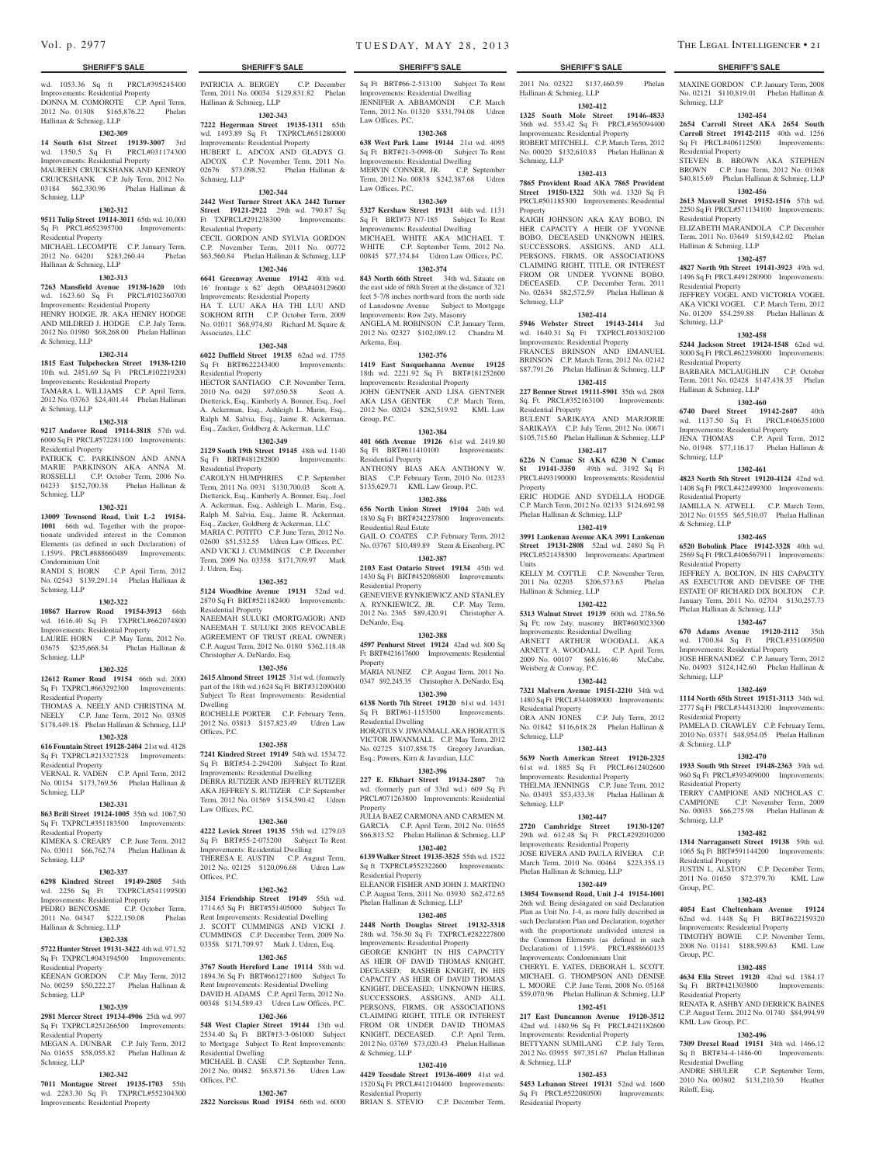wd. 1053.36 Sq ft PRCL#395245400 Improvements: Residential Property DONNA M. COMOROTE C.P. April Term, 2012 No. 01308 \$165,876.22 Phelan Hallinan & Schmieg, LLP

#### **1302-309**

**14 South 61st Street 19139-3007** 3rd wd. 1350.5 Sq Ft PRCL#031174300 Improvements: Residential Property MAUREEN CRUICKSHANK AND KENROY CRUICKSHANK C.P. July Term, 2012 No. 03184 \$62,330.96 Phelan Hallinan & Schmieg, LLP

#### **1302-312**

**9511 Tulip Street 19114-3011** 65th wd. 10,000 Sq Ft PRCL#652395700 Improvements: Residential Property

MICHAEL LECOMPTE C.P. January Term, 2012 No. 04201 \$283,260.44 Phelan Hallinan & Schmieg, LLP

#### **1302-313**

**7263 Mansfield Avenue 19138-1620** 10th wd. 1623.60 Sq Ft PRCL#102360700 Improvements: Residential Property HENRY HODGE, JR. AKA HENRY HODGE AND MILDRED J. HODGE C.P. July Term, 2012 No. 01980 \$68,268.00 Phelan Hallinan & Schmieg, LLP

#### **1302-314**

**1815 East Tulpehocken Street 19138-1210**  10th wd. 2451.69 Sq Ft PRCL#102219200 Improvements: Residential Property TAMARA L. WILLIAMS C.P. April Term, 2012 No. 03763 \$24,401.44 Phelan Hallinan & Schmieg, LLP

#### **1302-318**

**9217 Andover Road 19114-3818** 57th wd. 6000 Sq Ft PRCL#572281100 Improvements: Residential Property

PATRICK C. PARKINSON AND ANNA MARIE PARKINSON AKA ANNA M. ROSSELLI C.P. October Term, 2006 No. 04233 \$152,700.38 Phelan Hallinan & Schmieg, LLP

#### **1302-321**

**13009 Townsend Road, Unit L-2 19154- 1001** 66th wd. Together with the proportionate undivided interest in the Common Elements (as defined in such Declaration) of 1.159%. PRCL#888660489 Improvements: Condominium Unit

RANDI S. HORN C.P. April Term, 2012 No. 02543 \$139,291.14 Phelan Hallinan & Schmieg, LLP

### **1302-322**

**10867 Harrow Road 19154-3913** 66th wd. 1616.40 Sq Ft TXPRCL#662074800

Improvements: Residential Property LAURIE HORN C.P. May Term, 2012 No. 03675 \$235,668.34 Phelan Hallinan & Schmieg, LLP

#### **1302-325**

**12612 Ramer Road 19154** 66th wd. 2000 Sq Ft TXPRCL#663292300 Improvements:

Residential Property THOMAS A. NEELY AND CHRISTINA M. NEELY C.P. June Term, 2012 No. 03305 \$178,449.18 Phelan Hallinan & Schmieg, LLP

## **1302-328**

**616 Fountain Street 19128-2404** 21st wd. 4128 Sq Ft TXPRCL#213327528 Improvements: Residential Property VERNAL R. VADEN C.P. April Term, 2012

No. 00154 \$173,769.56 Phelan Hallinan & Schmieg, LLP

Sq Ft TXPRCL#351183500 Improvements:

#### **1302-331 863 Brill Street 19124-1005** 35th wd. 1067.50

Residential Property

Schmieg, LLP

Law Offices, P.C. **1302-360**

KIMEKA S. CREARY C.P. June Term, 2012 No. 03011 \$66,762.74 Phelan Hallinan & **4222 Levick Street 19135** 55th wd. 1279.03 Sq Ft BRT#55-2-075200 Subject To Rent Improvements: Residential Dwelling THERESA E. AUSTIN C.P. August Term, 2012 No. 02125 \$120,096.68 Udren Law

Residential Dwelling

Offices, P.C.

Offices, P.C.

## **1302-337**

**6298 Kindred Street 19149-2805** 54th wd. 2256 Sq Ft TXPRCL#541199500 Improvements: Residential Property PEDRO BENCOSME C.P. October Term, 2011 No. 04347 \$222,150.08 Phelan

#### Hallinan & Schmieg, LLP **1302-338**

**5722 Hunter Street 19131-3422** 4th wd. 971.52 Sq Ft TXPRCL#043194500 Improvements: Residential Property KEENAN GORDON C.P. May Term, 2012

No. 00259 \$50,222.27 Phelan Hallinan & Schmieg, LLP

## **1302-339**

**2981 Mercer Street 19134-4906** 25th wd. 997 Sq Ft TXPRCL#251266500 Improvements: Residential Property

MEGAN A. DUNBAR C.P. July Term, 2012 No. 01655 \$58,055.82 Phelan Hallinan & Schmieg, LLP

#### **1302-342**

**7011 Montague Street 19135-1703** 55th wd. 2283.30 Sq Ft TXPRCL#552304300 Improvements: Residential Property

**SHERIFF'S SALE SHERIFF'S SALE SHERIFF'S SALE SHERIFF'S SALE SHERIFF'S SALE**

PATRICIA A. BERGEY C.P. December Term, 2011 No. 00034 \$129,831.82 Phelan

**1302-343 7222 Hegerman Street 19135-1311** 65th wd. 1493.89 Sq Ft TXPRCL#651280000 Improvements: Residential Property HUBERT L. ADCOX AND GLADYS G. ADCOX C.P. November Term, 2011 No. 02676 \$73,098.52 Phelan Hallinan &

**1302-344 2442 West Turner Street AKA 2442 Turner Street 19121-2922** 29th wd. 790.87 Sq<br>Ft TXPRCL#291238300 Improvements:

CECIL GORDON AND SYLVIA GORDON C.P. November Term, 2011 No. 00772 \$63,560.84 Phelan Hallinan & Schmieg, LLP **1302-346 6641 Greenway Avenue 19142** 40th wd. 16' frontage x 62' depth OPA#403129600 Improvements: Residential Property HA T. LUU AKA HA THI LUU AND SOKHOM RITH C.P. October Term, 2009 No. 01011 \$68,974.80 Richard M. Squire &

**1302-348 6022 Duffield Street 19135** 62nd wd. 1755 Sq Ft BRT#622243400 Improvements:

HECTOR SANTIAGO C.P. November Term, 2010 No. 0420 \$97,050.58 Scott A. Dietterick, Esq., Kimberly A. Bonner, Esq., Joel A. Ackerman, Esq., Ashleigh L. Marin, Esq., Ralph M. Salvia, Esq., Jaime R. Ackerman, Esq., Zucker, Goldberg & Ackerman, LLC **1302-349 2129 South 19th Street 19145** 48th wd. 1140 Sq Ft BRT#481282800 Improvements:

CAROLYN HUMPHRIES C.P. September Term, 2011 No. 0931 \$130,700.03 Scott A. Dietterick, Esq., Kimberly A. Bonner, Esq., Joel A. Ackerman, Esq., Ashleigh L. Marin, Esq., Ralph M. Salvia, Esq., Jaime R. Ackerman, Esq., Zucker, Goldberg & Ackerman, LLC MARIA C. POTITO C.P. June Term, 2012 No. 02600 \$51,532.55 Udren Law Offices, P.C. AND VICKI J. CUMMINGS C.P. December Term, 2009 No. 03358 \$171,709.97 Mark

**1302-352 5124 Woodbine Avenue 19131** 52nd wd. 2870 Sq Ft BRT#521182400 Improvements:

NAEEMAH SULUKI (MORTGAGOR) AND NAEEMAH T. SULUKI 2005 REVOCABLE AGREEMENT OF TRUST (REAL OWNER) C.P. August Term, 2012 No. 0180 \$362,118.48

**1302-356 2615 Almond Street 19125** 31st wd. (formerly part of the 18th wd.) 624 Sq Ft BRT#312090400 Subject To Rent Improvements: Residential

ROCHELLE PORTER C.P. February Term, 2012 No. 03813 \$157,823.49 Udren Law

**1302-358 7241 Kindred Street 19149** 54th wd. 1534.72 Sq Ft BRT#54-2-294200 Subject To Rent Improvements: Residential Dwelling DEBRA RUTIZER AND JEFFREY RUTIZER AKA JEFFREY S. RUTIZER C.P. September Term, 2012 No. 01569 \$154,590.42 Udren

**1302-362 3154 Friendship Street 19149** 55th wd. 1714.65 Sq Ft BRT#551405000 Subject To Rent Improvements: Residential Dwelling J. SCOTT CUMMINGS AND VICKI J. CUMMINGS C.P. December Term, 2009 No. 03358 \$171,709.97 Mark J. Udren, Esq. **1302-365 3767 South Hereford Lane 19114** 58th wd. 1894.36 Sq Ft BRT#661271800 Subject To Rent Improvements: Residential Dwelling DAVID H. ADAMS C.P. April Term, 2012 No. 00348 \$134,589.43 Udren Law Offices, P.C. **1302-366 548 West Clapier Street 19144** 13th wd. 2534.40 Sq Ft BRT#13-3-061000 Subject to Mortgage Subject To Rent Improvements:

MICHAEL B. CASE C.P. September Term, 2012 No. 00482 \$63,871.56 Udren Law

**1302-367 2822 Narcissus Road 19154** 66th wd. 6000

Hallinan & Schmieg, LLP

Ft TXPRCL#291238300 Residential Property

Schmieg, LLP

Associates, LLC

Residential Property

Residential Property

J. Udren, Esq.

Dwelling

Offices, P.C.

Residential Property

Christopher A. DeNardo, Esq.

Sq Ft BRT#66-2-513100 Subject To Rent Improvements: Residential Dwelling JENNIFER A. ABBAMONDI C.P. March Term, 2012 No. 01320 \$331,794.08 Udren Law Offices, P.C.

#### **1302-368**

**638 West Park Lane 19144** 21st wd. 4095 Sq Ft BRT#21-3-0998-00 Subject To Rent Improvements: Residential Dwelling MERVIN CONNER, JR. C.P. September Term, 2012 No. 00838 \$242,387.68 Udren Law Offices, P.C.

#### **1302-369**

**5327 Kershaw Street 19131** 44th wd. 1131 Sq Ft BRT#73 N7-185 Subject To Rent Improvements: Residential Dwelling MICHAEL WHITE AKA MICHAEL T. WHITE C.P. September Term, 2012 No. 00845 \$77,374.84 Udren Law Offices, P.C.

## **1302-374**

**843 North 66th Street** 34th wd. Situate on the east side of 68th Street at the distance of 321 feet 5-7/8 inches northward from the north side of Lansdowne Avenue Subject to Mortgage Improvements: Row 2sty, Masonry ANGELA M. ROBINSON C.P. January Term, 2012 No. 02327 \$102,089.12 Chandra M. Arkema, Esq.

#### **1302-376**

**1419 East Susquehanna Avenue 19125**  18th wd. 2221.92 Sq Ft BRT#181252600 Improvements: Residential Property JOHN GENTNER AND LISA GENTNER AKA LISA GENTER C.P. March Term, 2012 No. 02024 \$282,519.92 KML Law Group, P.C.

#### **1302-384**

**401 66th Avenue 19126** 61st wd. 2419.80 Sq Ft BRT#611410100 Improvements: Residential Property ANTHONY BIAS AKA ANTHONY W. BIAS C.P. February Term, 2010 No. 01233 \$135,629.71 KML Law Group, P.C.

#### **1302-386**

**656 North Union Street 19104** 24th wd. 1830 Sq Ft BRT#242237800 Improvements: Residential Real Estate GAIL O. COATES C.P. February Term, 2012

No. 03767 \$10,489.89 Stern & Eisenberg, PC **1302-387**

**2103 East Ontario Street 19134** 45th wd. 1430 Sq Ft BRT#452086800 Improvements: Residential Property GENEVIEVE RYNKIEWICZ AND STANLEY A. RYNKIEWICZ, JR. C.P. May Term, 2012 No. 2365 \$89,420.91 Christopher A. DeNardo, Esq.

#### **1302-388**

**4597 Penhurst Street 19124** 42nd wd. 800 Sq Ft BRT#421617600 Improvements: Residential Property

MARIA NUNEZ C.P. August Term, 2011 No. 0347 \$92,245.35 Christopher A. DeNardo, Esq. **1302-390**

**6138 North 7th Street 19120** 61st wd. 1431 Sq Ft BRT#61-1153500 Improvements:

Residential Dwelling HORATIUS V. JIWANMALL AKA HORATIUS VICTOR JIWANMALL C.P. May Term, 2012 No. 02725 \$107,858.75 Gregory Javardian, Esq.; Powers, Kirn & Javardian, LLC

### **1302-396**

**227 E. Elkhart Street 19134-2807** 7th wd. (formerly part of 33rd wd.) 609 Sq Ft PRCL#071263800 Improvements: Residential Property

JULIA BAEZ CARMONA AND CARMEN M. GARCIA C.P. April Term, 2012 No. 01655 \$66,813.52 Phelan Hallinan & Schmieg, LLP **1302-402**

**6139 Walker Street 19135-3525** 55th wd. 1522 Sq ft TXPRCL#552322600 Improvements: Residential Property ELEANOR FISHER AND JOHN J. MARTINO

C.P. August Term, 2011 No. 03930 \$62,472.65 Phelan Hallinan & Schmieg, LLP

#### **1302-405**

**2448 North Douglas Street 19132-3318**  28th wd. 756.50 Sq Ft TXPRCL#282227800 Improvements: Residential Property GEORGE KNIGHT IN HIS CAPACITY AS HEIR OF DAVID THOMAS KNIGHT, DECEASED; RASHEB KNIGHT, IN HIS CAPACITY AS HEIR OF DAVID THOMAS KNIGHT, DECEASED; UNKNOWN HEIRS, SUCCESSORS, ASSIGNS, AND ALL PERSONS, FIRMS, OR ASSOCIATIONS CLAIMING RIGHT, TITLE OR INTEREST FROM OR UNDER DAVID THOMAS KNIGHT, DECEASED. C.P. April Term, 2012 No. 03769 \$73,020.43 Phelan Hallinan & Schmieg, LLP

## **1302-410**

**4429 Teesdale Street 19136-4009** 41st wd. 1520 Sq Ft PRCL#412104400 Improvements: Residential Property BRIAN S. STEVIO C.P. December Term,

2011 No. 02322 \$137,460.59 Phelan Hallinan & Schmieg, LLP

**1302-412 1325 South Mole Street 19146-4833**  36th wd. 553.42 Sq Ft PRCL#365094400 Improvements: Residential Property ROBERT MITCHELL C.P. March Term, 2012 No. 00020 \$132,610.83 Phelan Hallinan & Schmieg, LLP

#### **1302-413**

**7865 Provident Road AKA 7865 Provident Street 19150-1322** 50th wd. 1320 Sq Ft PRCL#501185300 Improvements: Residential \$40,815.69 Phelan Hallinan & Schmieg, LLP **2613 Maxwell Street 19152-1516** 57th wd. 2250 Sq Ft PRCL#571134100 Improvements:

MAXINE GORDON C.P. January Term, 2008 No. 02121 \$110,819.01 Phelan Hallinan &

**1302-454 2654 Carroll Street AKA 2654 South Carroll Street 19142-2115** 40th wd. 1256 Sq Ft PRCL#406112500 Improvements:

STEVEN B. BROWN AKA STEPHEN BROWN C.P. June Term, 2012 No. 01368

**1302-456**

ELIZABETH MARANDOLA C.P. December Term, 2011 No. 03649 \$159,842.02 Phelan

**1302-457 4827 North 9th Street 19141-3923** 49th wd. 1496 Sq Ft PRCL#491280900 Improvements:

JEFFREY VOGEL AND VICTORIA VOGEL AKA VICKI VOGEL C.P. March Term, 2012 No. 01209 \$54,259.88 Phelan Hallinan &

**1302-458 5244 Jackson Street 19124-1548** 62nd wd. 3000 Sq Ft PRCL#622398000 Improvements:

BARBARA MCLAUGHLIN C.P. October Term, 2011 No. 02428 \$147,438.35 Phelan

**1302-460 6740 Dorel Street 19142-2607** 40th wd. 1137.50 Sq Ft PRCL#406351000 Improvements: Residential Property JENA THOMAS C.P. April Term, 2012 No. 01948 \$77,116.17 Phelan Hallinan &

**1302-461 4823 North 5th Street 19120-4124** 42nd wd. 1408 Sq Ft PRCL#422499300 Improvements:

JAMILLA N. ATWELL C.P. March Term, 2012 No. 01555 \$65,510.07 Phelan Hallinan

**1302-465 6520 Bobolink Place 19142-3328** 40th wd. 2569 Sq Ft PRCL#406567911 Improvements:

JEFFREY A. BOLTON, IN HIS CAPACITY AS EXECUTOR AND DEVISEE OF THE ESTATE OF RICHARD DIX BOLTON C.P. January Term, 2011 No. 02704 \$130,257.73

**1302-469 1114 North 65th Street 19151-3113** 34th wd. 2777 Sq Ft PRCL#344313200 Improvements:

PAMELA D. CRAWLEY C.P. February Term, 2010 No. 03371 \$48,954.05 Phelan Hallinan

**1302-470 1933 South 9th Street 19148-2363** 39th wd. 960 Sq Ft PRCL#393409000 Improvements:

TERRY CAMPIONE AND NICHOLAS C. CAMPIONE C.P. November Term, 2009 No. 00033 \$66,275.98 Phelan Hallinan &

**1302-482 1314 Narragansett Street 19138** 59th wd. 1065 Sq Ft BRT#591144200 Improvements:

JUSTIN L. ALSTON C.P. December Term, 2011 No. 01650 \$72,379.70 KML Law

**1302-483 4054 East Cheltenham Avenue 19124**  62nd wd. 1448 Sq Ft BRT#622159320 Improvements: Residential Property TIMOTHY BOWIE C.P. November Term, 2008 No. 01141 \$188,599.63 KML Law

**1302-485 4634 Ella Street 19120** 42nd wd. 1384.17 Sq Ft BRT#421303800 Improvements:

RENATA R. ASHBY AND DERRICK BAINE C.P. August Term, 2012 No. 01740 \$84,994.99

**1302-496 7309 Drexel Road 19151** 34th wd. 1466.12 Sq ft BRT#34-4-1486-00 Improvements:

ANDRE SHULER C.P. September Term, 2010 No. 003802 \$131,210.50 Heather

Phelan Hallinan & Schmieg, LLP **1302-467 670 Adams Avenue 19120-2112** 35th

wd. 1700.84 Sq Ft Improvements: Residential Property JOSE HERNANDEZ C.P. January Term, 2012 No. 04903 \$124,142.60 Phelan Hallinan &

Schmieg, LLP

Residential Property

& Schmieg, LLP

Residential Property

Residential Property

Schmieg, LLP

Group, P.C.

Group, P.C.

Residential Property

KML Law Group, P.C.

Residential Dwelling

Riloff, Esq.

Schmieg, LLP

Residential Property

Residential Property

Residential Property

Schmieg, LLP

Residential Property

Schmieg, LLP

Residential Property

& Schmieg, LLP

Residential Property

Hallinan & Schmieg, LLP

Hallinan & Schmieg, LLP

Property KAIGH JOHNSON AKA KAY BOBO, IN HER CAPACITY A HEIR OF YVONNE BOBO, DECEASED UNKNOWN HEIRS, SUCCESSORS, ASSIGNS, AND ALL PERSONS, FIRMS, OR ASSOCIATIONS CLAIMING RIGHT, TITLE, OR INTEREST FROM OR UNDER YVONNE BOBO, DECEASED. C.P. December Term, 2011 No. 02634 \$82,572.59 Phelan Hallinan & Schmieg, LLP

#### **1302-414**

**5946 Webster Street 19143-2414** 3rd wd. 1640.31 Sq Ft TXPRCL#033032100 Improvements: Residential Property FRANCES BRINSON AND EMANUEL BRINSON C.P. March Term, 2012 No. 02142 \$87,791.26 Phelan Hallinan & Schmieg, LLP **1302-415**

#### **227 Benner Street 19111-5901** 35th wd. 2808

Sq. Ft. PRCL#352163100 Improvements: Residential Property BULENT SARIKAYA AND MARJORIE SARIKAYA C.P. July Term, 2012 No. 00671 \$105,715.60 Phelan Hallinan & Schmieg, LLP

#### **1302-417**

**6226 N Camac St AKA 6230 N Camac St 19141-3350** 49th wd. 3192 Sq Ft PRCL#493190000 Improvements: Residential Property ERIC HODGE AND SYDELLA HODGE C.P. March Term, 2012 No. 02133 \$124,692.98

Phelan Hallinan & Schmieg, LLP **1302-419**

## **3991 Lankenau Avenue AKA 3991 Lankenau**

**Street 19131-2808** 52nd wd. 2480 Sq Ft PRCL#521438500 Improvements: Apartment Units KELLY M. COTTLE C.P. November Term,

2011 No. 02203 \$206,573.63 Phelan Hallinan & Schmieg, LLP

## **1302-422**

**5313 Walnut Street 19139** 60th wd. 2786.56 Sq Ft; row 2sty, masonry BRT#603023300 Improvements: Residential Dwelling ARNETT ARTHUR WOODALL AKA ARNETT A. WOODALL C.P. April Term, 2009 No. 00107 \$68,616.46 McCabe, Weisberg & Conway, P.C.

## **1302-442**

**7321 Malvern Avenue 19151-2210** 34th wd. 1480 Sq Ft PRCL#344089000 Improvements: Residential Property ORA ANN JONES C.P. July Term, 2012 No. 01842 \$116,618.28 Phelan Hallinan & Schmieg, LLP

**1302-443**

**5639 North American Street 19120-2325**  61st wd. 1885 Sq Ft PRCL#612402600 Improvements: Residential Property THELMA JENNINGS C.P. June Term, 2012 No. 03493 \$53,433.38 Phelan Hallinan & Schmieg, LLP

## **1302-447**

**2720 Cambridge Street 19130-1207**  29th wd. 612.48 Sq Ft PRCL#292010200 Improvements: Residential Property JOSE RIVERA AND PAULA RIVERA C.P. March Term, 2010 No. 00464 \$223,355.13 Phelan Hallinan & Schmieg, LLP

#### **1302-449 13054 Townsend Road, Unit J-4 19154-1001**

26th wd. Being desingated on said Declaration Plan as Unit No. J-4, as more fully described in such Declaration Plan and Declaration, together with the proportionate undivided interest in the Common Elements (as defined in such Declaration) of 1.159%. PRCL#888660135 Improvements: Condominium Unit CHERYL E. YATES, DEBORAH L. SO MICHAEL G. THOMPSON AND DENISE L. MOORE C.P. June Term, 2008 No. 05168 \$59,070.96 Phelan Hallinan & Schmieg, LLP

#### **1302-451**

**217 East Duncannon Avenue 19120-3512**  42nd wd. 1480.96 Sq Ft PRCL#421182600 Improvements: Residential Property BETTYANN SUMILANG C.P. July Term, 2012 No. 03955 \$97,351.67 Phelan Hallinan & Schmieg, LLP

**5453 Lebanon Street 19131** 52nd wd. 1600

#### **1302-453**

Sq Ft PRCL#522080500 Residential Property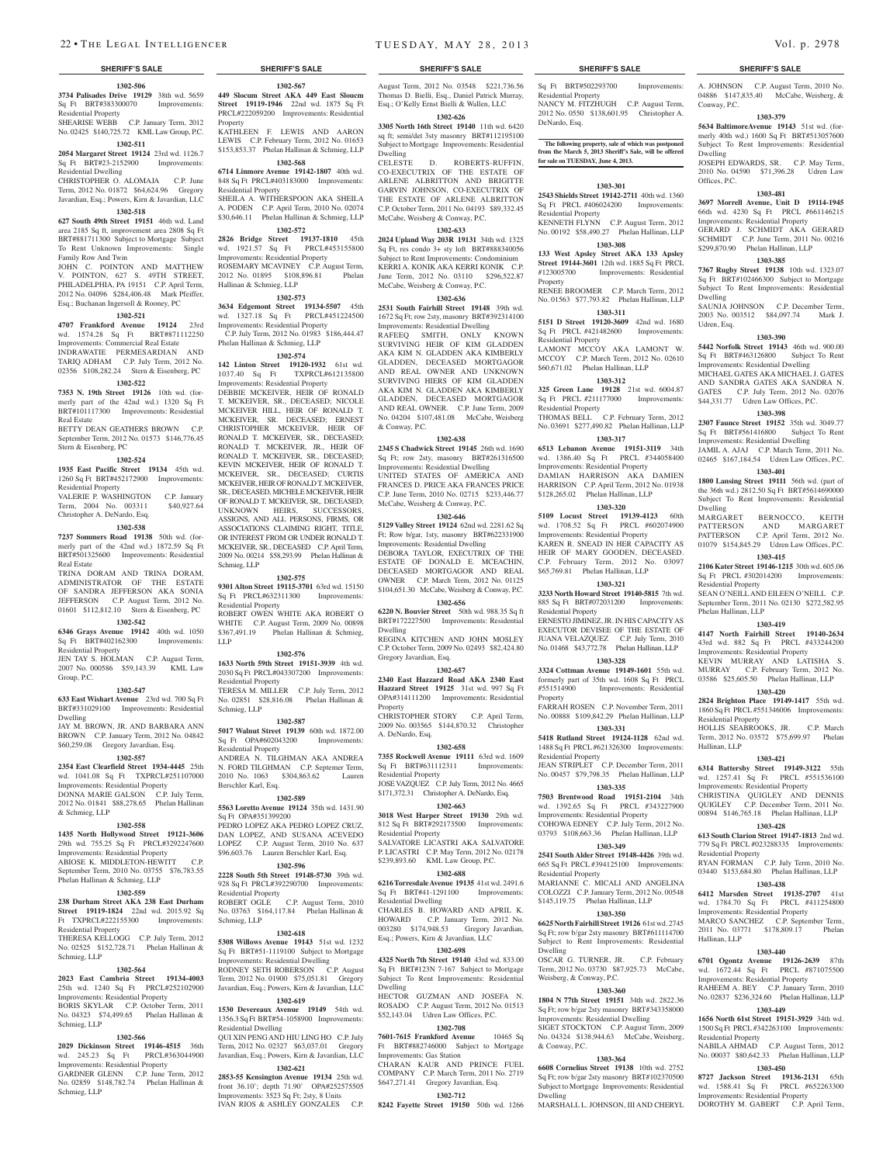#### **1302-506 3734 Palisades Drive 19129** 38th wd. 5659 Sq Ft BRT#383300070 Improvements: Residential Property

SHEARISE WEBB C.P. January Term, 2012 No. 02425 \$140,725.72 KML Law Group, P.C.

## **1302-511**

**2054 Margaret Street 19124** 23rd wd. 1126.7 Sq Ft BRT#23-2152900 Improvements: Residential Dwelling

#### CHRISTOPHER O. ALOMAJA C.P. June Term, 2012 No. 01872 \$64,624.96 Gregory Javardian, Esq.; Powers, Kirn & Javardian, LLC

### **1302-518**

**627 South 49th Street 19151** 46th wd. Land area 2185 Sq ft, improvement area 2808 Sq Ft BRT#881711300 Subject to Mortgage Subject To Rent Unknown Improvements: Single Family Row And Twin JOHN C. POINTON AND MATTHEW V. POINTON, 627 S. 49TH STREET, PHILADELPHIA, PA 19151 C.P. April Term, 2012 No. 04096 \$284,406.48 Mark Pfeiffer, Esq.; Buchanan Ingersoll & Rooney, PC

#### **1302-521**

**4707 Frankford Avenue 19124** 23rd wd. 1574.28 Sq Ft BRT#871112250 Improvements: Commercial Real Estate INDRAWATIE PERMESARDIAN AND TARIQ ADHAM C.P. July Term, 2012 No. 02356 \$108,282.24 Stern & Eisenberg, PC

#### **1302-522**

**7353 N. 19th Street 19126** 10th wd. (formerly part of the 42nd wd.) 1320 Sq Ft BRT#101117300 Improvements: Residential Real Estate

BETTY DEAN GEATHERS BROWN C.P. September Term, 2012 No. 01573 \$146,776.45 Stern & Eisenberg, PC

## **1302-524**

**1935 East Pacific Street 19134** 45th wd. 1260 Sq Ft BRT#452172900 Improvements: Residential Property

VALERIE P. WASHINGTON C.P. January Term, 2004 No. 003311 \$40,927.64 Christopher A. DeNardo, Esq.

#### **1302-538**

**7237 Sommers Road 19138** 50th wd. (formerly part of the 42nd wd.) 1872.59 Sq Ft BRT#501325600 Improvements: Residential Real Estate

TRINA DORAM AND TRINA DORAM, ADMINISTRATOR OF THE ESTATE OF SANDRA JEFFERSON AKA SONIA JEFFERSON C.P. August Term, 2012 No. 01601 \$112,812.10 Stern & Eisenberg, PC

#### **1302-542**

**6346 Grays Avenue 19142** 40th wd. 1050 Sq Ft BRT#402162300 Residential Property

JEN TAY S. HOLMAN C.P. August Term, 2007 No. 000586 \$59,143.39 KML Law Group, P.C.

#### **1302-547**

**633 East Wishart Avenue** 23rd wd. 700 Sq Ft BRT#331029100 Improvements: Residential Dwelling

JAY M. BROWN, IR AND BARBARA ANN BROWN C.P. January Term, 2012 No. 04842 \$60,259.08 Gregory Javardian, Esq.

## **1302-557**

**2354 East Clearfield Street 1934-4445** 25th wd. 1041.08 Sq Ft TXPRCL#251107000 Improvements: Residential Property DONNA MARIE GALSON C.P. July Term,

2012 No. 01841 \$88,278.65 Phelan Hallinan & Schmieg, LLP **1302-558**

### **1435 North Hollywood Street 19121-3606**  29th wd. 755.25 Sq Ft PRCL#3292247600 Improvements: Residential Property

ABIOSE K. MIDDLETON-HEWITT C.P. September Term, 2010 No. 03755 \$76,783.55 Phelan Hallinan & Schmieg, LLP

### **1302-559**

**238 Durham Street AKA 238 East Durham Street 19119-1824** 22nd wd. 2015.92 Sq Ft TXPRCL#222155300 Improvements:

## Residential Property

THERESA KELLOGG C.P. July Term, 2012 No. 02525 \$152,728.71 Phelan Hallinan & Schmieg, LLP

## **1302-564**

**2023 East Cambria Street 19134-4003**  25th wd. 1240 Sq Ft PRCL#252102900 Improvements: Residential Property BORIS SKYLAR C.P. October Term, 2011 No. 04323 \$74,499.65 Phelan Hallinan & Schmieg, LLP

#### **1302-566**

**2029 Dickinson Street 19146-4515** 36th wd. 245.23 Sq Ft PRCL#363044900 Improvements: Residential Property GARDNER GLENN C.P. June Term, 2012 No. 02859 \$148,782.74 Phelan Hallinan & Schmieg, LLP

**1302-567 449 Slocum Street AKA 449 East Sloucm Street 19119-1946** 22nd wd. 1875 Sq Ft PRCL#222059200 Improvements: Residential Property KATHLEEN F. LEWIS AND AARON

## LEWIS C.P. February Term, 2012 No. 01653 \$153,853.37 Phelan Hallinan & Schmieg, LLP **1302-568**

**6714 Linmore Avenue 19142-1807** 40th wd. 848 Sq Ft PRCL#403183000 Improvements: Residential Property

SHEILA A. WITHERSPOON AKA SHEILA A. PODEN C.P. April Term, 2010 No. 02074 \$30,646.11 Phelan Hallinan & Schmieg, LLP **1302-572**

#### **2826 Bridge Street 19137-1810** 45th wd. 1921.57 Sq Ft PRCL#453155800 Improvements: Residential Property ROSEMARY MCAVINEY C.P. August Term, 2012 No. 01895 \$108,896.81 Phelan

Hallinan & Schmieg, LLP **1302-573**

**3634 Edgemont Street 19134-5507** 45th wd. 1327.18 Sq Ft PRCL#451224500 Improvements: Residential Property C.P. July Term, 2012 No. 01983 \$186,444.47

## Phelan Hallinan & Schmieg, LLP

**1302-574 142 Linton Street 19120-1932** 61st wd. 1037.40 Sq Ft TXPRCL#612135800 Improvements: Residential Property DEBBIE MCKEIVER, HEIR OF RONALD T. MCKEIVER, SR., DECEASED; NICOLE MCKEIVER HILL, HEIR OF RONALD T. MCKEIVER, SR. DECEASED; ERNEST CHRISTOPHER MCKEIVER, HEIR OF RONALD T. MCKEIVER, SR., DECEASED; RONALD T. MCKEIVER, JR., HEIR OF RONALD T. MCKEIVER, SR., DECEASED; KEVIN MCKEIVER, HEIR OF RONALD T. MCKEIVER, SR., DECEASED; CURTIS MCKEIVER, HEIR OF RONALDT. MCKEIVER, SR., DECEASED, MICHELE MCKEIVER, HEIR OF RONALD T. MCKEIVER, SR,. DECEASED; UNKNOWN HEIRS, SUCCESSORS, ASSIGNS, AND ALL PERSONS, FIRMS, OR ASSOCIATIONS CLAIMING RIGHT, TITLE OR INTEREST FROM OR UNDER RONALD T. MCKEIVER, SR., DECEASED C.P. April Term, 2009 No. 00214 \$58,293.99 Phelan Hallinan & Schmieg, LLP

### **1302-575**

**9301 Alton Street 19115-3701** 63rd wd. 15150 Sq Ft PRCL#632311300 Improvements: Residential Property ROBERT OWEN WHITE AKA ROBERT O WHITE C.P. August Term, 2009 No. 00898

\$367,491.19 Phelan Hallinan & Schmieg,

## **1302-576**

LLP

**1633 North 59th Street 19151-3939** 4th wd. 2030 Sq Ft PRCL#043307200 Improvements: Residential Property TERESA M. MILLER C.P. July Term, 2012 No. 02851 \$28,816.08 Phelan Hallinan & Schmieg, LLP

#### **1302-587**

**5017 Walnut Street 19139** 60th wd. 1872.00 Sq Ft OPA#602043200 Improvements: Residential Property ANDREA N. TILGHMAN AKA ANDREA N. FORD TILGHMAN C.P. Septemer Term, 2010 No. 1063 \$304,863.62 Lauren Berschler Karl, Esq.

### **1302-589**

**5563 Loretto Avenue 19124** 35th wd. 1431.90 Sq Ft OPA#351399200 PEDRO LOPEZ AKA PEDRO LOPEZ CRUZ, DAN LOPEZ, AND SUSANA ACEVEDO LOPEZ C.P. August Term, 2010 No. 637 \$96,603.76 Lauren Berschler Karl, Esq.

#### **1302-596**

**2228 South 5th Street 19148-5730** 39th wd. 928 Sq Ft PRCL#392290700 Improvements: Residential Property ROBERT OGLE C.P. August Term, 2010 No. 03763 \$164,117.84 Phelan Hallinan & Schmieg, LLP

#### **1302-618**

**5308 Willows Avenue 19143** 51st wd. 1232 Sq Ft BRT#51-1119100 Subject to Mortgage Improvements: Residential Dwelling

RODNEY SETH ROBERSON C.P. August Term, 2012 No. 01900 \$75,051.81 Gregory Javardian, Esq.; Powers, Kirn & Javardian, LLC **1302-619**

## **1530 Devereaux Avenue 19149** 54th wd.

1356.3 Sq Ft BRT#54-1058900 Improvements: Residential Dwelling QUI XIN PENG AND HIU LING HO C.P. July Term, 2012 No. 02327 \$63,037.01 Gregory Javardian, Esq.; Powers, Kirn & Javardian, LLC

#### **1302-621**

**2853-55 Kensington Avenue 19134** 25th wd. front 36.10'; depth 71.90' OPA#252575505 Improvements: 3523 Sq Ft; 2sty, 8 Units IVAN RIOS & ASHLEY GONZALES C.P.

**8242 Fayette Street 19150** 50th wd. 1266

Improvements: Gas Station

### **SHERIFF'S SALE SHERIFF'S SALE SHERIFF'S SALE SHERIFF'S SALE SHERIFF'S SALE**

August Term, 2012 No. 03548 \$221,736.56 Thomas D. Bielli, Esq., Daniel Patrick Murray, Esq.; O'Kelly Ernst Bielli & Wallen, LLC **1302-626 3305 North 16th Street 19140** 11th wd. 6420 sq ft; semi/det 3sty masonry BRT#112195100 Subject to Mortgage Improvements: Residential

CELESTE D. ROBERTS-RUFFIN, CO-EXECUTRIX OF THE ESTATE OF ARLENE ALBRITTON AND BRIGITTE GARVIN JOHNSON, CO-EXECUTRIX OF THE ESTATE OF ARLENE ALBRITTON C.P. October Term, 2011 No. 04193 \$89,332.45 McCabe, Weisberg & Conway, P.C. **1302-633 2024 Upland Way 203R 19131** 34th wd. 1325 Sq Ft, res condo 3+ sty loft BRT#888340056 Subject to Rent Improvements: Condominium KERRI A. KONIK AKA KERRI KONIK C.P. June Term, 2012 No. 03110 \$296,522.87 McCabe, Weisberg & Conway, P.C. **1302-636 2531 South Fairhill Street 19148** 39th wd. 1672 Sq Ft; row 2sty, masonry BRT#392314100 Improvements: Residential Dwelling RAFEEQ SMITH, ONLY KNOWN SURVIVING HEIR OF KIM GLADDEN AKA KIM N. GLADDEN AKA KIMBERLY GLADDEN, DECEASED MORTGAGOR AND REAL OWNER AND UNKNOWN SURVIVING HIERS OF KIM GLADDEN AKA KIM N. GLADDEN AKA KIMBERLY GLADDEN, DECEASED MORTGAGOR AND REAL OWNER. C.P. June Term, 2009 No. 04204 \$107,481.08 McCabe, Weisberg

Dwelling

& Conway, P.C.

Dwelling

Property

A. DeNardo, Esq.

Residential Property

 $R$ esidential Property

Dwelling

Sq Ft BRT#41-1291100 Residential Dwelling

Gregory Javardian, Esq.

**1302-638 2345 S Chadwick Street 19145** 26th wd. 1690 Sq Ft; row 2sty, masonry BRT#261316500 Improvements: Residential Dwelling UNITED STATES OF AMERICA AND FRANCES D. PRICE AKA FRANCES PRICE C.P. June Term, 2010 No. 02715 \$233,446.77 McCabe, Weisberg & Conway, P.C. **1302-646 5129 Valley Street 19124** 62nd wd. 2281.62 Sq Ft; Row b/gar, 1sty, masonry BRT#622331900 Improvements: Residential Dwelling DEBORA TAYLOR, EXECUTRIX OF THE ESTATE OF DONALD E. MCEACHIN, DECEASED MORTGAGOR AND REAL OWNER C.P. March Term, 2012 No. 01125 \$104,651.30 McCabe, Weisberg & Conway, P.C. **1302-656 6220 N. Bouvier Street** 50th wd. 988.35 Sq ft BRT#172227500 Improvements: Residential

REGINA KITCHEN AND JOHN MOSLEY C.P. October Term, 2009 No. 02493 \$82,424.80

**1302-657 2340 East Hazzard Road AKA 2340 East Hazzard Street 19125** 31st wd. 997 Sq Ft OPA#314111200 Improvements: Residential

CHRISTOPHER STORY C.P. April Term, 2009 No. 003565 \$144,870.32 Christopher

**1302-658 7355 Rockwell Avenue 19111** 63rd wd. 1609 Sq Ft BRT#631112311 Improvements:

JOSE VAZQUEZ C.P. July Term, 2012 No. 4665 \$171,372.31 Christopher A. DeNardo, Esq. **1302-663 3018 West Harper Street 19130** 29th wd. 812 Sq Ft BRT#292173500 Improvements:

SALVATORE LICASTRI AKA SALVATORE P. LICASTRI C.P. May Term, 2012 No. 02178 \$239,893.60 KML Law Group, P.C. **1302-688 6216 Torresdale Avenue 19135** 41st wd. 2491.6<br>
Sq Ft BRT#41-1291100 Improvements:

CHARLES B. HOWARD AND APRIL K. HOWARD C.P. January Term, 2012 No. 003280 \$174,948.53 Gregory Javardian, Esq.; Powers, Kirn & Javardian, LLC **1302-698 4325 North 7th Street 19140** 43rd wd. 833.00 Sq Ft BRT#123N 7-167 Subject to Mo Subject To Rent Improvements: Residential

HECTOR GUZMAN AND JOSEFA N. ROSADO C.P. August Term, 2012 No. 01513 \$52,143.04 Udren Law Offices, P.C. **1302-708 7601-7615 Frankford Avenue** 10465 Sq Ft BRT#882746000 Subject to Mortgage

CHARAN KAUR AND PRINCE FUEL COMPANY C.P. March Term, 2011 No. 2719 \$647,271.41 Gregory Javardian, Esq. **1302-712**

Sq Ft BRT#502293700 Improvements: Residential Property NANCY M. FITZHUGH C.P. August Term, 2012 No. 0550 \$138,601.95 Christopher A. DeNardo, Esq.

A. JOHNSON C.P. August Term, 2010 No. 04886 \$147,835.40 McCabe, Weisberg, &

**1303-379 5634 BaltimoreAvenue 19143** 51st wd. (formerly 40th wd.) 1600 Sq Ft BRT#513057600 Subject To Rent Improvements: Residential

JOSEPH EDWARDS, SR. C.P. May Term, 2010 No. 04590 \$71,396.28 Udren Law

**1303-481 3697 Morrell Avenue, Unit D 19114-1945**  66th wd. 4230 Sq Ft PRCL #661146215 Improvements: Residential Property GERARD J. SCHMIDT AKA GERARD SCHMIDT C.P. June Term, 2011 No. 00216 \$299,870.90 Phelan Hallinan, LLP **1303-385 7367 Rugby Street 19138** 10th wd. 1323.07 Sq Ft BRT#102466300 Subject to Mortgage Subject To Rent Improvements: Residential

SAUNJA JOHNSON C.P. December Term, 2003 No. 003512 \$84,097.74 Mark J.

**1303-390 5442 Norfolk Street 19143** 46th wd. 900.00 Sq Ft BRT#463126800 Subject To Rent Improvements: Residential Dwelling MICHAEL GATES AKA MICHAEL J. GATES AND SANDRA GATES AKA SANDRA N. GATES C.P. July Term, 2012 No. 02076 \$44,331.77 Udren Law Offices, P.C. **1303-398 2307 Faunce Street 19152** 35th wd. 3049.77 Sq Ft BRT#561416800 Subject To Rent Improvements: Residential Dwelling JAMIL A. AJAJ C.P. March Term, 2011 No. 02465 \$167,184.54 Udren Law Offices, P.C. **1303-401 1800 Lansing Street 19111** 56th wd. (part of the 36th wd.) 2812.50 Sq Ft BRT#5614690000 Subject To Rent Improvements: Residential

BERNOCCO, KEITH

PATTERSON AND MARGARET PATTERSON C.P. April Term, 2012 No. 01079 \$154,845.29 Udren Law Offices, P.C. **1303-415 2106 Kater Street 19146-1215** 30th wd. 605.06 Sq Ft PRCL #302014200 Improvements:

SEAN O'NEILL AND EILEEN O'NEILL C.P. September Term, 2011 No. 02130 \$272,582.95

**1303-419 4147 North Fairhill Street 19140-2634**  43rd wd. 882 Sq Ft PRCL #433244200 Improvements: Residential Property KEVIN MURRAY AND LATISHA S. MURRAY C.P. February Term, 2012 No. 03586 \$25,605.50 Phelan Hallinan, LLP **1303-420 2824 Brighton Place 19149-1417** 55th wd. 1860 Sq Ft PRCL #551346006 Improvements:

HOLLIS SEABROOKS, JR. C.P. March Term, 2012 No. 03572 \$75,699.97 Phelan

**1303-421 6314 Battersby Street 19149-3122** 55th wd. 1257.41 Sq Ft PRCL #551536100 Improvements: Residential Property CHRISTINA QUIGLEY AND DENNIS QUIGLEY C.P. December Term, 2011 No. 00894 \$146,765.18 Phelan Hallinan, LLP **1303-428 613 South Clarion Street 19147-1813** 2nd wd. 779 Sq Ft PRCL #023288335 Improvements:

RYAN FORMAN C.P. July Term, 2010 No. 03440 \$153,684.80 Phelan Hallinan, LLP **1303-438 6412 Marsden Street 19135-2707** 41st wd. 1784.70 Sq Ft PRCL #411254800 Improvements: Residential Property MARCO SANCHEZ C.P. September Term, 2011 No. 03771 \$178,809.17 Phelan

**1303-440 6701 Ogontz Avenue 19126-2639** 87th

NABILA AHMAD C.P. August Term, 2012 No. 00037 \$80,642.33 Phelan Hallinan, LLP **1303-450 8727 Jackson Street 19136-2131** 65th wd. 1588.41 Sq Ft PRCL #652263300 Improvements: Residential Property DOROTHY M. GABERT C.P. April Term,

Improvements: Residential Property RAHEEM A. BEY C.P. January Term, 2010 No. 02837 \$236,324.60 Phelan Hallinan, LLP **1303-449 1656 North 61st Street 19151-3929** 34th wd. 1500 Sq Ft PRCL #342263100 Improvements:

PRCL #871075500

Conway, P.C.

Dwelling

Offices, P.C.

Dwelling

Udren, Esq.

Dwelling<br>MARGARET

Residential Property

Phelan Hallinan, LLP

Residential Property

Residential Property

Hallinan, LLP

Residential Property

Hallinan, LLP

**The following property, sale of which was postponed from the March 5, 2013 Sheriff's Sale, will be offered for sale on TUESDAY, June 4, 2013.**

#### **1303-301**

**2543 Shields Street 19142-2711** 40th wd. 1360 Sq Ft PRCL #406024200 Improvements: Residential Property

KENNETH FLYNN C.P. August Term, 2012 No. 00192 \$58,490.27 Phelan Hallinan, LLP

## **1303-308**

**133 West Apsley Street AKA 133 Apsley Street 19144-3601** 12th wd. 1885 Sq Ft PRCL<br>#123005700 **Improvements:** Residential Improvements: Residential Property

RENEE BROOMER C.P. March Term, 2012 No. 01563 \$77,793.82 Phelan Hallinan, LLP **1303-311**

**5151 D Street 19120-3609** 42nd wd. 1680 Sq Ft PRCL #421482600 Improvements:

Residential Property LAMONT MCCOY AKA LAMONT W. MCCOY C.P. March Term, 2012 No. 02610 \$60,671.02 Phelan Hallinan, LLP

## **1303-312**

**325 Green Lane 19128** 21st wd. 6004.87 Sq Ft PRCL #211177000 Improvements: Residential Property

THOMAS BELL C.P. February Term, 2012 No. 03691 \$277,490.82 Phelan Hallinan, LLP

**1303-317 6513 Lebanon Avenue 19151-3119** 34th wd. 1386.40 Sq Ft PRCL #344058400 Improvements: Residential Property

DAMIAN HARRISON AKA DAMIEN HARRISON C.P. April Term, 2012 No. 01938 \$128,265.02 Phelan Hallinan, LLP

## **1303-320**

**5109 Locust Street 19139-4123** 60th wd. 1708.52 Sq Ft PRCL #602074900 Improvements: Residential Property KAREN R. SNEAD IN HER CAPACITY AS HEIR OF MARY GOODEN, DECEASED. C.P. February Term, 2012 No. 03097 \$65,769.81 Phelan Hallinan, LLP

## **1303-321**

**3233 North Howard Street 19140-5815** 7th wd. 885 Sq Ft BRT#072031200 Improvements: Residential Property ERNESTO JIMINEZ, JR. IN HIS CAPACITY AS EXECUTOR DEVISEE OF THE ESTATE OF JUANA VELAZQUEZ C.P. July Term, 2010 No. 01468 \$43,772.78 Phelan Hallinan, LLP

## **1303-328**

**3324 Cottman Avenue 19149-1601** 55th wd. formerly part of 35th wd. 1608 Sq Ft PRCL<br>#551514900 Improvements: Residential Improvements: Residential Property

FARRAH ROSEN C.P. November Term, 2011 No. 00888 \$109,842.29 Phelan Hallinan, LLP

#### **1303-331 5418 Rutland Street 19124-1128** 62nd wd.

1488 Sq Ft PRCL #621326300 Improvements: Residential Property JEAN STRIPLET C.P. December Term, 2011 No. 00457 \$79,798.35 Phelan Hallinan, LLP

## **1303-335**

**7503 Brentwood Road 19151-2104** 34th wd. 1392.65 Sq Ft PRCL #343227900 Improvements: Residential Property COHOWA EDNEY C.P. July Term, 2012 No. 03793 \$108,663.36 Phelan Hallinan, LLP

## **1303-349**

**2541 South Alder Street 19148-4426** 39th wd. 665 Sq Ft PRCL #394125100 Improvements: Residential Property

MARIANNE C. MICALI AND ANGELINA COLOZZI C.P. January Term, 2012 No. 00548 \$145,119.75 Phelan Hallinan, LLP

## **1303-350**

**6625 North Fairhill Street 19126** 61st wd. 2745 Sq Ft; row b/gar 2sty masonry BRT#611114700 Subject to Rent Improvements: Residential Dwelling OSCAR G. TURNER, JR. C.P. February

Term, 2012 No. 03730 \$87,925.73 McCab

**1303-360 1804 N 77th Street 19151** 34th wd. 2822.36 Sq Ft; row b/gar 2sty masonry BRT#343358000 Improvements: Residential Dwelling SIGET STOCKTON C.P. August Term, 2009 No. 04324 \$138,944.63 McCabe, Weisberg,

**1303-364 6608 Cornelius Street 19138** 10th wd. 2752 Sq Ft; row b/gar 2sty masonry BRT#102370500 Subject to Mortgage Improvements: Residential

MARSHALL L. JOHNSON, III AND CHERYL

Weisberg, & Conway, P.C.

& Conway, P.C.

Dwelling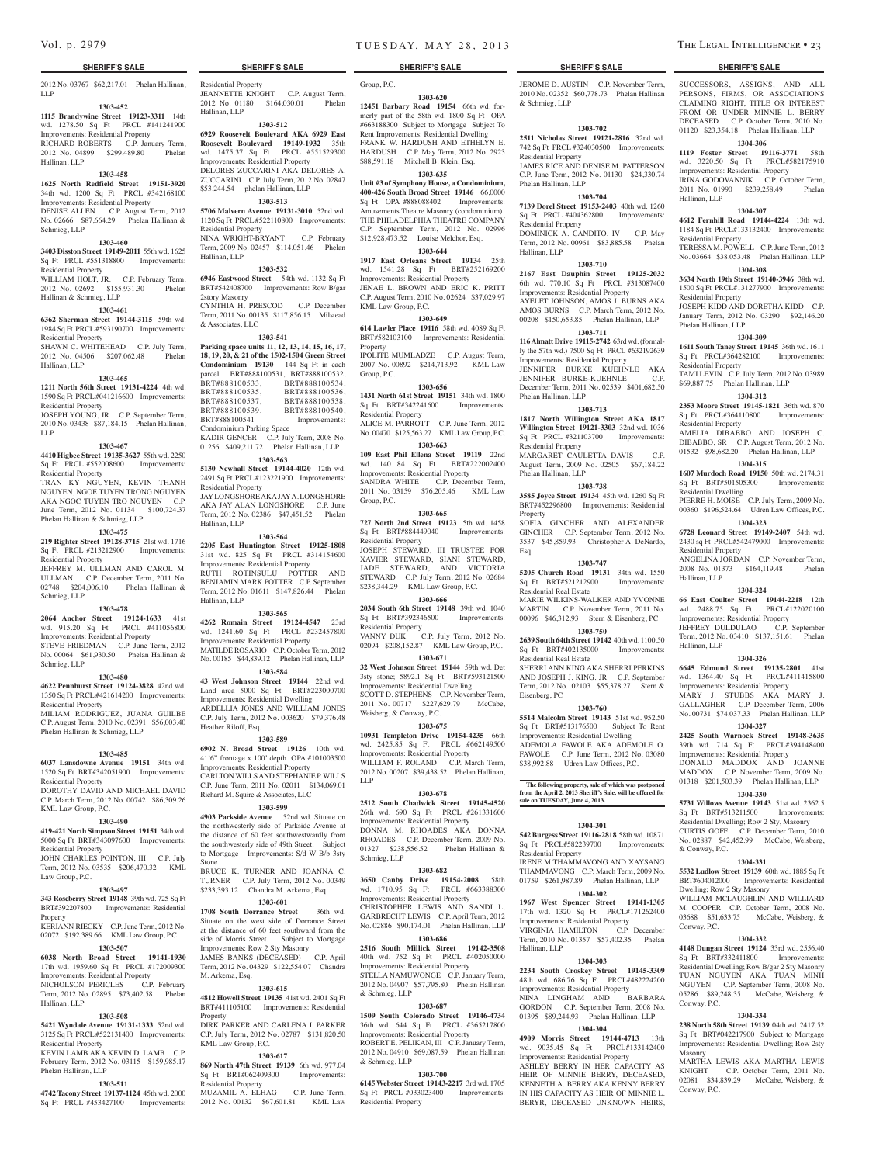#### 2012 No. 03767 \$62,217.01 Phelan Hallinan, LLP

Residential Property

Residential Property

Hallinan, LLP

2story Masonry

& Associates, LLC

BRT#888100535,<br>BRT#888100537,

Residential Property

Hallinan, LLP

Hallinan, LLP

Heather Riloff, Esq.

Stone

M. Arkema, Esq.

KML Law Group, P.C.

Sq Ft BRT#062409300 Residential Property

**Property** 

Condominium Parking Space

Hallinan, LLP

JEANNETTE KNIGHT C.P. August Term, 2012 No. 01180 \$164,030.01 Phelan

**1303-512 6929 Roosevelt Boulevard AKA 6929 East Roosevelt Boulevard 19149-1932** 35th wd. 1475.37 Sq Ft PRCL #551529300 Improvements: Residential Property DELORES ZUCCARINI AKA DELORES A. ZUCCARINI C.P. July Term, 2012 No. 02847 \$53,244.54 phelan Hallinan, LLP **1303-513 5706 Malvern Avenue 19131-3010** 52nd wd. 1120 Sq Ft PRCL #522110800 Improvements:

NINA WRIGHT-BRYANT C.P. February Term, 2009 No. 02457 \$114,051.46 Phelan

**1303-532 6946 Eastwood Street** 54th wd. 1132 Sq Ft BRT#542408700 Improvements: Row B/gar

CYNTHIA H. PRESCOD C.P. December Term, 2011 No. 00135 \$117,856.15 Milstead

**1303-541 Parking space units 11, 12, 13, 14, 15, 16, 17, 18, 19, 20, & 21 of the 1502-1504 Green Street Condominium 19130** 144 Sq Ft in each parcel BRT#888100531, BRT#888100532,<br>BRT#888100533. BRT#888100534. BRT#888100533, BRT#888100534,<br>BRT#888100535, BRT#888100536.

BRT#888100537, BRT#888100538, BRT#888100539, BRT#888100540,<br>BRT#888100541 Improvements:

KADIR GENCER C.P. July Term, 2008 No. 01256 \$409,211.72 Phelan Hallinan, LLP **1303-563 5130 Newhall Street 19144-4020** 12th wd. 2491 Sq Ft PRCL #123221900 Improvements:

JAY LONGSHORE AKA JAY A. LONGSHORE AKA JAY ALAN LONGSHORE C.P. June Term, 2012 No. 02386 \$47,451.52 Phelan

**1303-564 2205 East Huntington Street 19125-1808**  31st wd. 825 Sq Ft PRCL #314154600 Improvements: Residential Property RUTH ROTINSULU POTTER AND BENJAMIN MARK POTTER C.P. September Term, 2012 No. 01611 \$147,826.44 Phelan

**1303-565 4262 Romain Street 19124-4547** 23rd wd. 1241.60 Sq Ft PRCL #232457800 Improvements: Residential Property MATILDE ROSARIO C.P. October Term, 2012 No. 00185 \$44,839.12 Phelan Hallinan, LLP **1303-584 43 West Johnson Street 19144** 22nd wd. Land area 5000 Sq Ft BRT#223000700 Improvements: Residential Dwelling ARDELLIA JONES AND WILLIAM JONES C.P. July Term, 2012 No. 003620 \$79,376.48

**1303-589 6902 N. Broad Street 19126** 10th wd. 41'6" frontage x 100' depth OPA #101003500 Improvements: Residential Property CARLTON WILLS AND STEPHANIE P. WILLS C.P. June Term, 2011 No. 02011 \$134,069.01 Richard M. Squire & Associates, LLC **1303-599 4903 Parkside Avenue** 52nd wd. Situate on the northwesterly side of Parkside Avenue at the distance of 60 feet southwestwardly from the southwesterly side of 49th Street. Subject to Mortgage Improvements: S/d W B/b 3sty

BRUCE K. TURNER AND JOANNA C. TURNER C.P. July Term, 2012 No. 00349 \$233,393.12 Chandra M. Arkema, Esq. **1303-601 1708 South Dorrance Street** 36th wd. Situate on the west side of Dorrance Street at the distance of 60 feet southward from the side of Morris Street. Subject to Mortgage Improvements: Row 2 Sty Masonry JAMES BANKS (DECEASED) C.P. April Term, 2012 No. 04329 \$122,554.07 Chandra

**1303-615 4812 Howell Street 19135** 41st wd. 2401 Sq Ft BRT#411105100 Improvements: Residential

DIRK PARKER AND CARLENA J. PARKER C.P. July Term, 2012 No. 02787 \$131,820.50

**1303-617 869 North 47th Street 19139** 6th wd. 977.04

MUZAMIL A. ELHAG C.P. June Term, 2012 No. 00132 \$67,601.81 KML Law

Improvements:

#### **1303-452**

**1115 Brandywine Street 19123-3311** 14th wd. 1278.50 Sq Ft PRCL #141241900 Improvements: Residential Property RICHARD ROBERTS C.P. January Term,

2012 No. 04899 \$299,489.80 Phelan Hallinan, LLP

## **1303-458**

**1625 North Redfield Street 19151-3920**  34th wd. 1200 Sq Ft PRCL #342168100 Improvements: Residential Property DENISE ALLEN C.P. August Term, 2012 No. 02666 \$87,664.29 Phelan Hallinan & Schmieg, LLP

## **1303-460**

**3403 Disston Street 19149-2011** 55th wd. 1625 Sq Ft PRCL #551318800 Improvements: Residential Property WILLIAM HOLT, JR. C.P. February Term,

2012 No. 02692 \$155,931.30 Phelan Hallinan & Schmieg, LLP

## **1303-461**

**6362 Sherman Street 19144-3115** 59th wd. 1984 Sq Ft PRCL #593190700 Improvements: Residential Property

SHAWN C. WHITEHEAD C.P. July Term, 2012 No. 04506 \$207,062.48 Phelan Hallinan, LLP

#### **1303-465**

**1211 North 56th Street 19131-4224** 4th wd. 1590 Sq Ft PRCL #041216600 Improvements: Residential Property

JOSEPH YOUNG, JR C.P. September Term, 2010 No. 03438 \$87,184.15 Phelan Hallinan, LLP

## **1303-467**

**4410 Higbee Street 19135-3627** 55th wd. 2250 Sq Ft PRCL #552008600 Improvements: Residential Property

TRAN KY NGUYEN, KEVIN THANH NGUYEN, NGOE TUYEN TRONG NGUYEN AKA NGOC TUYEN TRO NGUYEN C.P. June Term, 2012 No. 01134 \$100,724.37 Phelan Hallinan & Schmieg, LLP

## **1303-475**

**219 Righter Street 19128-3715** 21st wd. 1716 Sq Ft PRCL #213212900 Improvements: Residential Property JEFFREY M. ULLMAN AND CAROL M. ULLMAN C.P. December Term, 2011 No.

02748 \$204,006.10 Phelan Hallinan & Schmieg, LLP **1303-478**

**2064 Anchor Street 19124-1633** 41st wd. 915.20 Sq Ft PRCL #411056800 Improvements: Residential Property STEVE FRIEDMAN C.P. June Term, 2012

No. 00064 \$61,930.50 Phelan Hallinan & Schmieg, LLP

#### **1303-480 4622 Pennhurst Street 19124-3828** 42nd wd.

1350 Sq Ft PRCL #421614200 Improvements: Residential Property MILIAM RODRIGUEZ, JUANA GUILBE C.P. August Term, 2010 No. 02391 \$56,003.40

Phelan Hallinan & Schmieg, LLP

#### **1303-485**

**6037 Lansdowne Avenue 19151** 34th wd. 1520 Sq Ft BRT#342051900 Improvements: Residential Property

DOROTHY DAVID AND MICHAEL DAVID C.P. March Term, 2012 No. 00742 \$86,309.26 KML Law Group, P.C.

#### **1303-490**

**419-421 North Simpson Street 19151** 34th wd.

5000 Sq Ft BRT#343097600 Improvements: Residential Property JOHN CHARLES POINTON, III C.P. July

Term, 2012 No. 03535 \$206,470.32 KML Law Group, P.C.

#### **1303-497**

**343 Roseberry Street 19148** 39th wd. 725 Sq Ft BRT#392207800 Improvements: Residential Property

KERIANN RIECKY C.P. June Term, 2012 No. 02072 \$192,389.66 KML Law Group, P.C. **1303-507**

## **6038 North Broad Street 19141-1930**

17th wd. 1959.60 Sq Ft PRCL #172009300 Improvements: Residential Property<br>NICHOLSON PERICLES C.P. February NICHOLSON PERICLES Term, 2012 No. 02895 \$73,402.58 Phelan

#### **1303-508**

Hallinan, LLP

**5421 Wyndale Avenue 19131-1333** 52nd wd. 3125 Sq Ft PRCL #522131400 Improvements:

Residential Property KEVIN LAMB AKA KEVIN D. LAMB C.P. February Term, 2012 No. 03115 \$159,985.17

### Phelan Hallinan, LLP **1303-511**

**4742 Tacony Street 19137-1124** 45th wd. 2000 Sq Ft PRCL #453427100 Improvements:

## Group, P.C.

## **1303-620**

**12451 Barbary Road 19154** 66th wd. formerly part of the 58th wd. 1800 Sq Ft OPA #663188300 Subject to Mortgage Subject To Rent Improvements: Residential Dwelling FRANK W. HARDUSH AND ETHELYN E. HARDUSH C.P. May Term, 2012 No. 2923 \$88,591.18 Mitchell B. Klein, Esq.

#### **1303-635**

**Unit #3 of Symphony House, a Condominium, 400-426 South Broad Street 19146** 66,0000 Sq Ft OPA #888088402 Improvements: Amusements Theatre Masonry (condominium) THE PHILADELPHIA THEATRE COMPANY C.P. September Term, 2012 No. 02996 \$12,928,473.52 Louise Melchor, Esq.

## **1303-644**

**1917 East Orleans Street 19134** 25th wd. 1541.28 Sq Ft BRT#252169200 Improvements: Residential Property JENAE L. BROWN AND ERIC K. PRITT C.P. August Term, 2010 No. 02624 \$37,029.97 KML Law Group, P.C.

#### **1303-649**

**614 Lawler Place 19116** 58th wd. 4089 Sq Ft BRT#582103100 Improvements: Residential Property IPOLITE MUMLADZE C.P. August Term, 2007 No. 00892 \$214,713.92 KML Law Group, P.C.

#### **1303-656**

**1431 North 61st Street 19151** 34th wd. 1800 Sq Ft BRT#342241600 Improvements: Residential Property ALICE M. PARROTT C.P. June Term, 2012 No. 00470 \$125,563.27 KML Law Group, P.C.

**1303-663 109 East Phil Ellena Street 19119** 22nd wd. 1401.84 Sq Ft BRT#222002400 Improvements: Residential Property SANDRA WHITE C.P. December Term,

2011 No. 03159 \$76,205.46 KML Law Group, P.C. **1303-665**

**727 North 2nd Street 19123** 5th wd. 1458

Sq Ft BRT#884449040 Improvements: Residential Property JOSEPH STEWARD, III TRUSTEE FOR XAVIER STEWARD, SIANI STEWARD, JADE STEWARD, AND VICTORIA STEWARD C.P. July Term, 2012 No. 02684 \$238,344.29 KML Law Group, P.C.

## **1303-666**

**2034 South 6th Street 19148** 39th wd. 1040 Sq Ft BRT#392346500 Improvements: Residential Property VANNY DUK C.P. July Term, 2012 No. 02094 \$208,152.87 KML Law Group, P.C.

#### **1303-671**

**32 West Johnson Street 19144** 59th wd. Det 3sty stone; 5892.1 Sq Ft BRT#593121500 Improvements: Residential Dwelling SCOTT D. STEPHENS C.P. November Term, 2011 No. 00717 \$227,629.79 McCabe, Weisberg, & Conway, P.C.

## **1303-675**

**10931 Templeton Drive 19154-4235** 66th wd. 2425.85 Sq Ft PRCL #662149500 Improvements: Residential Property WILLIAM F. ROLAND C.P. March Term, 2012 No. 00207 \$39,438.52 Phelan Hallinan, LLP

#### **1303-678**

**2512 South Chadwick Street 19145-4520**  26th wd. 690 Sq Ft PRCL #261331600 Improvements: Residential Property DONNA M. RHOADES AKA DONNA RHOADES C.P. December Term, 2009 No. 01327 \$238,556.52 Phelan Hallinan & Schmieg, LLP

#### **1303-682**

**3650 Canby Drive 19154-2008** 58th wd. 1710.95 Sq Ft PRCL #663388300 Improvements: Residential Property CHRISTOPHER LEWIS AND SANDI L. GARBRECHT LEWIS C.P. April Term, 2012 No. 02886 \$90,174.01 Phelan Hallinan, LLP

### **1303-686**

**2516 South Millick Street 19142-3508**  40th wd. 752 Sq Ft PRCL #402050000 Improvements: Residential Property STELLA NAMUWONGE C.P. January Term, 2012 No. 04907 \$57,795.80 Phelan Hallinan & Schmieg, LLP

#### **1303-687**

**1509 South Colorado Street 19146-4734**  36th wd. 644 Sq Ft PRCL #365217800 Improvements: Residential Property ROBERT E. PELIKAN, III C.P. January Term, 2012 No. 04910 \$69,087.59 Phelan Hallinan & Schmieg, LLP

#### **1303-700**

**6145 Webster Street 19143-2217** 3rd wd. 1705 Sq Ft PRCL #033023400 Residential Property

## **SHERIFF'S SALE SHERIFF'S SALE SHERIFF'S SALE SHERIFF'S SALE SHERIFF'S SALE**

JEROME D. AUSTIN C.P. November Term, 2010 No. 02352 \$60,778.73 Phelan Hallinan & Schmieg, LLP

SUCCESSORS, ASSIGNS, AND ALL PERSONS, FIRMS, OR ASSOCIATIONS CLAIMING RIGHT, TITLE OR INTEREST FROM OR UNDER MINNIE L. BERRY DECEASED C.P. October Term, 2010 No. 01120 \$23,354.18 Phelan Hallinan, LLP **1304-306 1119 Foster Street 19116-3771** 58th wd. 3220.50 Sq Ft PRCL#582175910 Improvements: Residential Property IRINA GODOVANNIK C.P. October Term, 2011 No. 01990 \$239,258.49 Phelan

**1304-307 4612 Fernhill Road 19144-4224** 13th wd. 1184 Sq Ft PRCL#133132400 Improvements:

TERESSA M. POWELL C.P. June Term, 2012 No. 03664 \$38,053.48 Phelan Hallinan, LLP **1304-308 3634 North 19th Street 19140-3946** 38th wd. 1500 Sq Ft PRCL#131277900 Improvements:

JOSEPH KIDD AND DORETHA KIDD C.P. January Term, 2012 No. 03290 \$92,146.20

**1304-309 1611 South Taney Street 19145** 36th wd. 1611 Sq Ft PRCL#364282100 Improvements:

TAMI LEVIN C.P. July Term, 2012 No. 03989 \$69,887.75 Phelan Hallinan, LLP **1304-312 2353 Moore Street 19145-1821** 36th wd. 870 Sq Ft PRCL#364110800 Improvements:

AMELIA DIBABBO AND JOSEPH C. DIBABBO, SR C.P. August Term, 2012 No. 01532 \$98,682.20 Phelan Hallinan, LLP **1304-315 1607 Murdoch Road 19150** 50th wd. 2174.31 Sq Ft BRT#501505300 Improvements:

PIERRE H. MOISE C.P. July Term, 2009 No. 00360 \$196,524.64 Udren Law Offices, P.C. **1304-323 6728 Leonard Street 19149-2407** 54th wd. 2430 sq Ft PRCL#542479000 Improvements:

ANGELINA JORDAN C.P. November Term, 2008 No. 01373 \$164,119.48 Phelan

**1304-324 66 East Coulter Street 19144-2218** 12th wd. 2488.75 Sq Ft PRCL#122020100 Improvements: Residential Property JEFFREY DULDULAO C.P. September Term, 2012 No. 03410 \$137,151.61 Phelan

**1304-326 6645 Edmund Street 19135-2801** 41st wd. 1364.40 Sq Ft PRCL#411415800 Improvements: Residential Property MARY J. STUBBS AKA MARY J. GALLAGHER C.P. December Term, 2006 No. 00731 \$74,037.33 Phelan Hallinan, LLP **1304-327 2425 South Warnock Street 19148-3635**  39th wd. 714 Sq Ft PRCL#394148400 Improvements: Residential Property DONALD MADDOX AND JOANNE MADDOX C.P. November Term, 2009 No. 01318 \$201,503.39 Phelan Hallinan, LLP **1304-330 5731 Willows Avenue 19143** 51st wd. 2362.5 Sq Ft BRT#513211500 Improvements: Residential Dwelling; Row 2 Sty, Masonry CURTIS GOFF C.P. December Term, 2010 No. 02887 \$42,452.99 McCabe, Weisberg,

**1304-331 5532 Ludlow Street 19139** 60th wd. 1885 Sq Ft BRT#604012000 Improvements: Residential

WILLIAM MCLAUGHLIN AND WILLIARD M. COOPER C.P. October Term, 2008 No. 03688 \$51,633.75 McCabe, Weisberg, &

**1304-332 4148 Dungan Street 19124** 33rd wd. 2556.40

Residential Dwelling; Row B/gar 2 Sty Masonry TUAN NGUYEN AKA TUAN MINH NGUYEN C.P. September Term, 2008 No. 05286 \$89,248.35 McCabe, Weisberg, &

**1304-334 238 North 58th Street 19139** 04th wd. 2417.52 Sq Ft BRT#042217900 Subject to Mortgage Improvements: Residential Dwelling; Row 2sty

MARTHA LEWIS AKA MARTHA LEWIS KNIGHT C.P. October Term, 2011 No. 02081 \$34,839.29 McCabe, Weisberg, &

Hallinan, LLP

Residential Property

Residential Property

Phelan Hallinan, LLP

Residential Property

Residential Property

Residential Dwelling

Residential Property

Hallinan, LLP

Hallinan, LLP

& Conway, P.C.

Conway, P.C.

Conway, P.C.

Masonry

Conway, P.C.

Dwelling; Row 2 Sty Masonry

Sq Ft BRT#332411800

### **1303-702**

**2511 Nicholas Street 19121-2816** 32nd wd. 742 Sq Ft PRCL #324030500 Improvements: Residential Property JAMES RICE AND DENISE M. PATTERSON C.P. June Term, 2012 No. 01130 \$24,330.74 Phelan Hallinan, LLP

## **1303-704**

**7139 Dorel Street 19153-2403** 40th wd. 1260 Sq Ft PRCL #404362800 Improvements: Residential Property DOMINICK A. CANDITO, IV C.P. May Term, 2012 No. 00961 \$83,885.58 Phelan Hallinan, LLP

#### **1303-710 2167 East Dauphin Street 19125-2032**

6th wd. 770.10 Sq Ft PRCL #313087400 Improvements: Residential Property AYELET JOHNSON, AMOS J. BURNS AKA AMOS BURNS C.P. March Term, 2012 No. 00208 \$150,653.85 Phelan Hallinan, LLP **1303-711**

**116 Almatt Drive 19115-2742** 63rd wd. (formal-

ly the 57th wd.) 7500 Sq Ft PRCL #632192639 Improvements: Residential Property JENNIFER BURKE KUEHNLE AKA<br>JENNIFER BURKE-KUEHNLE C.P. JENNIFER BURKE-KUEHNLE December Term, 2011 No. 02539 \$401,682.50 Phelan Hallinan, LLP

#### **1303-713 1817 North Willington Street AKA 1817**

**Willington Street 19121-3303** 32nd wd. 1036 Sq Ft PRCL #321103700 Improvements: Residential Property MARGARET CAULETTA DAVIS C.P.

August Term, 2009 No. 02505 \$67,184.22 Phelan Hallinan, LLP **1303-738**

**3585 Joyce Street 19134** 45th wd. 1260 Sq Ft BRT#452296800 Improvements: Residential Property SOFIA GINCHER AND ALEXANDER

GINCHER C.P. September Term, 2012 No. 3537 \$45,859.93 Christopher A. DeNardo, Esq. **1303-747**

**5205 Church Road 19131** 34th wd. 1550<br>
Sq Ft BRT#521212900 Improvements: Sq Ft BRT#521212900 Residential Real Estate

MARIE WILKINS-WALKER AND YVONNE MARTIN C.P. November Term, 2011 No. 00096 \$46,312.93 Stern & Eisenberg, PC **1303-750**

## **2639 South 64th Street 19142** 40th wd. 1100.50

Sq Ft BRT#402135000 Improvements: Residential Real Estate SHERRI ANN KING AKA SHERRI PERKINS

AND JOSEPH J. KING. JR C.P. September Term, 2012 No. 02103 \$55,378.27 Stern & Eisenberg, PC

Sq Ft BRT#513176500 Subject To Rent Improvements: Residential Dwelling ADEMOLA FAWOLE AKA ADEMOLE O. FAWOLE C.P. June Term, 2012 No. 03080 \$38,992.88 Udren Law Offices, P.C.

**The following property, sale of which was postponed from the April 2, 2013 Sheriff's Sale, will be offered for** 

**1304-301 542 Burgess Street 19116-2818** 58th wd. 10871 Sq Ft PRCL#582239700 Improvements:

IRENE M THAMMAVONG AND XAYSANG THAMMAVONG C.P. March Term, 2009 No. 01759 \$261,987.89 Phelan Hallinan, LLP **1304-302 1967 West Spencer Street 19141-1305**  17th wd. 1320 Sq Ft PRCL#171262400 Improvements: Residential Property<br>VIRGINIA HAMILTON C.P. December VIRGINIA HAMILTON C.P. December Term, 2010 No. 01357 \$57,402.35 Phelan

**1304-303 2234 South Croskey Street 19145-3309**  48th wd. 686.76 Sq Ft PRCL#482224200 Improvements: Residential Property NINA LINGHAM AND BARBARA GORDON C.P. September Term, 2008 No. 01395 \$89,244.93 Phelan Hallinan, LLP **1304-304 4909 Morris Street 19144-4713** 13th wd. 9035.45 Sq Ft PRCL#133142400 Improvements: Residential Property ASHLEY BERRY IN HER CAPACITY AS HEIR OF MINNIE BERRY, DECEASED, KENNETH A. BERRY AKA KENNY BERRY IN HIS CAPACITY AS HEIR OF MINNIE L. BERYR, DECEASED UNKNOWN HEIRS,

**sale on TUESDAY, June 4, 2013.**

Residential Property

Hallinan, LLP

#### **1303-760 5514 Malcolm Street 19143** 51st wd. 952.50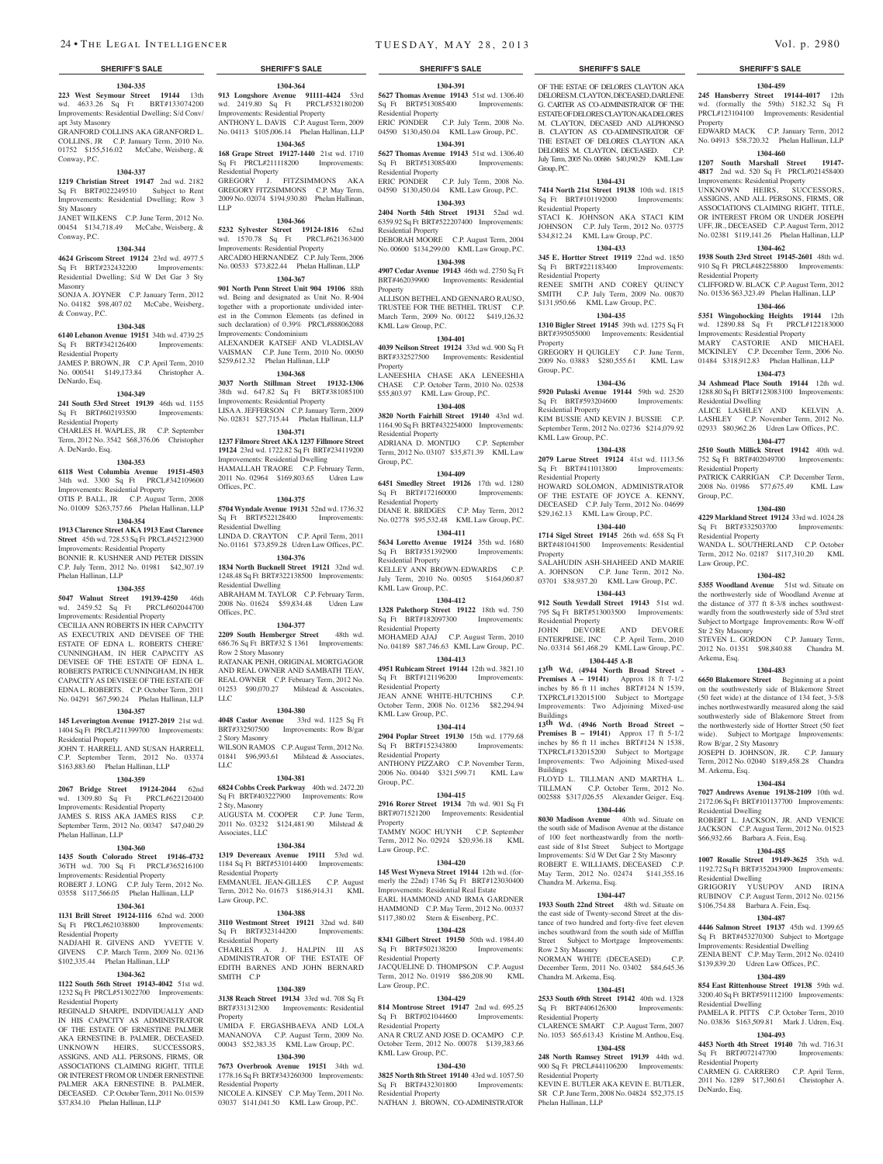**1304-335 223 West Seymour Street 19144** 13th wd. 4633.26 Sq Ft BRT#133074200 Improvements: Residential Dwelling; S/d Conv/ apt 3sty Masonry GRANFORD COLLINS AKA GRANFORD L.

COLLINS, JR C.P. January Term, 2010 No. 01752 \$155,516.02 McCabe, Weisberg, & Conway, P.C.

### **1304-337**

**1219 Christian Street 19147** 2nd wd. 2182 Sq Ft BRT#022249510 Subject to Rent Improvements: Residential Dwelling; Row 3 Sty Masonry

JANET WILKENS C.P. June Term, 2012 No. 00454 \$134,718.49 McCabe, Weisberg, & Conway, P.C.

### **1304-344**

**4624 Griscom Street 19124** 23rd wd. 4977.5 Sq Ft BRT#232432200 Improvements: Residential Dwelling; S/d W Det Gar 3 Sty Masonry SONJA A. JOYNER C.P. January Term, 2012

No. 04182 \$98,407.02 McCabe, Weisberg, & Conway, P.C.

## **1304-348**

**6140 Lebanon Avenue 19151** 34th wd. 4739.25 Sq Ft BRT#342126400 Improvements: Residential Property

JAMES P. BROWN, JR C.P. April Term, 2010 No. 000541 \$149,173.84 Christopher A. DeNardo, Esq.

#### **1304-349**

**241 South 53rd Street 19139** 46th wd. 1155 Sq Ft BRT#602193500 Improvements: Residential Property

CHARLES H. WAPLES, JR C.P. September Term, 2012 No. 3542 \$68,376.06 Christopher A. DeNardo, Esq.

#### **1304-353**

**6118 West Columbia Avenue 19151-4503**  34th wd. 3300 Sq Ft PRCL#342109600 Improvements: Residential Property OTIS P. BALL, JR C.P. August Term, 2008 No. 01009 \$263,757.66 Phelan Hallinan, LLP

### **1304-354**

**1913 Clarence Street AKA 1913 East Clarence Street** 45th wd. 728.53 Sq Ft PRCL#452123900 Improvements: Residential Property BONNIE R. KUSHNER AND PETER DISSIN C.P. July Term, 2012 No. 01981 \$42,307.19 Phelan Hallinan, LLP

## **1304-355**

**5047 Walnut Street 19139-4250** 46th wd. 2459.52 Sq Ft PRCL#602044700 Improvements: Residential Property CECILIA ANN ROBERTS IN HER CAPACITY AS EXECUTRIX AND DEVISEE OF THE ESTATE OF EDNA L. ROBERTS CHERE' CUNNINGHAM, IN HER CAPACITY AS DEVISEE OF THE ESTATE OF EDNA L. ROBERTS PATRICE CUNNINGHAM, IN HER CAPACITY AS DEVISEE OF THE ESTATE OF EDNA L. ROBERTS. C.P. October Term, 2011 No. 04291 \$67,590.24 Phelan Hallinan, LLP

#### **1304-357**

**145 Leverington Avenue 19127-2019** 21st wd. 1404 Sq Ft PRCL#211399700 Improvements: Residential Property

JOHN T. HARRELL AND SUSAN HARRELL C.P. September Term, 2012 No. 03374 \$163,883.60 Phelan Hallinan, LLP

## **1304-359**

**2067 Bridge Street 19124-2044** 62nd wd. 1309.80 Sq Ft PRCL#622120400 Improvements: Residential Property JAMES S. RISS AKA JAMES RISS C.P. September Term, 2012 No. 00347 \$47,040.29 Phelan Hallinan, LLP

#### **1304-360**

**1435 South Colorado Street 19146-4732**  36TH wd. 700 Sq Ft PRCL#365216100

Improvements: Residential Property ROBERT J. LONG C.P. July Term, 2012 No. 03558 \$117,566.05 Phelan Hallinan, LLP

## **1304-361**

**1131 Brill Street 19124-1116** 62nd wd. 2000 Sq Ft PRCL#621038800 Improvements: Residential Property

NADJAHI R. GIVENS AND YVETTE V. GIVENS C.P. March Term, 2009 No. 02136 \$102,335.44 Phelan Hallinan, LLP

#### **1304-362**

**1122 South 56th Street 19143-4042** 51st wd. 1232 Sq Ft PRCL#513022700 Improvements: Residential Property

REGINALD SHARPE, INDIVIDUALLY AND IN HIS CAPACITY AS ADMINISTRATOR OF THE ESTATE OF ERNESTINE PALMER AKA ERNESTINE B. PALMER, DECEASED. UNKNOWN HEIRS, SUCCESSORS, ASSIGNS, AND ALL PERSONS, FIRMS, OR ASSOCIATIONS CLAIMING RIGHT, TITLE OR INTEREST FROM OR UNDER ERNESTINE PALMER AKA ERNESTINE B. PALMER, DECEASED. C.P. October Term, 2011 No. 01539 \$37,834.10 Phelan Hallinan, LLP

**1304-364 913 Longshore Avenue 91111-4424** 53rd wd. 2419.80 Sq Ft PRCL#532180200 Improvements: Residential Property ANTHONY L. DAVIS C.P. August Term, 2009 No. 04113 \$105,006.14 Phelan Hallinan, LLP

## **1304-365**

**168 Grape Street 19127-1440** 21st wd. 1710 Sq Ft PRCL#211118200 Improvements: Residential Property GREGORY J. FITZSIMMONS AKA

GREGORY FITZSIMMONS C.P. May Term, 2009 No. 02074 \$194,930.80 Phelan Hallinan, LLP

### **1304-366**

**5232 Sylvester Street 19124-1816** 62nd wd. 1570.78 Sq Ft Improvements: Residential Property ARCADIO HERNANDEZ C.P. July Term, 2006 No. 00533 \$73,822.44 Phelan Hallinan, LLP

**901 North Penn Street Unit 904 19106** 88th wd. Being and designated as Unit No. R-904 together with a proportionate undivided interest in the Common Elements (as defined in such declaration) of 0.39% PRCL#888062088

Improvements: Condominium ALEXANDER KATSEF AND VLADISLAV VAISMAN C.P. June Term, 2010 No. 00050 \$259,612.32 Phelan Hallinan, LLP

**3037 North Stillman Street 19132-1306**  38th wd. 647.82 Sq Ft BRT#381085100 Improvements: Residential Property LISA A. JEFFERSON C.P. January Term, 2009

**1304-371**

**19124** 23rd wd. 1722.82 Sq Ft BRT#234119200 Improvements: Residential Dwelling HAMALLAH TRAORE C.P. February Term, 2011 No. 02964 \$169,803.65 Udren Law

Offices, P.C. **1304-375**

**5704 Wyndale Avenue 19131** 52nd wd. 1736.32<br>
Sq Ft BRT#522128400 Improvements: Sq Ft BRT#522128400 Residential Dwelling LINDA D. CRAYTON C.P. April Term, 2011 No. 01161 \$73,859.28 Udren Law Offices, P.C.

**1304-376 1834 North Bucknell Street 19121** 32nd wd.

Residential Dwelling 2008 No. 01624 \$59,834.48 Udren Law Offices, P.C.

### **1304-377**

**2209 South Hemberger Street** 48th wd. 686.76 Sq Ft BRT#32 S 1361 Improvements: Row 2 Story Masonry RATANAK PENH, ORIGINAL MORTGAGOR AND REAL OWNER AND SAMBATH TEAV, REAL OWNER C.P. February Term, 2012 No. 01253 \$90,070.27 Milstead & Asscoiates, LLC

#### **1304-380**

**4048 Castor Avenue** 33rd wd. 1125 Sq Ft BRT#332507500 Improvements: Row B/gar 2 Story Masonry WILSON RAMOS C.P. August Term, 2012 No. 01841 \$96,993.61 Milstead & Associates,  $\overline{L}$ 

Sq Ft BRT#403227900 Improvements: Row 2 Sty, Masonry AUGUSTA M. COOPER C.P. June Term, 2011 No. 03232 \$124,481.90 Milstead &

#### **1304-384**

**1319 Devereaux Avenue 19111** 53rd wd. 1184 Sq Ft BRT#531014400 Improvements: Residential Property EMMANUEL JEAN-GILLES C.P. August Term, 2012 No. 01673 \$186,914.31 KML Law Group, P.C.

**3110 Westmont Street 19121** 32nd wd. 840 Sq Ft BRT#323144200 Improvements: Residential Property CHARLES A. J. HALPIN III AS ADMINISTRATOR OF THE ESTATE OF EDITH BARNES AND JOHN BERNARD SMITH C.P

#### **1304-389**

**3138 Reach Street 19134** 33rd wd. 708 Sq Ft BRT#331312300 Improvements: Residential **Property** UMIDA F. ERGASHBAEVA AND LOLA MANANOVA C.P. August Term, 2009 No. 00043 \$52,383.35 KML Law Group, P.C.

#### **1304-390**

**7673 Overbrook Avenue 19151** 34th wd. 1778.16 Sq Ft BRT#343260300 Improvements:

Residential Property NICOLE A. KINSEY C.P. May Term, 2011 No. 03037 \$141,041.50 KML Law Group, P.C.

#### **SHERIFF'S SALE SHERIFF'S SALE SHERIFF'S SALE SHERIFF'S SALE SHERIFF'S SALE**

OF THE ESTAE OF DELORES CLAYTON AKA DELORES M. CLAYTON, DECEASED, DARLENE G. CARTER AS CO-ADMINISTRATOR OF THE ESTATE OF DELORES CLAYTON AKA DELORES M. CLAYTON, DECASED AND ALPHONSO B. CLAYTON AS CO-ADMINSTRATOR OF THE ESTAET OF DELORES CLAYTON AKA DELORES M. CLAYTON, DECEASED. C.P. July Term, 2005 No. 00686 \$40,190.29 KML Law

**1304-459 245 Hansberry Street 19144-4017** 12th wd. (formally the 59th) 5182.32 Sq Ft PRCL#123104100 Improvements: Residential

EDWARD MACK C.P. January Term, 2012 No. 04913 \$58,720.32 Phelan Hallinan, LLP **1304-460 1207 South Marshall Street 19147- 4817** 2nd wd. 520 Sq Ft PRCL#021458400 Improvements: Residential Property

UNKNOWN HEIRS, SUCCESSORS, ASSIGNS, AND ALL PERSONS, FIRMS, OR ASSOCIATIONS CLAIMING RIGHT, TITLE, OR INTEREST FROM OR UNDER JOSEPH UFF, JR., DECEASED C.P. August Term, 2012 No. 02381 \$119,141.26 Phelan Hallinan, LLP **1304-462 1938 South 23rd Street 19145-2601** 48th wd. 910 Sq Ft PRCL#482258800 Improvements:

CLIFFORD W. BLACK C.P. August Term, 2012 No. 01536 \$63,323.49 Phelan Hallinan, LLP **1304-466 5351 Wingohocking Heights 19144** 12th wd. 12890.88 Sq Ft PRCL#122183000 Improvements: Residential Property MARY CASTORIE AND MICHAEL MCKINLEY C.P. December Term, 2006 No. 01484 \$318,912.83 Phelan Hallinan, LLP **1304-473 34 Ashmead Place South 19144** 12th wd. 1288.80 Sq Ft BRT#123083100 Improvements:

ALICE LASHLEY AND KELVIN A. LASHLEY C.P. November Term, 2012 No. 02933 \$80,962.26 Udren Law Offices, P.C. **1304-477 2510 South Millick Street 19142** 40th wd. 752 Sq Ft BRT#402049700 Improvements:

PATRICK CARRIGAN C.P. December Term, 2008 No. 01986 \$77,675.49 KML Law

**1304-480 4229 Markland Street 19124** 33rd wd. 1024.28 Sq Ft BRT#332503700 Improvements:

WANDA L. SOUTHERLAND C.P. October Term, 2012 No. 02187 \$117,310.20 KML

**1304-482 5355 Woodland Avenue** 51st wd. Situate on the northwesterly side of Woodland Avenue at the distance of 377 ft 8-3/8 inches southwestwardly from the southwesterly side of 53rd stret Subject to Mortgage Improvements: Row W-off

STEVEN L. GORDON C.P. January Term, 2012 No. 01351 \$98,840.88 Chandra M.

**1304-483 6650 Blakemore Street** Beginning at a point on the southwesterly side of Blakemore Street (50 feet wide) at the distance of 134 feet, 3-5/8 inches northwestwardly measured along the said southwesterly side of Blakemore Street from the northwesterly side of Hortter Street (50 feet wide). Subject to Mortgage Improvements:

JOSEPH D. JOHNSON, JR. C.P. January Term, 2012 No. 02040 \$189,458.28 Chandra

**1304-484 7027 Andrews Avenue 19138-2109** 10th wd. 2172.06 Sq Ft BRT#101137700 Improvements:

ROBERT L. JACKSON, JR. AND VENICE JACKSON C.P. August Term, 2012 No. 01523 \$66,932.66 Barbara A. Fein, Esq. **1304-485 1007 Rosalie Street 19149-3625** 35th wd. 1192.72 Sq Ft BRT#352043900 Improvements:

GRIGORIY YUSUPOV AND IRINA RUBINOV C.P. August Term, 2012 No. 02156 \$106,754.88 Barbara A. Fein, Esq. **1304-487 4446 Salmon Street 19137** 45th wd. 1399.65 Sq Ft BRT#453270300 Subject to Mortgage Improvements: Residential Dwelling ZENIA BENT C.P. May Term, 2012 No. 02410 \$139,839.20 Udren Law Offices, P.C. **1304-489 854 East Rittenhouse Street 19138** 59th wd. 3200.40 Sq Ft BRT#591112100 Improvements:

PAMELA R. PITTS C.P. October Term, 2010 No. 03836 \$163,509.81 Mark J. Udren, Esq. **1304-493 4453 North 4th Street 19140** 7th wd. 716.31 Sq Ft BRT#072147700 Improvements:

CARMEN G. CARRERO C.P. April Term, 2011 No. 1289 \$17,360.61 Christopher A.

Property

Residential Property

Residential Dwelling

Residential Property

Residential Property

Law Group, P.C.

Str 2 Sty Masonry

Row B/gar, 2 Sty Masonry

M. Arkema, Esq.

Residential Dwelling

Residential Dwelling

Residential Dwelling

Sq Ft BRT#072147700 Residential Property

DeNardo, Esq.

Arkema, Esq.

Group, P.C.

**1304-431 7414 North 21st Street 19138** 10th wd. 1815

STACI K. JOHNSON AKA STACI KIM JOHNSON C.P. July Term, 2012 No. 03775 \$34,812.24 KML Law Group, P.C. **1304-433 345 E. Hortter Street 19119** 22nd wd. 1850 Sq Ft BRT#221183400 Improvements:

RENEE SMITH AND COREY QUINCY SMITH C.P. July Term, 2009 No. 00870 \$131,950.66 KML Law Group, P.C. **1304-435 1310 Bigler Street 19145** 39th wd. 1275 Sq Ft BRT#395055000 Improvements: Residential

GREGORY H QUIGLEY C.P. June Term, 2009 No. 03883 \$280,555.61 KML Law

**1304-436 5920 Pulaski Avenue 19144** 59th wd. 2520<br>Sq Ft BRT#593204600 Improvements:

KIM BUSSIE AND KEVIN J. BUSSIE C.P. September Term, 2012 No. 02736 \$214,079.92

**1304-438 2079 Larue Street 19124** 41st wd. 1113.56 Sq Ft BRT#411013800 Improvements:

HOWARD SOLOMON, ADMINISTRATOR OF THE ESTATE OF JOYCE A. KENNY, DECEASED C.P. July Term, 2012 No. 04699 \$29,162.13 KML Law Group, P.C. **1304-440 1714 Sigel Street 19145** 26th wd. 658 Sq Ft BRT#481041500 Improvements: Residential

SALAHUDIN ASH-SHAHEED AND MARIE A. JOHNSON C.P. June Term, 2012 No. 03701 \$38,937.20 KML Law Group, P.C. **1304-443 912 South Yewdall Street 19143** 51st wd. 795 Sq Ft BRT#513003500 Improvements:

JOHN DEVORE AND DEVORE ENTERPRISE, INC C.P. April Term, 2010 No. 03314 \$61,468.29 KML Law Group, P.C. **1304-445 A-B 13th Wd. (4944 North Broad Street - Premises A – 19141)** Approx 18 ft 7-1/2 inches by 86 ft 11 inches BRT#124 N 1539, TXPRCL#132015100 Subject to Mortgage Improvements: Two Adjoining Mixed-use

**13th Wd.** (**4946 North Broad Street – Premises B – 19141)** Approx 17 ft 5-1/2 inches by 86 ft 11 inches BRT#124 N 1538, TXPRCL#132015200 Subject to Mortgage Improvements: Two Adjoining Mixed-used

FLOYD L. TILLMAN AND MARTHA L. TILLMAN C.P. October Term, 2012 No. 002588 \$317,026.55 Alexander Geiger, Esq. **1304-446 8030 Madison Avenue** 40th wd. Situate on the south side of Madison Avenue at the distance of 100 feet northeastwardly from the northeast side of 81st Street Subject to Mortgage Improvements: S/d W Det Gar 2 Sty Masonry ROBERT E. WILLIAMS, DECEASED C.P. May Term, 2012 No. 02474 \$141,355.16

**1304-447 1933 South 22nd Street** 48th wd. Situate on the east side of Twenty-second Street at the distance of two hundred and forty-five feet eleven inches southward from the south side of Mifflin Street Subject to Mortgage Improvements:

NORMAN WHITE (DECEASED) C.P. December Term, 2011 No. 03402 \$84,645.36

**1304-451 2533 South 69th Street 19142** 40th wd. 1328<br>Sq Ft BRT#406126300 Improvements:

CLARENCE SMART C.P. August Term, 2007 No. 1053 \$65,613.43 Kristine M. Anthou, Esq. **1304-458 248 North Ramsey Street 19139** 44th wd. 900 Sq Ft PRCL#441106200 Improvements:

KEVIN E. BUTLER AKA KEVIN E. BUTLER, SR C.P. June Term, 2008 No. 04824 \$52,375.15

Group, P.C.

Sq Ft BRT#101192000 Residential Property

Residential Property

Property

Group, P.C.

Sq Ft BRT#593204600 Residential Property

KML Law Group, P.C.

Residential Property

Residential Property

Property

Buildings

Buildings

Chandra M. Arkema, Esq.

Row 2 Sty Masonry

Chandra M. Arkema, Esq.

Sq Ft BRT#406126300 Residential Property

Residential Property

Phelan Hallinan, LLP

**1304-391 5627 Thomas Avenue 19143 51st wd. 1306.40**<br>Sq Ft BRT#513085400 Improvements: Sq Ft BRT#513085400 Residential Property ERIC PONDER C.P. July Term, 2008 No. EKIC PUNDER C.I. July 10111, 2000 110<br>04590 \$130,450.04 KML Law Group, P.C.

**1304-391**

**1304-393**

**1304-398**

ALLISON BETHEL AND GENNARO RAUSO, TRUSTEE FOR THE BETHEL TRUST C.P. March Term, 2009 No. 00122 \$419,126.32

**1304-401 4039 Neilson Street 19124** 33rd wd. 900 Sq Ft BRT#332527500 Improvements: Residential

LANEESHIA CHASE AKA LENEESHIA

**1304-408**

ADRIANA D. MONTIJO C.P. September Term, 2012 No. 03107 \$35,871.39 KML Law

**1304-409 6451 Smedley Street 19126** 17th wd. 1280  $\text{Sq } \text{Ft } \text{ BRT#172160000}$  Improvements:

DIANE R. BRIDGES C.P. May Term, 2012 No. 02778 \$95,532.48 KML Law Group, P.C. **1304-411 5634 Loretto Avenue 19124** 35th wd. 1680 Sq Ft BRT#351392900 Improvements:

KELLEY ANN BROWN-EDWARDS C.P. July Term, 2010 No. 00505 \$164,060.87

**1304-412 1328 Palethorp Street 19122** 18th wd. 750 Sq Ft BRT#182097300 Improvements:

MOHAMED AJAJ C.P. August Term, 2010 No. 04189 \$87,746.63 KML Law Group, P.C. **1304-413 4951 Rubicam Street 19144** 12th wd. 3821.10 Sq Ft BRT#121196200 Improvements:

JEAN ANNE WHITE-HUTCHINS October Term, 2008 No. 01236 \$82,294.94

**1304-414 2904 Poplar Street 19130** 15th wd. 1779.68 Sq Ft BRT#152343800 Improvements:

ANTHONY PIZZARO C.P. November Term, 2006 No. 00440 \$321,599.71 KML Law

**1304-415 2916 Rorer Street 19134** 7th wd. 901 Sq Ft BRT#071521200 Improvements: Residential

TAMMY NGOC HUYNH C.P. September<br>Term. 2012 No. 02924 \$20.936.18 KML Term, 2012 No. 02924 \$20,936.18

**1304-420 145 West Wyneva Street 19144** 12th wd. (formerly the  $22n$ d) 1746 Sq Ft BRT#123030400 Improvements: Residential Real Estate EARL HAMMOND AND IRMA GARDNER HAMMOND C.P. May Term, 2012 No. 00337 \$117,380.02 Stern & Eisenberg, P.C. **1304-428 8341 Gilbert Street 19150** 50th wd. 1984.40 Sq Ft BRT#502138200 Improvements:

JACQUELINE D. THOMPSON C.P. August<br>Term, 2012 No. 01919 \$86,208.90 KML Term, 2012 No. 01919 \$86,208.90

**1304-429 814 Montrose Street 19147** 2nd wd. 695.25 Sq Ft BRT#021044600 Improvements:

ANA R CRUZ AND JOSE D. OCAMPO C.P. October Term, 2012 No. 00078 \$139,383.66

**1304-430 3825 North 8th Street 19140** 43rd wd. 1057.50 Sq Ft BRT#432301800 Improvements:

NATHAN J. BROWN, CO-ADMINISTRATOR

**5627 Thomas Avenue 19143 51st wd. 1306.40**<br>Sq Ft BRT#513085400 Improvements: Sq Ft BRT#513085400 Improvements: Residential Property ERIC PONDER C.P. July Term, 2008 No. 04590 \$130,450.04 KML Law Group, P.C.

> **2404 North 54th Street 19131** 52nd wd. 6359.92 Sq Ft BRT#522207400 Improvements:

Residential Property DEBORAH MOORE C.P. August Term, 2004 No. 00600 \$134,299.00 KML Law Group, P.C.

**Property** 

Property

Group, P.C.

Residential Property

Residential Property

KML Law Group, P.C.

Residential Property

Residential Property

KML Law Group, P.C.

Residential Property

Group, P.C.

Property

Law Group, P.C.

Residential Property

Residential Property

KML Law Group, P.C.

Residential Property

Law Group, P.C.

KML Law Group, P.C.

**1304-367 4907 Cedar Avenue 19143** 46th wd. 2750 Sq Ft BRT#462039900 Improvements: Residential

#### **1304-368**

No. 02831 \$27,715.44 Phelan Hallinan, LLP CHASE C.P. October Term, 2010 No. 02538 \$55,803.97 KML Law Group, P.C. **3820 North Fairhill Street 19140** 43rd wd. 1164.90 Sq Ft BRT#432254000 Improvements: Residential Property

## **1237 Filmore Street AKA 1237 Fillmore Street**

1248.48 Sq Ft BRT#322138500 Improvements: ABRAHAM M. TAYLOR C.P. February Term,

#### **1304-381**

**6824 Cobbs Creek Parkway** 40th wd. 2472.20

#### Associates, LLC

#### **1304-388**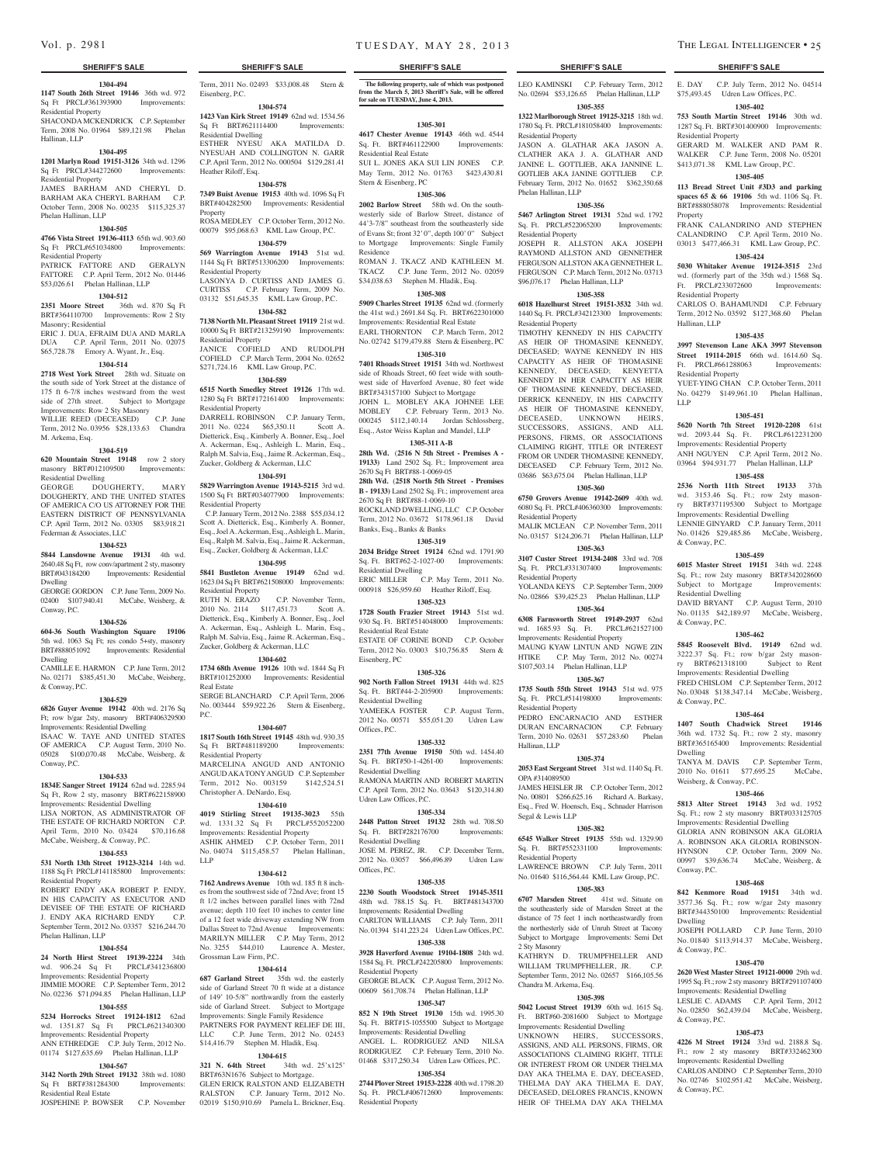#### **1304-494**

Term, 2011 No. 02493 \$33,008.48 Stern &

**1304-574 1423 Van Kirk Street 19149** 62nd wd. 1534.56 Sq Ft BRT#621114400 Improvements:

ESTHER NYESU AKA MATILDA D. NYESUAH AND COLLINGTON N. GARR C.P. April Term, 2012 No. 000504 \$129,281.41

**1304-578 7349 Buist Avenue 19153** 40th wd. 1096 Sq Ft BRT#404282500 Improvements: Residential

ROSA MEDLEY C.P. October Term, 2012 No. 00079 \$95,068.63 KML Law Group, P.C. **1304-579 569 Warrington Avenue 19143** 51st wd. 1144 Sq Ft BRT#513306200 Improvements:

LASONYA D. CURTISS AND JAMES G. CURTISS C.P. February Term, 2009 No. 03132 \$51,645.35 KML Law Group, P.C. **1304-582 7138 North Mt. Pleasant Street 19119** 21st wd. 10000 Sq Ft BRT#213259190 Improvements:

JANICE COFIELD AND RUDOLPH COFIELD C.P. March Term, 2004 No. 02652 \$271,724.16 KML Law Group, P.C. **1304-589 6515 North Smedley Street 19126** 17th wd. 1280 Sq Ft BRT#172161400 Improvements:

DARRELL ROBINSON C.P. January Term, 2011 No. 0224 \$65,350.11 Scott A. Dietterick, Esq., Kimberly A. Bonner, Esq., Joel A. Ackerman, Esq., Ashleigh L. Marin, Esq., Ralph M. Salvia, Esq., Jaime R. Ackerman, Esq., Zucker, Goldberg & Ackerman, LLC **1304-591 5829 Warrington Avenue 19143-5215** 3rd wd. 1500 Sq Ft BRT#034077900 Improvements:

 C.P. January Term, 2012 No. 2388 \$55,034.12 Scott A. Dietterick, Esq., Kimberly A. Bonner, Esq., Joel A. Ackerman, Esq., Ashleigh L. Marin, Esq., Ralph M. Salvia, Esq., Jaime R. Ackerman, Esq., Zucker, Goldberg & Ackerman, LLC **1304-595 5841 Bustleton Avenue 19149** 62nd wd. 1623.04 Sq Ft BRT#621508000 Improvements:

RUTH N. ERAZO C.P. November Term, 2010 No. 2114 \$117,451.73 Scott A. Dietterick, Esq., Kimberly A. Bonner, Esq., Joel A. Ackerman, Esq., Ashleigh L. Marin, Esq., Ralph M. Salvia, Esq., Jaime R. Ackerman, Esq., Zucker, Goldberg & Ackerman, LLC **1304-602 1734 68th Avenue 19126** 10th wd. 1844 Sq Ft BRT#101252000 Improvements: Residential

SERGE BLANCHARD C.P. April Term, 2006 No. 003444 \$59,922.26 Stern & Eisenberg,

**1304-607 1817 South 16th Street 19145** 48th wd. 930.35 Sq Ft BRT#481189200 Improvements:

MARCELINA ANGUD AND ANTONIO ANGUD AKA TONY ANGUD C.P. September Term, 2012 No. 003159 \$142,524.51

**1304-610 4019 Stirling Street 19135-3023** 55th wd. 1331.32 Sq Ft PRCL#552052200 Improvements: Residential Property ASHIK AHMED C.P. October Term, 2011 No. 04074 \$115,458.57 Phelan Hallinan,

**1304-612 7162 Andrews Avenue** 10th wd. 185 ft 8 inches from the southwest side of 72nd Ave; front 15 ft 1/2 inches between parallel lines with 72nd avenue; depth 110 feet 10 inches to center line of a 12 feet wide driveway extending NW from Dallas Street to 72nd Avenue Improvements: MARILYN MILLER C.P. May Term, 2012 No. 3255 \$44,010 Laurence A. Mester,

**1304-614 687 Garland Street** 35th wd. the easterly side of Garland Street 70 ft wide at a distance of 149' 10-5/8" northwardly from the easterly side of Garland Street. Subject to Mortgage Improvements: Single Family Residence PARTNERS FOR PAYMENT RELIEF DE III, LLC C.P. June Term, 2012 No. 02453 \$14,416.79 Stephen M. Hladik, Esq.

Eisenberg, P.C.

Residential Dwelling

Heather Riloff, Esq.

Residential Property

Residential Property

Residential Property

Residential Property

Residential Property

Real Estate

Residential Property

Christopher A. DeNardo, Esq.

P.C.

LLP

Property

**1147 South 26th Street 19146** 36th wd. 972 Sq Ft PRCL#361393900 Improvements: Residential Property

SHACONDA MCKENDRICK C.P. September Term, 2008 No. 01964 \$89,121.98 Phelan Hallinan, LLP

#### **1304-495**

**1201 Marlyn Road 19151-3126** 34th wd. 1296 Sq Ft PRCL#344272600 Improvements: Residential Property

#### JAMES BARHAM AND CHERYL D. BARHAM AKA CHERYL BARHAM C.P. October Term, 2008 No. 00235 \$115,325.37 Phelan Hallinan, LLP

#### **1304-505**

**4766 Vista Street 19136-4113** 65th wd. 903.60 Sq Ft PRCL#651034800 Improvements: Residential Property PATRICK FATTORE AND GERALYN

FATTORE C.P. April Term, 2012 No. 01446 \$53,026.61 Phelan Hallinan, LLP

## **1304-512**

**2351 Moore Street** 36th wd. 870 Sq Ft BRT#364110700 Improvements: Row 2 Sty Masonry; Residential ERIC J. DUA, EFRAIM DUA AND MARLA

DUA C.P. April Term, 2011 No. 02075 \$65,728.78 Emory A. Wyant, Jr., Esq. **1304-514**

#### **2718 West York Street** 28th wd. Situate on the south side of York Street at the distance of 175 ft 6-7/8 inches westward from the west side of 27th street. Subject to Mortgage Improvements: Row 2 Sty Masonry WILLIE REED (DECEASED) C.P. June Term, 2012 No. 03956 \$28,133.63 Chandra M. Arkema, Esq.

#### **1304-519**

**620 Mountain Street 19148** row 2 story masonry BRT#012109500 Improvements: Residential Dwelling

GEORGE DOUGHERTY, MARY DOUGHERTY, AND THE UNITED STATES OF AMERICA C/O US ATTORNEY FOR THE EASTERN DISTRICT OF PENNSYLVANIA C.P. April Term, 2012 No. 03305 \$83,918.21 Federman & Associates, LLC

#### **1304-523**

**5844 Lansdowne Avenue 19131** 4th wd. 2640.48 Sq Ft, row conv/apartment 2 sty, masonry BRT#043184200 Improvements: Residential Dwelling GEORGE GORDON C.P. June Term, 2009 No.

02400 \$107,940.41 McCabe, Weisberg, & Conway, P.C.

#### **1304-526**

**604-36 South Washington Square 19106**  5th wd. 1063 Sq Ft; res condo 5+sty, masonry BRT#888051092 Improvements: Residential Dwelling

CAMILLE E. HARMON C.P. June Term, 2012 No. 02171 \$385,451.30 McCabe, Weisberg, & Conway, P.C.

### **1304-529**

**6826 Guyer Avenue 19142** 40th wd. 2176 Sq Ft; row b/gar 2sty, masonry BRT#406329500 Improvements: Residential Dwelling ISAAC W. TAYE AND UNITED STATES OF AMERICA C.P. August Term, 2010 No. 05028 \$100,070.48 McCabe, Weisberg, &

## Conway, P.C. **1304-533**

**1834E Sanger Street 19124** 62nd wd. 2285.94 Sq Ft, Row 2 sty, masonry BRT#622158900 Improvements: Residential Dwelling LISA NORTON, AS ADMINISTRATOR OF THE ESTATE OF RICHARD NORTON C.P. April Term, 2010 No. 03424 \$70,116.68 McCabe, Weisberg, & Conway, P.C.

## **1304-553**

**531 North 13th Street 19123-3214** 14th wd. 1188 Sq Ft PRCL#141185800 Improvements: Residential Property ROBERT ENDY AKA ROBERT P. ENDY, IN HIS CAPACITY AS EXECUTOR AND DEVISEE OF THE ESTATE OF RICHARD J. ENDY AKA RICHARD ENDY C.P. September Term, 2012 No. 03357 \$216,244.70

## **1304-554**

Phelan Hallinan, LLP

**24 North Hirst Street 19139-2224** 34th wd. 906.24 Sq Ft PRCL#341236800 Improvements: Residential Property

JIMMIE MOORE C.P. September Term, 2012 No. 02236 \$71,094.85 Phelan Hallinan, LLP **1304-555**

**5234 Horrocks Street 19124-1812** 62nd wd. 1351.87 Sq Ft Improvements: Residential Property ANN ETHREDGE C.P. July Term, 2012 No. 01174 \$127,635.69 Phelan Hallinan, LLP

**1304-567**

Residential Real Estate<br> **IOSPEHINE P ROWSER** 

## **1304-615**

Grossman Law Firm, P.C.

**3142 North 29th Street 19132** 38th wd. 1080 Sq Ft BRT#381284300 Improvements: C.P. November **321 N. 64th Street** 34th wd. 25'x125' BRT#63N1676 Subject to Mortgage. GLEN ERICK RALSTON AND ELIZABETH RALSTON C.P. January Term, 2012 No. 02019 \$150,910.69 Pamela L. Brickner, Esq.

Vol. p. 2981 TUESDAY, MAY 28, 2013 THE LEGAL INTELLIGENCER • 25

#### **SHERIFF'S SALE SHERIFF'S SALE SHERIFF'S SALE SHERIFF'S SALE SHERIFF'S SALE**

**The following property, sale of which was postponed from the March 5, 2013 Sheriff's Sale, will be offered for sale on TUESDAY, June 4, 2013.**

#### **1305-301**

**4617 Chester Avenue 19143** 46th wd. 4544 Sq. Ft. BRT#461122900 Improvements: Residential Real Estate SUI L. JONES AKA SUI LIN JONES C.P. May Term, 2012 No. 01763 \$423,430.81 Stern & Eisenberg, PC

#### **1305-306**

**2002 Barlow Street** 58th wd. On the southwesterly side of Barlow Street, distance of 44'3-7/8" southeast from the southeasterly side of Evans St; front 32' 0", depth 100' 0" Subject to Mortgage Improvements: Single Family Residence ROMAN J. TKACZ AND KATHLEEN M.

TKACZ C.P. June Term, 2012 No. 02059 \$34,038.63 Stephen M. Hladik, Esq.

## **1305-308**

**5909 Charles Street 19135** 62nd wd. (formerly the 41st wd.) 2691.84 Sq. Ft. BRT#622301000 Improvements: Residential Real Estate EARL THORNTON C.P. March Term, 2012

## No. 02742 \$179,479.88 Stern & Eisenberg, PC

**1305-310 7401 Rhoads Street 19151** 34th wd. Northwest side of Rhoads Street, 60 feet wide with southwest side of Haverford Avenue, 80 feet wide BRT#343157100 Subject to Mortgage JOHN L. MOBLEY AKA JOHNEE LEE MOBLEY C.P. February Term, 2013 No. 000245 \$112,140.14 Jordan Schlossberg, Esq., Astor Weiss Kaplan and Mandel, LLP

## **1305-311 A-B**

**28th Wd.** (**2516 N 5th Street - Premises A - 19133)** Land 2502 Sq. Ft.; Improvement area 2670 Sq Ft BRT#88-1-0069-05 **28th Wd.** (**2518 North 5th Street - Premises** 

**B - 19133)** Land 2502 Sq. Ft.; improvement area 2670 Sq Ft BRT#88-1-0069-10 ROCKLAND DWELLING, LLC C.P. October

Term, 2012 No. 03672 \$178,961.18 David Banks, Esq., Banks & Banks **1305-319**

**2034 Bridge Street 19124** 62nd wd. 1791.90 Sq. Ft. BRT#62-2-1027-00 Improvements: Residential Dwelling ERIC MILLER C.P. May Term, 2011 No.

000918 \$26,959.60 Heather Riloff, Esq. **1305-323**

**1728 South Frazier Street 19143** 51st wd. 930 Sq. Ft. BRT#514048000 Improvements: Residential Real Estate ESTATE OF CORINE BOND C.P. October Term, 2012 No. 03003 \$10,756.85 Stern & Eisenberg, PC

#### **1305-326**

**902 North Fallon Street 19131** 44th wd. 825 Sq. Ft. BRT#44-2-205900 Improvements: Residential Dwelling YAMEEKA FOSTER C.P. August Term, 2012 No. 00571 \$55,051.20 Udren Law Offices, P.C.

#### **1305-332**

**2351 77th Avenue 19150** 50th wd. 1454.40 Sq. Ft. BRT#50-1-4261-00 Improvements: Residential Dwelling RAMONA MARTIN AND ROBERT MARTIN

C.P. April Term, 2012 No. 03643 \$120,314.80 Udren Law Offices, P.C. **1305-334**

**2448 Patton Street 19132** 28th wd. 708.50 Sq. Ft. BRT#282176700 Improvements: Residential Dwelling JOSE M. PEREZ, JR. C.P. December Term,

2012 No. 03057 \$66,496.89 Udren Law Offices, P.C.

## **1305-335**

**2230 South Woodstock Street 19145-3511**  48th wd. 788.15 Sq. Ft. BRT#481343700 Improvements: Residential Dwelling CARLTON WILLIAMS C.P. July Term, 2011 No. 01394 \$141,223.24 Udren Law Offices, P.C.

#### **1305-338**

**3928 Haverford Avenue 19104-1808** 24th wd. 1584 Sq. Ft. PRCL#242205800 Improvements: Residential Property GEORGE BLACK C.P. August Term, 2012 No.

00609 \$61,708.74 Phelan Hallinan, LLP **1305-347**

**852 N 19th Street 19130** 15th wd. 1995.30 Sq. Ft. BRT#15-1055500 Subject to Mortgage Improvements: Residential Dwelling ANGEL L. RODRIGUEZ AND NILSA RODRIGUEZ C.P. February Term, 2010 No. 01468 \$317,250.34 Udren Law Offices, P.C.

### **1305-354**

**2744 Plover Street 19153-2228** 40th wd. 1798.20 Sq. Ft. PRCL#406712600 Improvements: Residential Property

LEO KAMINSKI C.P. February Term, 2012 E. DAY C.P. July Term, 2012 No. 04514 No. 02694 \$53,126.65 Phelan Hallinan, LLP

\$75,493.45 Udren Law Offices, P.C. **1305-402 753 South Martin Street 19146** 30th wd. 1287 Sq. Ft. BRT#301400900 Improvements:

GERARD M. WALKER AND PAM R. WALKER C.P. June Term, 2008 No. 05201 \$413,071.38 KML Law Group, P.C. **1305-405 113 Bread Street Unit #3D3 and parking spaces 65 & 66 19106** 5th wd. 1106 Sq. Ft. BRT#888058078 Improvements: Residential

FRANK CALANDRINO AND STEPHEN CALANDRINO C.P. April Term, 2010 No. 03013 \$477,466.31 KML Law Group, P.C. **1305-424 5030 Whitaker Avenue 19124-3515** 23rd wd. (formerly part of the 35th wd.) 1568 Sq. Ft. PRCL#233072600 Improvements:

CARLOS O. BAHAMUNDI C.P. February Term, 2012 No. 03592 \$127,368.60 Phelan

**1305-435 3997 Stevenson Lane AKA 3997 Stevenson Street 19114-2015** 66th wd. 1614.60 Sq. Ft. PRCL#661288063 Improvements:

YUET-YING CHAN C.P. October Term, 2011 No. 04279 \$149,961.10 Phelan Hallinan,

**1305-451 5620 North 7th Street 19120-2208** 61st wd. 2093.44 Sq. Ft. PRCL#612231200 Improvements: Residential Property ANH NGUYEN C.P. April Term, 2012 No. 03964 \$94,931.77 Phelan Hallinan, LLP **1305-458 2536 North 11th Street 19133** 37th wd. 3153.46 Sq. Ft.; row 2sty masonry BRT#371195300 Subject to Mortgage Improvements: Residential Dwelling LENNIE GINYARD C.P. January Term, 2011 No. 01426 \$29,485.86 McCabe, Weisberg,

**1305-459 6015 Master Street 19151** 34th wd. 2248 Sq. Ft.; row 2sty masonry BRT#342028600 Subject to Mortgage Improvements:

DAVID BRYANT C.P. August Term, 2010 No. 01135 \$42,189.97 McCabe, Weisberg,

**1305-462 5845 Roosevelt Blvd. 19149** 62nd wd. 3222.37 Sq. Ft.; row b/gar 2sty masonry BRT#621318100 Subject to Rent Improvements: Residential Dwelling FRED CHISLOM C.P. September Term, 2012 No. 03048 \$138,347.14 McCabe, Weisberg,

**1305-464 1407 South Chadwick Street 19146**  36th wd. 1732 Sq. Ft.; row 2 sty, masonry BRT#365165400 Improvements: Residential

TANYA M. DAVIS C.P. September Term, 2010 No. 01611 \$77,695.25 McCabe,

**1305-466 5813 Alter Street 19143** 3rd wd. 1952 Sq. Ft.; row 2 sty masonry BRT#033125705 Improvements: Residential Dwelling GLORIA ANN ROBINSON AKA GLORIA A. ROBINSON AKA GLORIA ROBINSON-HYNSON C.P. October Term, 2009 No. 00997 \$39,636.74 McCabe, Weisberg, &

**1305-468 842 Kenmore Road 19151** 34th wd. 3577.36 Sq. Ft.; row w/gar 2sty masonry BRT#344350100 Improvements: Residential

JOSEPH POLLARD C.P. June Term, 2010 No. 01840 \$113,914.37 McCabe, Weisberg,

**1305-470 2620 West Master Street 19121-0000** 29th wd. 1995 Sq. Ft.; row 2 sty masonry BRT#291107400 Improvements: Residential Dwelling LESLIE C. ADAMS C.P. April Term, 2012 No. 02850 \$62,439.04 McCabe, Weisberg,

**1305-473 4226 M Street 19124** 33rd wd. 2188.8 Sq. Ft.; row 2 sty masonry BRT#332462300 Improvements: Residential Dwelling CARLOS ANDINO C.P. September Term, 2010 No. 02746 \$102,951.42 McCabe, Weisberg,

Residential Property

Residential Property

Residential Property

& Conway, P.C.

Residential Dwelling

& Conway, P.C.

& Conway, P.C.

Weisberg, & Conway, P.C.

Dwelling

Conway, P.C.

Dwelling

& Conway, P.C.

& Conway, P.C.

& Conway, P.C.

LLP

Hallinan, LLP

Property

**1305-355 1322 Marlborough Street 19125-3215** 18th wd. 1780 Sq. Ft. PRCL#181058400 Improvements: Residential Property

JASON A. GLATHAR AKA JASON A. CLATHER AKA J. A. GLATHAR AND JANINE L. GOTTLIEB, AKA JANNINE L. GOTLIEB AKA JANINE GOTTLIEB C.P. February Term, 2012 No. 01652 \$362,350.68 Phelan Hallinan, LLP

#### **1305-356**

**5467 Arlington Street 19131** 52nd wd. 1792 Sq. Ft. PRCL#522065200 Improvements: Residential Property

JOSEPH R. ALLSTON AKA JOSEPH RAYMOND ALLSTON AND GENNETHER FERGUSON ALLSTON AKA GENNETHER L. FERGUSON C.P. March Term, 2012 No. 03713 \$96,076.17 Phelan Hallinan, LLP

#### **1305-358**

**6018 Hazelhurst Street 19151-3532** 34th wd. 1440 Sq. Ft. PRCL#342123300 Improvements: Residential Property

TIMOTHY KENNEDY IN HIS CAPACITY AS HEIR OF THOMASINE KENNEDY, DECEASED; WAYNE KENNEDY IN HIS CAPACITY AS HEIR OF THOMASINE KENNEDY, DECEASED; KENYETTA KENNEDY IN HER CAPACITY AS HEIR OF THOMASINE KENNEDY, DECEASED, DERRICK KENNEDY, IN HIS CAPACITY AS HEIR OF THOMASINE KENNEDY, DECEASED, UNKNOWN HEIRS, SUCCESSORS, ASSIGNS, AND ALL PERSONS, FIRMS, OR ASSOCIATIONS CLAIMING RIGHT, TITLE OR INTEREST FROM OR UNDER THOMASINE KENNEDY, DECEASED C.P. February Term, 2012 No. 03686 \$63,675.04 Phelan Hallinan, LLP

#### **1305-360**

**6750 Grovers Avenue 19142-2609** 40th wd. 6080 Sq. Ft. PRCL#406360300 Improvements: Residential Property MALIK MCLEAN C.P. November Term, 2011

#### No. 03157 \$124,206.71 Phelan Hallinan, LLP **1305-363**

**3107 Custer Street 19134-2408** 33rd wd. 708 Sq. Ft. PRCL#331307400 Improvements: Residential Property YOLANDA KEYS C.P. September Term, 2009

No. 02866 \$39,425.23 Phelan Hallinan, LLP **1305-364 6308 Farnsworth Street 19149-2937** 62nd

wd. 1685.93 Sq. Ft. PRCL#621527100 Improvements: Residential Property MAUNG KYAW LINTUN AND NGWE ZIN HTIKE C.P. May Term, 2012 No. 00274 \$107,503.14 Phelan Hallinan, LLP

### **1305-367**

**1735 South 55th Street 19143** 51st wd. 975 Sq. Ft. PRCL#514198000 Improvements: Residential Property PEDRO ENCARNACIO AND ESTHER DURAN ENCARNACION C.P. February Term, 2010 No. 02631 \$57,283.60 Phelan Hallinan, LLP

#### **1305-374**

**2053 East Sergeant Street** 31st wd. 1140 Sq. Ft. OPA #314089500 JAMES HEISLER JR C.P. October Term, 2012

No. 00801 \$266,625.16 Richard A. Barkasy, Esq., Fred W. Hoensch, Esq., Schnader Harrison Segal & Lewis LLP **1305-382**

## **6545 Walker Street 19135** 55th wd. 1329.90

Sq. Ft. BRT#552331100 Improvements: Residential Property LAWRENCE BROWN C.P. July Term, 2011 No. 01640 \$116,564.44 KML Law Group, P.C.

## **1305-383**

**6707 Marsden Street** 41st wd. Situate on the southeasterly side of Marsden Street at the distance of 75 feet 1 inch northeastwardly from the northesterly side of Unruh Street at Tacony Subject to Mortgage Improvements: Semi Det 2 Sty Masonry

KATHRYN D. TRUMPFHELLER AND WILLIAM TRUMPFHELLER, JR. C.P. September Term, 2012 No. 02657 \$166,105.56 Chandra M. Arkema, Esq.

#### **1305-398**

**5042 Locust Street 19139** 60th wd. 1615 Sq. Ft. BRT#60-2081600 Subject to Mortgage Improvements: Residential Dwelling UNKNOWN HEIRS, SUCCESSORS, ASSIGNS, AND ALL PERSONS, FIRMS, OR ASSOCIATIONS CLAIMING RIGHT, TITLE OR INTEREST FROM OR UNDER THELMA DAY AKA THELMA E. DAY, DECEASED, THELMA DAY AKA THELMA E. DAY, DECEASED, DELORES FRANCIS, KNOWN HEIR OF THELMA DAY AKA THELMA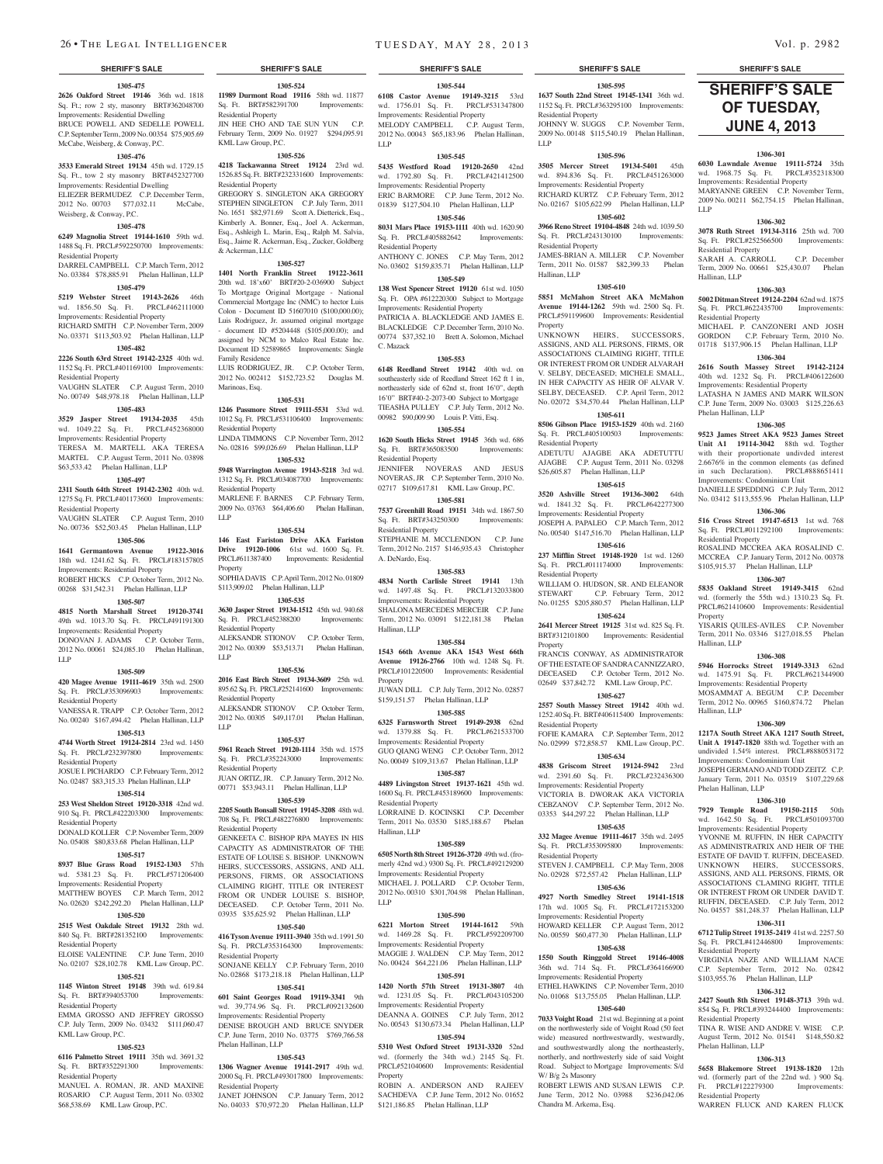#### **1305-475**

**2626 Oakford Street 19146** 36th wd. 1818 **11989 Durmont Road 19116** 58th wd. 11877 Sq. Ft.; row 2 sty, masonry BRT#362048700 Improvements: Residential Dwelling BRUCE POWELL AND SEDELLE POWELL C.P. September Term, 2009 No. 00354 \$75,905.69 McCabe, Weisberg, & Conway, P.C.

#### **1305-476**

**3533 Emerald Street 19134** 45th wd. 1729.15 Sq. Ft., tow 2 sty masonry BRT#452327700 Improvements: Residential Dwelling ELIEZER BERMUDEZ C.P. December Term, 2012 No. 00703 \$77,032.11 McCabe, Weisberg, & Conway, P.C.

#### **1305-478**

**6249 Magnolia Street 19144-1610** 59th wd. 1488 Sq. Ft. PRCL#592250700 Improvements: Residential Property

DARREL CAMPBELL C.P. March Term, 2012 No. 03384 \$78,885.91 Phelan Hallinan, LLP **1305-479**

**5219 Webster Street 19143-2626** 46th wd. 1856.50 Sq. Ft. PRCL#462111000 Improvements: Residential Property

RICHARD SMITH C.P. November Term, 2009 No. 03371 \$113,503.92 Phelan Hallinan, LLP

## **1305-482**

**2226 South 63rd Street 19142-2325** 40th wd. 1152 Sq. Ft. PRCL#401169100 Improvements: Residential Property

VAUGHN SLATER C.P. August Term, 2010 No. 00749 \$48,978.18 Phelan Hallinan, LLP

## **1305-483**

**3529 Jasper Street 19134-2035** 45th wd. 1049.22 Sq. Ft. PRCL#452368000

Improvements: Residential Property TERESA M. MARTELL AKA TERESA MARTEL C.P. August Term, 2011 No. 03898 \$63,533.42 Phelan Hallinan, LLP

## **1305-497**

**2311 South 64th Street 19142-2302** 40th wd. 1275 Sq. Ft. PRCL#401173600 Improvements:

Residential Property VAUGHN SLATER C.P. August Term, 2010

No. 00736 \$52,503.45 Phelan Hallinan, LLP **1305-506**

### **1641 Germantown Avenue 19122-3016**  18th wd. 1241.62 Sq. Ft. PRCL#183157805

Improvements: Residential Property ROBERT HICKS C.P. October Term, 2012 No.

#### 00268 \$31,542.31 Phelan Hallinan, LLP **1305-507**

**4815 North Marshall Street 19120-3741** 

## 49th wd. 1013.70 Sq. Ft. PRCL#491191300

Improvements: Residential Property DONOVAN J. ADAMS C.P. October Term, 2012 No. 00061 \$24,085.10 Phelan Hallinan, LLP

## **1305-509**

**420 Magee Avenue 19111-4619** 35th wd. 2500 Sq. Ft. PRCL#353096903 Improvements: Residential Property

VANESSA R. TRAPP C.P. October Term, 2012 No. 00240 \$167,494.42 Phelan Hallinan, LLP

## **1305-513**

**4744 Worth Street 19124-2814** 23rd wd. 1450 Sq. Ft. PRCL#232397800 Improvements: Residential Property

#### JOSUE I. PICHARDO C.P. February Term, 2012 No. 02487 \$83,315.33 Phelan Hallinan, LLP

## **1305-514**

**253 West Sheldon Street 19120-3318** 42nd wd. 910 Sq. Ft. PRCL#422203300 Improvements: Residential Property

DONALD KOLLER C.P. November Term, 2009 No. 05408 \$80,833.68 Phelan Hallinan, LLP

## **1305-517**

**8937 Blue Grass Road 19152-1303** 57th

wd. 5381.23 Sq. Ft. PRCL#571206400 Improvements: Residential Property MATTHEW BOYES C.P. March Term, 2012

No. 02620 \$242,292.20 Phelan Hallinan, LLP

## **1305-520**

**2515 West Oakdale Street 19132** 28th wd. 840 Sq. Ft. BRT#281352100 Improvements: Residential Property ELOISE VALENTINE C.P. June Term, 2010 **416 Tyson Avenue 19111-3940** 35th wd. 1991.50 Sq. Ft. PRCL#353164300 Improvements: Residential Property

No. 02107 \$28,102.78 KML Law Group, P.C.

## **1305-521**

**1145 Winton Street 19148** 39th wd. 619.84 Sq. Ft. BRT#394053700 Improvements: Residential Property

EMMA GROSSO AND JEFFREY GROSSO C.P. July Term, 2009 No. 03432 \$111,060.47 KML Law Group, P.C.

#### **1305-523**

**6116 Palmetto Street 19111** 35th wd. 3691.32 Sq. Ft. BRT#352291300 Improvements: Residential Property MANUEL A. ROMAN, JR. AND MAXINE

ROSARIO C.P. August Term, 2011 No. 03302 \$68,538.69 KML Law Group, P.C.

**1305-524** Sq. Ft. BRT#582391700 Improvements:

JIN HEE CHO AND TAE SUN YUN C.P. February Term, 2009 No. 01927 \$294,095.91

**1305-526 4218 Tackawanna Street 19124** 23rd wd. 1526.85 Sq. Ft. BRT#232331600 Improvements:

GREGORY S. SINGLETON AKA GREGORY STEPHEN SINGLETON C.P. July Term, 2011 No. 1651 \$82,971.69 Scott A. Dietterick, Esq., Kimberly A. Bonner, Esq., Joel A. Ackerman, Esq., Ashleigh L. Marin, Esq., Ralph M. Salvia, Esq., Jaime R. Ackerman, Esq., Zucker, Goldberg

**1305-527 1401 North Franklin Street 19122-3611**  20th wd. 18'x60' BRT#20-2-036900 Subject To Mortgage Original Mortgage - National Commercial Mortgage Inc (NMC) to hector Luis Colon - Document ID 51607010 (\$100,000.00); Luis Rodriguez, Jr. assumed original mortgage - document ID #5204448 (\$105,000.00); and assigned by NCM to Malco Real Estate Inc. Document ID 52589865 Improvements: Single

LUIS RODRIGUEZ, JR. C.P. October Term, 2012 No. 002412 \$152,723.52 Douglas M.

**1305-531 1246 Passmore Street 19111-5531** 53rd wd. 1012 Sq. Ft. PRCL#531106400 Improvements:

LINDA TIMMONS C.P. November Term, 2012 No. 02816 \$99,026.69 Phelan Hallinan, LLP **1305-532 5948 Warrington Avenue 19143-5218** 3rd wd. 1312 Sq. Ft. PRCL#034087700 Improvements:

MARLENE F. BARNES C.P. February Term, 2009 No. 03763 \$64,406.60 Phelan Hallinan,

**1305-534 146 East Fariston Drive AKA Fariston Drive 19120-1006** 61st wd. 1600 Sq. Ft. PRCL#611387400 Improvements: Residential

SOPHIA DAVIS C.P. April Term, 2012 No. 01809 \$113,909.02 Phelan Hallinan, LLP

**1305-535 3630 Jasper Street 19134-1512** 45th wd. 940.68<br>Sq. Ft. PRCI #452388200 Improvements:

ALEKSANDR STIONOV C.P. October Term, 2012 No. 00309 \$53,513.71 Phelan Hallinan,

**1305-536 2016 East Birch Street 19134-3609** 25th wd. 895.62 Sq. Ft. PRCL#252141600 Improvements:

ALEKSANDR STIONOV C.P. October Term, 2012 No. 00305 \$49,117.01 Phelan Hallinan,

**1305-537 5961 Reach Street 19120-1114** 35th wd. 1575 Sq. Ft. PRCL#352243000 Improvements:

JUAN ORTIZ, JR. C.P. January Term, 2012 No. 00771 \$53,943.11 Phelan Hallinan, LLP **1305-539 2205 South Bonsall Street 19145-3208** 48th wd. 708 Sq. Ft. PRCL#482276800 Improvements:

GENKEETA C. BISHOP RPA MAYES IN HIS CAPACITY AS ADMINISTRATOR OF THE ESTATE OF LOUISE S. BISHOP. UNKNOWN HEIRS, SUCCESSORS, ASSIGNS, AND ALL PERSONS, FIRMS, OR ASSOCIATIONS CLAIMING RIGHT, TITLE OR INTEREST FROM OR UNDER LOUISE S. BISHOP, DECEASED. C.P. October Term, 2011 No. 03935 \$35,625.92 Phelan Hallinan, LLP **1305-540**

SONJANE KELLY C.P. February Term, 2010 No. 02868 \$173,218.18 Phelan Hallinan, LLP **1305-541 601 Saint Georges Road 19119-3341** 9th wd. 39,774.96 Sq. Ft. PRCL#092132600 Improvements: Residential Property DENISE BROUGH AND BRUCE SNYDER C.P. June Term, 2010 No. 03775 \$769,766.58

**1305-543 1306 Wagner Avenue 19141-2917** 49th wd. 2000 Sq. Ft. PRCL#493017800 Improvements:

JANET JOHNSON C.P. January Term, 2012 No. 04033 \$70,972.20 Phelan Hallinan, LLP

Sq. Ft. PRCL#452388200 Residential Property

Residential Property

KML Law Group, P.C.

Residential Property

& Ackerman, LLC

Family Residence

Marinoas, Esq.

Residential Property

Residential Property

LLP

Property

LLP

LLP

Residential Property

Residential Property

Residential Property

Phelan Hallinan, LLP

Residential Property

**1305-544 6108 Castor Avenue 19149-3215** 53rd wd. 1756.01 Sq. Ft. PRCL#531347800 Improvements: Residential Property MELODY CAMPBELL C.P. August Term, 2012 No. 00043 \$65,183.96 Phelan Hallinan, LLP

#### **1305-545**

**5435 Westford Road 19120-2650** 42nd wd. 1792.80 Sq. Ft. PRCL#421412500 Improvements: Residential Property ERIC BARMORE C.P. June Term, 2012 No. 01839 \$127,504.10 Phelan Hallinan, LLP

### **1305-546**

**8031 Mars Place 19153-1111** 40th wd. 1620.90 Sq. Ft. PRCL#405882642 Improvements: Residential Property ANTHONY C. JONES C.P. May Term, 2012

No. 03602 \$159,835.71 Phelan Hallinan, LLP **1305-549**

**138 West Spencer Street 19120** 61st wd. 1050 Sq. Ft. OPA #612220300 Subject to Mortgage Improvements: Residential Property PATRICIA A. BLACKLEDGE AND JAMES E. BLACKLEDGE C.P. December Term, 2010 No. 00774 \$37,352.10 Brett A. Solomon, Michael C. Mazack

## **1305-553**

**6148 Reedland Street 19142** 40th wd. on southeasterly side of Reedland Street 162 ft 1 in, northeasterly side of 62nd st, front 16'0", depth 16'0" BRT#40-2-2073-00 Subject to Mortgage TIEASHA PULLEY C.P. July Term, 2012 No. 00982 \$90,009.90 Louis P. Vitti, Esq.

**1305-554 1620 South Hicks Street 19145** 36th wd. 686 Sq. Ft. BRT#365083500 Improvements: Residential Property

JENNIFER NOVERAS AND JESUS NOVERAS, JR C.P. September Term, 2010 No. 02717 \$109,617.81 KML Law Group, P.C.

**1305-581 7537 Greenhill Road 19151** 34th wd. 1867.50 Sq. Ft. BRT#343250300 Improvements: Residential Property

STEPHANIE M. MCCLENDON C.P. June Term, 2012 No. 2157 \$146,935.43 Christopher A. DeNardo, Esq.

### **1305-583**

**4834 North Carlisle Street 19141** 13th wd. 1497.48 Sq. Ft. PRCL#132033800 Improvements: Residential Property SHALONA MERCEDES MERCEIR C.P. June Term, 2012 No. 03091 \$122,181.38 Phelan Hallinan, LLP

### **1305-584**

**1543 66th Avenue AKA 1543 West 66th Avenue 19126-2766** 10th wd. 1248 Sq. Ft. PRCL#101220500 Improvements: Residential **Property** 

JUWAN DILL C.P. July Term, 2012 No. 02857 \$159,151.57 Phelan Hallinan, LLP **1305-585**

## **6325 Farnsworth Street 19149-2938** 62nd

Hallinan, LLP

wd. 1379.88 Sq. Ft. PRCL#621533700 Improvements: Residential Property GUO QIANG WENG C.P. October Term, 2012 No. 00049 \$109,313.67 Phelan Hallinan, LLP

**1305-587 4489 Livingston Street 19137-1621** 45th wd.

1600 Sq. Ft. PRCL#453189600 Improvements: Residential Property LORRAINE D. KOCINSKI C.P. December Term, 2011 No. 03530 \$185,188.67 Phelan

**1305-589**

**6505 North 8th Street 19126-3720** 49th wd. (fromerly 42nd wd.) 9300 Sq. Ft. PRCL#492129200 Improvements: Residential Property MICHAEL J. POLLARD C.P. October Term, 2012 No. 00310 \$301,704.98 Phelan Hallinan, LLP

#### **1305-590**

**6221 Morton Street 19144-1612** 59th wd. 1469.28 Sq. Ft. PRCL#592209700 Improvements: Residential Property MAGGIE J. WALDEN C.P. May Term, 2012 No. 00424 \$64,221.06 Phelan Hallinan, LLP

#### **1305-591**

**1420 North 57th Street 19131-3807** 4th wd. 1231.05 Sq. Ft. PRCL#043105200 Improvements: Residential Property DEANNA A. GOINES C.P. July Term, 2012 No. 00543 \$130,673.34 Phelan Hallinan, LLP

**1305-594 5310 West Oxford Street 19131-3320** 52nd

wd. (formerly the 34th wd.) 2145 Sq. Ft. PRCL#521040600 Improvements: Residential Property

ROBIN A. ANDERSON AND RAJEEV SACHDEVA C.P. June Term, 2012 No. 01652 \$121,186.85 Phelan Hallinan, LLP

## **SHERIFF'S SALE SHERIFF'S SALE SHERIFF'S SALE SHERIFF'S SALE SHERIFF'S SALE**

**1305-595 1637 South 22nd Street 19145-1341** 36th wd. 1152 Sq. Ft. PRCL#363295100 Improvements: Residential Property JOHNNY W. SUGGS C.P. November Term, 2009 No. 00148 \$115,540.19 Phelan Hallinan,

#### **1305-596**

LLP

**3505 Mercer Street 19134-5401** 45th wd. 894.836 Sq. Ft. PRCL#451263000 Improvements: Residential Property RICHARD KURTZ C.P. February Term, 2012 No. 02167 \$105,622.99 Phelan Hallinan, LLP

**1305-602 3966 Reno Street 19104-4848** 24th wd. 1039.50 Sq. Ft. PRCL#243130100 Improvements:

Residential Property

JAMES-BRIAN A. MILLER C.P. November Term, 2011 No. 01587 \$82,399.33 Phelan Hallinan, LLP

## **1305-610**

LLP

Residential Property

Residential Property

Phelan Hallinan, LLP

Residential Property

**Property** 

Hallinan, LLP

Hallinan, LLP

Phelan Hallinan, LLP

Residential Property

Residential Property

Phelan Hallinan, LLP

Residential Property

Hallinan, LLP

**SHERIFF'S SALE OF TUESDAY, June 4, 2013** 

**1306-301 6030 Lawndale Avenue 19111-5724** 35th wd. 1968.75 Sq. Ft. PRCL#352318300 Improvements: Residential Property MARYANNE GREEN C.P. November Term, 2009 No. 00211 \$62,754.15 Phelan Hallinan,

**1306-302 3078 Ruth Street 19134-3116** 25th wd. 700 Sq. Ft. PRCL#252566500 Improvements:

SARAH A. CARROLL C.P. December Term, 2009 No. 00661 \$25,430.07 Phelan

**1306-303 5002 Ditman Street 19124-2204** 62nd wd. 1875 Sq. Ft. PRCL#622435700 Improvements:

MICHAEL P. CANZONERI AND JOSH GORDON C.P. February Term, 2010 No. 01718 \$137,906.15 Phelan Hallinan, LLP **1306-304 2616 South Massey Street 19142-2124**  40th wd. 1232 Sq. Ft. PRCL#406122600 Improvements: Residential Property LATASHA N JAMES AND MARK WILSON C.P. June Term, 2009 No. 03003 \$125,226.63

**1306-305 9523 James Street AKA 9523 James Street Unit A1 19114-3042** 88th wd. Togther with their proportionate undivded interest 2.6676% in the common elements (as defined in such Declaration). PRCL#888651411 Improvements: Condominium Unit DANIELLE SPEDDING C.P. July Term, 2012 No. 03412 \$113,555.96 Phelan Hallinan, LLP **1306-306 516 Cross Street 19147-6513** 1st wd. 768 Sq. Ft. PRCL#011292100 Improvements:

ROSALIND MCCREA AKA ROSALIND C. MCCREA C.P. January Term, 2012 No. 00378 \$105,915.37 Phelan Hallinan, LLP **1306-307 5835 Oakland Street 19149-3415** 62nd wd. (formerly the 55th wd.) 1310.23 Sq. Ft. PRCL#621410600 Improvements: Residential

YISARIS QUILES-AVILES C.P. November Term, 2011 No. 03346 \$127,018.55 Phelan

**1306-308 5946 Horrocks Street 19149-3313** 62nd wd. 1475.91 Sq. Ft. PRCL#621344900 Improvements: Residential Property MOSAMMAT A. BEGUM C.P. December Term, 2012 No. 00965 \$160,874.72 Phelan

**1306-309 1217A South Street AKA 1217 South Street, Unit A 19147-1820** 88th wd. Together with an undivided 1.54% interest. PRCL#888053172 Improvements: Condominium Unit JOSEPH GERMANO AND TODD ZEITZ C.P. January Term, 2011 No. 03519 \$107,229.68

**1306-310 7929 Temple Road 19150-2115** 50th wd. 1642.50 Sq. Ft. PRCL#501093700 Improvements: Residential Property YVONNE M. RUFFIN, IN HER CAPACITY AS ADMINISTRATRIX AND HEIR OF THE ESTATE OF DAVID T. RUFFIN, DECEASED. UNKNOWN HEIRS, SUCCESSORS ASSIGNS, AND ALL PERSONS, FIRMS, OR ASSOCIATIONS CLAMING RIGHT, TITLE OR INTEREST FROM OR UNDER DAVID T. RUFFIN, DECEASED. C.P. July Term, 2012 No. 04557 \$81,248.37 Phelan Hallinan, LLP **1306-311 6712 Tulip Street 19135-2419** 41st wd. 2257.50 Sq. Ft. PRCL#412446800 Improvements:

VIRGINIA NAZE AND WILLIAM NACE C.P. September Term, 2012 No. 02842 \$103,955.76 Phelan Hallinan, LLP **1306-312 2427 South 8th Street 19148-3713** 39th wd. 854 Sq. Ft. PRCL#393244400 Improvements:

TINA R. WISE AND ANDRE V. WISE C.P. August Term, 2012 No. 01541 \$148,550.82

**1306-313 5658 Blakemore Street 19138-1820** 12th wd. (formerly part of the 22nd wd.) 900 Sq. Ft. PRCL#122279300 Improvements:

WARREN FLUCK AND KAREN FLUCK

**5851 McMahon Street AKA McMahon Avenue 19144-1262** 59th wd. 2500 Sq. Ft. PRCL#591199600 Improvements: Residential Property

UNKNOWN HEIRS SUCCESSORS ASSIGNS, AND ALL PERSONS, FIRMS, OR ASSOCIATIONS CLAIMING RIGHT, TITLE OR INTEREST FROM OR UNDER ALVARAH V. SELBY, DECEASED; MICHELE SMALL, IN HER CAPACITY AS HEIR OF ALVAR V. SELBY, DECEASED. C.P. April Term, 2012 No. 02072 \$34,570.44 Phelan Hallinan, LLP

**1305-611 8506 Gibson Place 19153-1529** 40th wd. 2160 Sq. Ft. PRCL#405100503 Improvements:

Residential Property ADETUTU AJAGBE AKA ADETUTTU AJAGBE C.P. August Term, 2011 No. 03298 \$26,605.87 Phelan Hallinan, LLP

**1305-615**

**3520 Ashville Street 19136-3002** 64th wd. 1841.32 Sq. Ft. PRCL#642277300 Improvements: Residential Property

JOSEPH A. PAPALEO C.P. March Term, 2012 No. 00540 \$147,516.70 Phelan Hallinan, LLP

**1305-616 237 Mifflin Street 19148-1920** 1st wd. 1260 Sq. Ft. PRCL#011174000 Improvements:

Residential Property WILLIAM O. HUDSON, SR. AND ELEANOR STEWART C.P. February Term, 2012 No. 01255 \$205,880.57 Phelan Hallinan, LLP

**1305-624 2641 Mercer Street 19125** 31st wd. 825 Sq. Ft. BRT#312101800 Improvements: Residential

FRANCIS CONWAY, AS ADMINISTRATOR OF THE ESTATE OF SANDRA CANNIZZARO, DECEASED C.P. October Term, 2012 No. 02649 \$37,842.72 KML Law Group, P.C. **1305-627 2557 South Massey Street 19142** 40th wd. 1252.40 Sq. Ft. BRT#406115400 Improvements:

FOFIE KAMARA C.P. September Term, 2012 No. 02999 \$72,858.57 KML Law Group, P.C. **1305-634 4838 Griscom Street 19124-5942** 23rd wd. 2391.60 Sq. Ft. PRCL#232436300

VICTORIA B. DWORAK AKA VICTORIA CEBZANOV C.P. September Term, 2012 No. 03353 \$44,297.22 Phelan Hallinan, LLP **1305-635 332 Magee Avenue 19111-4617** 35th wd. 2495 Sq. Ft. PRCL#353095800 Improvements:

STEVEN J. CAMPBELL C.P. May Term, 2008 No. 02928 \$72,557.42 Phelan Hallinan, LLP **1305-636 4927 North Smedley Street 19141-1518**  17th wd. 1005 Sq. Ft. PRCL#172153200

Improvements: Residential Property

Improvements: Residential Property HOWARD KELLER C.P. August Term, 2012 No. 00559 \$60,477.30 Phelan Hallinan, LLP **1305-638 1550 South Ringgold Street 19146-4008**  36th wd. 714 Sq. Ft. PRCL#364166900

Improvements: Residential Property

W/ B/g 2s Masonry

Chandra M. Arkema, Esq.

ETHEL HAWKINS C.P. November Term, 2010 No. 01068 \$13,755.05 Phelan Hallinan, LLP. **1305-640 7033 Voight Road** 21st wd. Beginning at a point on the northwesterly side of Voight Road (50 feet wide) measured northwestwardly, westwardly, and southwestwardly along the northeasterly, northerly, and northwesterly side of said Voight Road. Subject to Mortgage Improvements: S/d

ROBERT LEWIS AND SUSAN LEWIS C.P. June Term, 2012 No. 03988 \$236,042.06

Property

Residential Property

Residential Property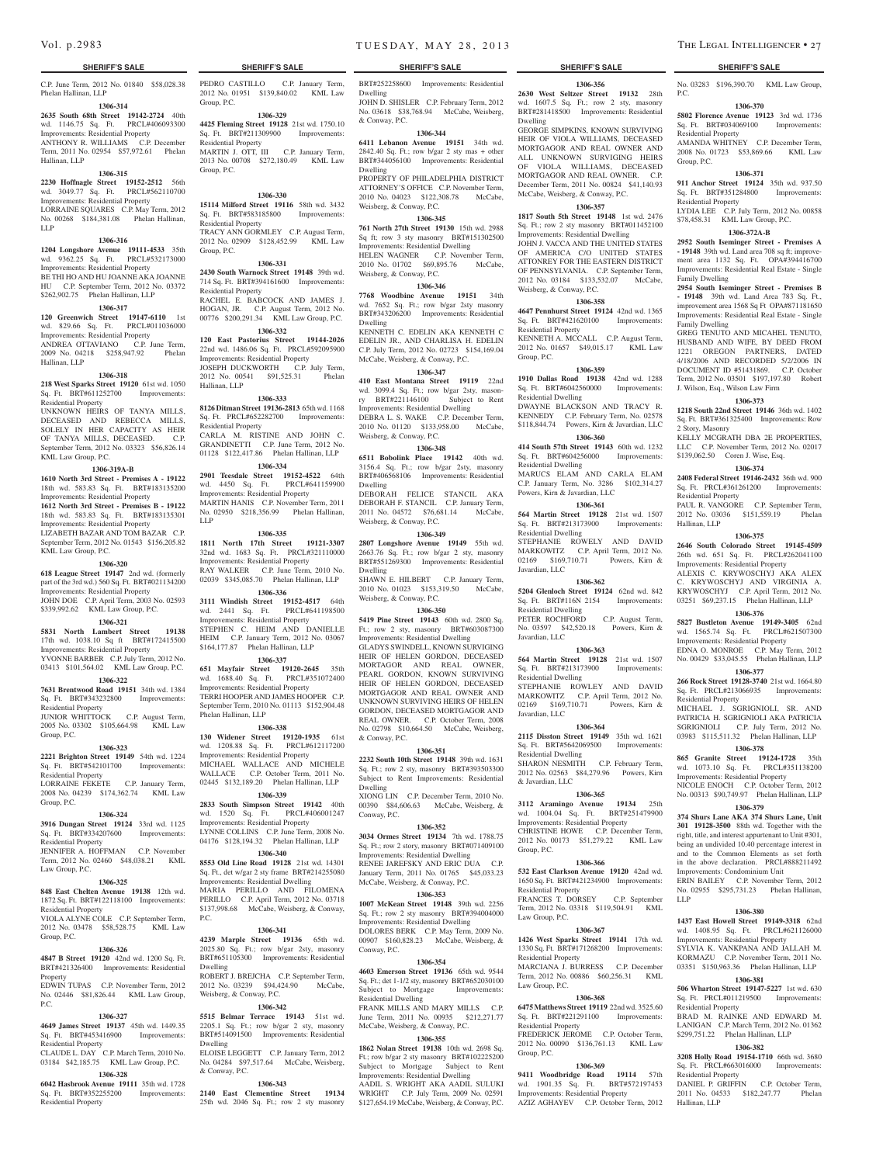Hallinan, LLP

C.P. June Term, 2012 No. 01840 \$58,028.38 Phelan Hallinan, LLP

## **1306-314**

**2635 South 68th Street 19142-2724** 40th wd. 1146.75 Sq. Ft. PRCL#406093300 Improvements: Residential Property ANTHONY R. WILLIAMS C.P. December Term, 2011 No. 02954 \$57,972.61 Phelan

## **1306-315**

**2230 Hoffnagle Street 19152-2512** 56th wd. 3049.77 Sq. Ft. PRCL#562110700 Improvements: Residential Property LORRAINE SQUARES C.P. May Term, 2012 No. 00268 \$184,381.08 Phelan Hallinan, LLP

#### **1306-316**

**1204 Longshore Avenue 19111-4533** 35th wd. 9362.25 Sq. Ft. PRCL#532173000 Improvements: Residential Property BE THI HO AND HU JOANNE AKA JOANNE HU C.P. September Term, 2012 No. 03372 \$262,902.75 Phelan Hallinan, LLP

#### **1306-317**

**120 Greenwich Street 19147-6110** 1st wd. 829.66 Sq. Ft. PRCL#011036000 Improvements: Residential Property ANDREA OTTAVIANO C.P. June Term, 2009 No. 04218 \$258,947.92 Phelan

## Hallinan, LLP **1306-318**

**218 West Sparks Street 19120** 61st wd. 1050 Sq. Ft. BRT#611252700 Improvements: Residential Property

UNKNOWN HEIRS OF TANYA MILLS, DECEASED AND REBECCA MILLS, SOLELY IN HER CAPACITY AS HEIR OF TANYA MILLS, DECEASED. C.P. September Term, 2012 No. 03323 \$56,826.14 KML Law Group, P.C.

#### **1306-319A-B**

**1610 North 3rd Street - Premises A - 19122**  18th wd. 583.83 Sq. Ft. BRT#183135200 Improvements: Residential Property **1612 North 3rd Street - Premises B - 19122**  18th wd. 583.83 Sq. Ft. BRT#183135301 Improvements: Residential Property LIZABETH BAZAR AND TOM BAZAR C.P. September Term, 2012 No. 01543 \$156,205.82 KML Law Group, P.C.

#### **1306-320**

**618 League Street 19147** 2nd wd. (formerly part of the 3rd wd.) 560 Sq. Ft. BRT#021134200 Improvements: Residential Property

JOHN DOE C.P. April Term, 2003 No. 02593 **\$339,992.62** KML Law Group, P.C.

## **1306-321**

**5831 North Lambert Street 19138**  17th wd. 1038.10 Sq ft BRT#172415500 Improvements: Residential Property

#### YVONNE BARBER C.P. July Term, 2012 No. 03413 \$101,564.02 KML Law Group, P.C. **1306-322**

**7631 Brentwood Road 19151** 34th wd. 1384

#### Sq. Ft. BRT#343232800 Improvements: Residential Property JUNIOR WHITTOCK C.P. August Term,

2005 No. 03302 \$105,664.98 KML Law Group, P.C.

#### **1306-323**

**2221 Brighton Street 19149** 54th wd. 1224 Sq. Ft. BRT#542101700 Improvements: Residential Property LORRAINE FEKETE C.P. January Term, 2008 No. 04239 \$174,362.74 KML Law

## Group, P.C.

## **1306-324**

**3916 Dungan Street 19124** 33rd wd. 1125 Sq. Ft. BRT#334207600 Improvements:

#### Residential Property JENNIFER A. HOFFMAN C.P. November

Term, 2012 No. 02460 \$48,038.21 KML Law Group, P.C.

## **1306-325**

**848 East Chelten Avenue 19138** 12th wd. **1872 Sq. Ft. BRT#122118100 Improvements:** Residential Property VIOLA ALYNE COLE C.P. September Term, 2012 No. 03478 \$58,528.75 KML Law

#### Group, P.C. **1306-326**

**4847 B Street 19120** 42nd wd. 1200 Sq. Ft.

BRT#421326400 Improvements: Residential Property EDWIN TUPAS C.P. November Term, 2012

### No. 02446 \$81,826.44 KML Law Group,  $P<sub>C</sub>$

#### **1306-327 4649 James Street 19137** 45th wd. 1449.35

Sq. Ft. BRT#453416900 Improvements: Residential Property CLAUDE L. DAY C.P. March Term, 2010 No.

03184 \$42,185.75 KML Law Group, P.C. **1306-328**

**6042 Hasbrook Avenue 19111** 35th wd. 1728 Sq. Ft. BRT#352255200 Improvements: Residential Property

Vol. p.2983 TUESDAY, MAY 28, 2013 THE LEGAL INTELLIGENCER • 27

### **SHERIFF'S SALE SHERIFF'S SALE SHERIFF'S SALE SHERIFF'S SALE SHERIFF'S SALE**

BRT#252258600 Improvements: Residential

Dwelling JOHN D. SHISLER C.P. February Term, 2012 No. 03618 \$38,768.94 McCabe, Weisberg, & Conway, P.C.

#### **1306-344**

PEDRO CASTILLO C.P. January Term, 2012 No. 01951 \$139,840.02 KML Law

**1306-329 4425 Fleming Street 19128** 21st wd. 1750.10 Sq. Ft. BRT#211309900 Improvements:

MARTIN J. OTT, III C.P. January Term, 2013 No. 00708 \$272,180.49 KML Law

**1306-330 15114 Milford Street 19116** 58th wd. 3432 Sq. Ft. BRT#583185800 Improvements:

TRACY ANN GORMLEY C.P. August Term, 2012 No. 02909 \$128,452.99 KML Law

**1306-331 2430 South Warnock Street 19148** 39th wd. 714 Sq. Ft. BRT#394161600 Improvements:

RACHEL E. BABCOCK AND JAMES J. HOGAN, JR. C.P. August Term, 2012 No. 00776 \$200,291.34 KML Law Group, P.C. **1306-332 120 East Pastorius Street 19144-2026**  22nd wd. 1486.06 Sq. Ft. PRCL#592095900 Improvements: Residential Property JOSEPH DUCKWORTH C.P. July Term, 2012 No. 00541 \$91,525.31 Phelan

**1306-333 8126 Ditman Street 19136-2813** 65th wd. 1168 Sq. Ft. PRCL#652282700 Improvements:

CARLA M. RISTINE AND JOHN C. GRANDINETTI C.P. June Term, 2012 No. 01128 \$122,417.86 Phelan Hallinan, LLP **1306-334 2901 Teesdale Street 19152-4522** 64th

**1306-335 1811 North 17th Street 19121-3307**  32nd wd. 1683 Sq. Ft. PRCL#321110000 Improvements: Residential Property RAY WALKER C.P. June Term, 2010 No. 02039 \$345,085.70 Phelan Hallinan, LLP **1306-336 3111 Windish Street 19152-4517** 64th

Group, P.C.

Group, P.C.

Group, P.C.

Residential Property

Residential Property

Residential Property

Hallinan, LLP

Residential Property

wd. 4450 Sq. Ft. Improvements: Residential Property MARTIN HANIS C.P. November Term, 2011 No. 02950 \$218,356.99 Phelan Hallinan,

wd. 2441 Sq. Ft. Improvements: Residential Property STEPHEN C. HEIM AND DANIELLE HEIM C.P. January Term, 2012 No. 03067 \$164,177.87 Phelan Hallinan, LLP **1306-337 651 Mayfair Street 19120-2645** 35th wd. 1688.40 Sq. Ft. PRCL#351072400 Improvements: Residential Property TERRI HOOPER AND JAMES HOOPER C.P. September Term, 2010 No. 01113 \$152,904.48

Phelan Hallinan, LLP

P.C.

Dwelling

Dwelling

& Conway, P.C.

Weisberg, & Conway, P.C.

**1306-338 130 Widener Street 19120-1935** 61st wd. 1208.88 Sq. Ft. PRCL#612117200 Improvements: Residential Property MICHAEL WALLACE AND MICHELE WALLACE C.P. October Term, 2011 No. 02445 \$132,189.20 Phelan Hallinan, LLP **1306-339 2833 South Simpson Street 19142** 40th wd. 1520 Sq. Ft. PRCL#406001247 Improvements: Residential Property LYNNE COLLINS C.P. June Term, 2008 No. 04176 \$128,194.32 Phelan Hallinan, LLP **1306-340 8553 Old Line Road 19128** 21st wd. 14301 Sq. Ft., det w/gar 2 sty frame BRT#214255080 Improvements: Residential Dwelling MARIA PERILLO AND FILOMENA PERILLO C.P. April Term, 2012 No. 03718 \$137,998.68 McCabe, Weisberg, & Conway,

**1306-341 4239 Marple Street 19136** 65th wd. 2025.80 Sq. Ft.; row b/gar 2sty, masonry BRT#651105300 Improvements: Residential

ROBERT J. BREJCHA C.P. September Term, 2012 No. 03239 \$94,424.90 McCabe,

**1306-342 5515 Belmar Terrace 19143** 51st wd. 2205.1 Sq. Ft.; row b/gar 2 sty, masonry BRT#514091500 Improvements: Residential

ELOISE LEGGETT C.P. January Term, 2012 No. 04284 \$97,517.64 McCabe, Weisberg,

**1306-343 2140 East Clementine Street 19134**  25th wd. 2046 Sq. Ft.; row 2 sty masonry

LLP

**6411 Lebanon Avenue 19151** 34th wd. 2842.40 Sq. Ft.; row b/gar 2 sty mas + other BRT#344056100 Improvements: Residential Dwelling

PROPERTY OF PHILADELPHIA DISTRICT ATTORNEY'S OFFICE C.P. November Term,

2010 No. 04023 \$122,308.78 McCabe, Weisberg, & Conway, P.C. **1306-345 761 North 27th Street 19130** 15th wd. 2988

Sq ft; row 3 sty masonry BRT#151302500 Improvements: Residential Dwelling HELEN WAGNER C.P. November Term, 2010 No. 01702 \$69,895.76 McCabe, Weisberg, & Conway, P.C.

## **1306-346**

**7768 Woodbine Avenue 19151** 34th wd. 7652 Sq. Ft.; row b/gar 2sty masonry BRT#343206200 Improvements: Residential Dwelling

KENNETH C. EDELIN AKA KENNETH C EDELIN JR., AND CHARLISA H. EDELIN C.P. July Term, 2012 No. 02723 \$154,169.04 McCabe, Weisberg, & Conway, P.C.

#### **1306-347**

**410 East Montana Street 19119** 22nd wd. 3099.4 Sq. Ft.; row b/gar 2sty, masonry BRT#221146100 Subject to Rent Improvements: Residential Dwelling DEBRA L. S. WAKE C.P. December Term, 2010 No. 01120 \$133,958.00 McCabe, Weisberg, & Conway, P.C.

### **1306-348**

**6511 Bobolink Place 19142** 40th wd. 3156.4 Sq. Ft.; row b/gar 2sty, masonry BRT#406568106 Improvements: Residential Dwelling DEBORAH FELICE STANCIL AKA DEBORAH F. STANCIL C.P. January Term, 2011 No. 04572 \$76,681.14 McCabe,

## **1306-349**

Weisberg, & Conway, P.C.

**2807 Longshore Avenue 19149** 55th wd. 2663.76 Sq. Ft.; row b/gar 2 sty, masonry BRT#551269300 Improvements: Residential Dwelling SHAWN E. HILBERT C.P. January Term,

2010 No. 01023 \$153,319.50 McCabe, Weisberg, & Conway, P.C.

## **1306-350**

**5419 Pine Street 19143** 60th wd. 2800 Sq. Ft.; row 2 sty, masonry BRT#603087300 Improvements: Residential Dwelling GLADYS SWINDELL, KNOWN SURVIGING HEIR OF HELEN GORDON, DECEASED MORTAGOR AND REAL OWNER, PEARL GORDON, KNOWN SURVIVING HEIR OF HELEN GORDON, DECE. MORTGAGOR AND REAL OWNER AND UNKNOWN SURVIVING HEIRS OF HELEN GORDON, DECEASED MORTGAGOR AND REAL OWNER. C.P. October Term, 2008 No. 02798 \$10,664.50 McCabe, Weisberg, & Conway, P.C.

#### **1306-351**

**2232 South 10th Street 19148** 39th wd. 1631 Sq. Ft.; row 2 sty, masonry BRT#393503300 Subject to Rent Improvements: Residential Dwelling

XIONG LIN C.P. December Term, 2010 No. 00390 \$84,606.63 McCabe, Weisberg, & Conway, P.C.

#### **1306-352**

**3034 Ormes Street 19134** 7th wd. 1788.75 Sq. Ft.; row 2 story, masonry BRT#071409100 Improvements: Residential Dwelling RENEE JAREFSKY AND ERIC DUA C.P. January Term, 2011 No. 01765 \$45,033.23 McCabe, Weisberg, & Conway, P.C.

#### **1306-353**

**1007 McKean Street 19148** 39th wd. 2256 Sq. Ft.; row 2 sty masonry BRT#394004000 Improvements: Residential Dwelling DOLORES BERK C.P. May Term, 2009 No. 00907 \$160,828.23 McCabe, Weisberg, & Conway, P.C.

#### **1306-354**

**4603 Emerson Street 19136** 65th wd. 9544 Sq. Ft.; det 1-1/2 sty, masonry BRT#652030100 Subject to Mortgage Improvements: Residential Dwelling FRANK MILLS AND MARY MILLS C.P.

## June Term, 2011 No. 00935 \$212,271.77 McCabe, Weisberg, & Conway, P.C.

#### **1306-355**

**1862 Nolan Street 19138** 10th wd. 2698 Sq. Ft.; row b/gar 2 sty masonry BRT#102225200 Subject to Mortgage Subject to Rent Improvements: Residential Dwelling AADIL S. WRIGHT AKA AADIL SULUKI WRIGHT C.P. July Term, 2009 No. 02591 \$127,654.19 McCabe, Weisberg, & Conway, P.C.

No. 03283 \$196,390.70 KML Law Group,

**1306-370 5802 Florence Avenue 19123** 3rd wd. 1736 Sq. Ft. BRT#034069100 Improvements:

AMANDA WHITNEY C.P. December Term, 2008 No. 01723 \$53,869.66 KML Law

**1306-371 911 Anchor Street 19124** 35th wd. 937.50 Sq. Ft. BRT#351284800 Improvements:

LYDIA LEE C.P. July Term, 2012 No. 00858 \$78,458.31 KML Law Group, P.C. **1306-372A-B 2952 South Iseminger Street - Premises A - 19148** 39th wd. Land area 708 sq ft; improvement area 1132 Sq. Ft. OPA#394416700 Improvements: Residential Real Estate - Single

**2954 South Iseminger Street - Premises B - 19148** 39th wd. Land Area 783 Sq. Ft., improvement area 1568 Sq Ft OPA#871181650 Improvements: Residential Real Estate - Single

GREG TENUTO AND MICAHEL TENUTO, HUSBAND AND WIFE, BY DEED FROM 1221 OREGON PARTNERS, DATED 4/18/2006 AND RECORDED 5/2/2006 IN DOCUMENT ID #51431869. C.P. October Term, 2012 No. 03501 \$197,197.80 Robert

**1306-373 1218 South 22nd Street 19146** 36th wd. 1402 Sq. Ft. BRT#361325400 Improvements: Row

KELLY MCGRATH DBA 2E PROPERTIES, LLC C.P. November Term, 2012 No. 02017 \$139,062.50 Coren J. Wise, Esq. **1306-374 2408 Federal Street 19146-2432** 36th wd. 900 Sq. Ft. PRCL#361261200 Improvements:

PAUL R. VANGORE C.P. September Term, 2012 No. 03036 \$151,559.19 Phelan

**1306-375 2646 South Colorado Street 19145-4509**  26th wd. 651 Sq. Ft. PRCL#262041100 Improvements: Residential Property ALEXIS C. KRYWOSCHYJ AKA ALEX C. KRYWOSCHYJ AND VIRGINIA A. KRYWOSCHYJ C.P. April Term, 2012 No. 03251 \$69,237.15 Phelan Hallinan, LLP **1306-376 5827 Bustleton Avenue 19149-3405** 62nd wd. 1565.74 Sq. Ft. PRCL#621507300 Improvements: Residential Property EDNA O. MONROE C.P. May Term, 2012 No. 00429 \$33,045.55 Phelan Hallinan, LLP **1306-377 266 Rock Street 19128-3740** 21st wd. 1664.80 Sq. Ft. PRCL#213066935 Improvements:

MICHAEL J. SGRIGNIOLI, SR. AND PATRICIA H. SGRIGNIOLI AKA PATRICIA SGRIGNIOLI C.P. July Term, 2012 No. 03983 \$115,511.32 Phelan Hallinan, LLP **1306-378 865 Granite Street 19124-1728** 35th wd. 1073.10 Sq. Ft. PRCL#351138200 Improvements: Residential Property NICOLE ENOCH C.P. October Term, 2012 No. 00313 \$90,749.97 Phelan Hallinan, LLP **1306-379 374 Shurs Lane AKA 374 Shurs Lane, Unit 301 19128-3500** 88th wd. Together with the right, title, and interest appurtenant to Unit #301, being an undivided 10.40 percentage interest in and to the Common Elements as set forth in the above declaration. PRCL#888211492 Improvements: Condominium Unit ERIN BAILEY C.P. November Term, 2012 No. 02955 \$295,731.23 Phelan Hallinan,

**1306-380 1437 East Howell Street 19149-3318** 62nd wd. 1408.95 Sq. Ft. PRCL#621126000 Improvements: Residential Property SYLVIA K. VANKPANA AND JALLAH M. KORMAZU C.P. November Term, 2011 No. 03351 \$150,963.36 Phelan Hallinan, LLP **1306-381 506 Wharton Street 19147-5227** 1st wd. 630 Sq. Ft. PRCL#011219500 Improvements:

BRAD M. RAINKE AND EDWARD M. LANIGAN C.P. March Term, 2012 No. 01362 \$299,751.22 Phelan Hallinan, LLP **1306-382 3208 Holly Road 19154-1710** 66th wd. 3680 Sq. Ft. PRCL#663016000 Improvements:

DANIEL P. GRIFFIN C.P. October Term,<br>2011 No. 04533 \$182.247.77 Phelan 2011 No. 04533 \$182,247.77

J. Wilson, Esq., Wilson Law Firm

P.C.

Residential Property

Residential Property

Family Dwelling

Family Dwelling

2 Story, Masonry

Residential Property

Residential Property

LLP

Residential Property

Residential Property

Hallinan, LLP

Hallinan, LLP

Group, P.C.

**1306-356 2630 West Seltzer Street 19132** 28th wd. 1607.5 Sq. Ft.; row 2 sty, masonry BRT#281418500 Improvements: Residential Dwelling GEORGE SIMPKINS, KNOWN SURVIVING HEIR OF VIOLA WILLIAMS, DECEASED MORTGAGOR AND REAL OWNER AND ALL UNKNOWN SURVIGING HEIRS OF VIOLA WILLIAMS, DECE. MORTGAGOR AND REAL OWNER. C.P. December Term, 2011 No. 00824 \$41,140.93 McCabe, Weisberg, & Conway, P.C.

## **1306-357**

**1817 South 5th Street 19148** 1st wd. 2476 Sq. Ft.; row 2 sty masonry BRT#011452100 Improvements: Residential Dwelling JOHN J. VACCA AND THE UNITED STATES OF AMERICA C/O UNITED STATES ATTONREY FOR THE EASTERN DISTRICT OF PENNSYLVANIA. C.P. September Term, 2012 No. 03184 \$133,532.07 McCabe, Weisberg, & Conway, P.C.

#### **1306-358**

**4647 Pennhurst Street 19124** 42nd wd. 1365 Sq. Ft. BRT#421620100 Improvements: Residential Property

KENNETH A. MCCALL C.P. August Term, 2012 No. 01657 \$49,015.17 KML Law Group, P.C.

#### **1306-359 1910 Dallas Road 19138** 42nd wd. 1288

Sq. Ft. BRT#6042560000 Improvements: Residential Dwelling DWAYNE BLACKSON AND TRACY R. KENNEDY C.P. February Term, No. 02578 \$118,844.74 Powers, Kirn & Javardian, LLC

## **1306-360**

**414 South 57th Street 19143** 60th wd. 1232 Sq. Ft. BRT#604256000 Improvements: Residential Dwelling MARUCS ELAM AND CARLA ELAM

C.P. January Term, No. 3286 \$102,314.27 Powers, Kirn & Javardian, LLC

## **1306-361**

**564 Martin Street 19128** 21st wd. 1507 Sq. Ft. BRT#213173900 Improvements: Residential Dwelling STEPHANIE ROWELY AND DAVID MARKOWITZ C.P. April Term, 2012 No. 02169 \$169,710.71 Powers, Kirn & Javardian, LLC

## **1306-362**

**5204 Glenloch Street 19124** 62nd wd. 842 Sq. Ft. BRT#116N 2154 Improvements: Residential Dwelling<br>PETER ROCHFORD C.P. August Term, No. 03597 \$42,520.18 Powers, Kirn & Javardian, LLC

#### **1306-363**

**564 Martin Street 19128** 21st wd. 1507 Sq. Ft. BRT#213173900 Improvements: Residential Dwelling STEPHANIE ROWLEY AND DAVID MARKOWITZ C.P. April Term, 2012 No. 02169 \$169,710.71 Powers, Kirn & Javardian, LLC

## **1306-364**

**2115 Disston Street 19149** 35th wd. 1621 Sq. Ft. BRT#5642069500 Improvements: Residential Dwelling SHARON NESMITH C.P. February Term, 2012 No. 02563 \$84,279.96 Powers, Kirn & Javardian, LLC

## **1306-365**

**3112 Aramingo Avenue 19134** 25th wd. 1004.04 Sq. Ft. BRT#251479900 Improvements: Residential Property CHRISTINE HOWE C.P. December Term, 2012 No. 00173 \$51,279.22 KML Law Group, P.C.

## **1306-366**

**532 East Clarkson Avenue 19120** 42nd wd. 1650 Sq. Ft. BRT#421234900 Improvements: Residential Property FRANCES T. DORSEY C.P. September Term, 2012 No. 03318 \$119,504.91 KML Law Group, P.C.

**1306-367 1426 West Sparks Street 19141** 17th wd. 1330 Sq. Ft. BRT#171268200 Improvements:

Term, 2012 No. 00886 \$60,256.31 KML

**1306-368 6475 Matthews Street 19119** 22nd wd. 3525.60 Sq. Ft. BRT#221291100 Improvements:

FREDERICK JEROME C.P. October Term, 2012 No. 00090 \$136,761.13 KML Law

**1306-369 9411 Woodbridge Road 19114** 57th wd. 1901.35 Sq. Ft. BRT#572197453 Improvements: Residential Property AZIZ AGHAYEV C.P. October Term, 2012

Residential Property MARCIANA J. BURRESS

Residential Property

Group, P.C.

Law Group, P.C.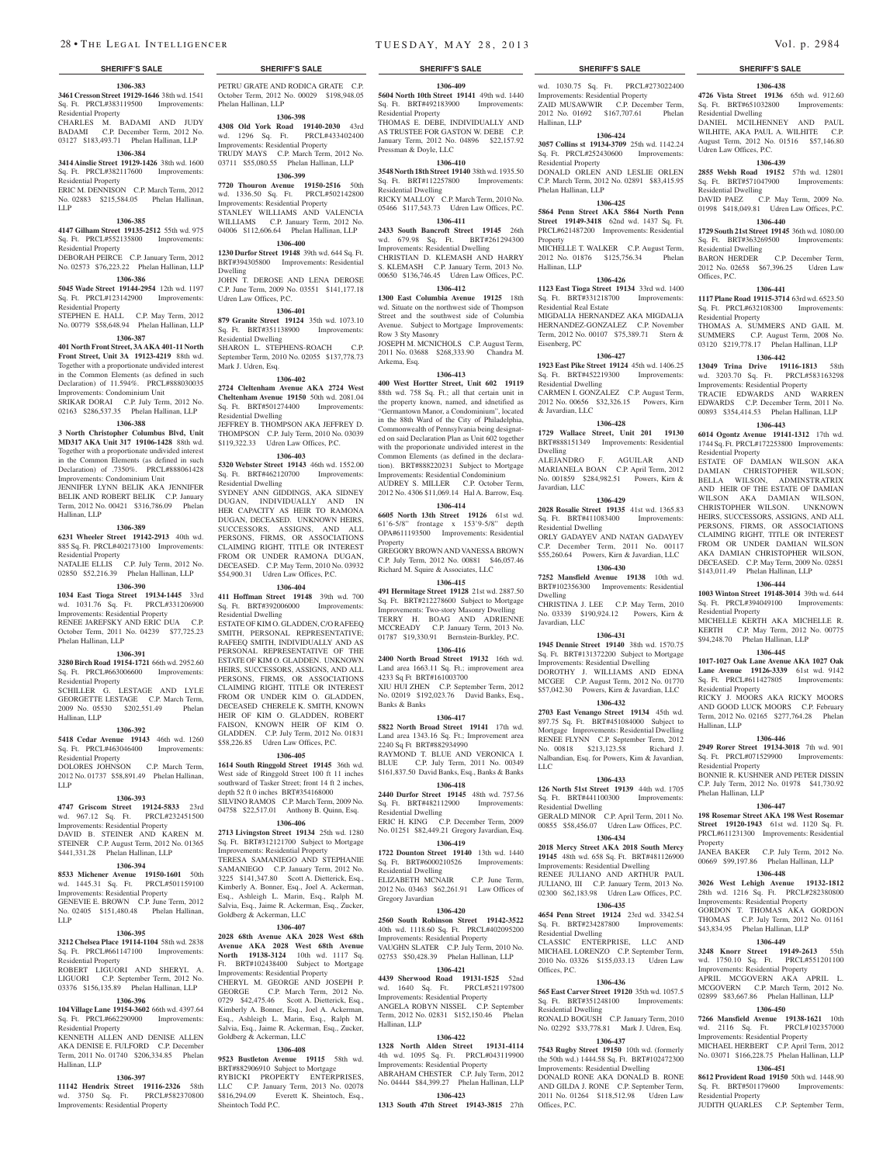**1306-383 3461 Cresson Street 19129-1646** 38th wd. 1541 Sq. Ft. PRCL#383119500 Improvements: Residential Property

CHARLES M. BADAMI AND JUDY BADAMI C.P. December Term, 2012 No. 03127 \$183,493.71 Phelan Hallinan, LLP

## **1306-384**

**3414 Ainslie Street 19129-1426** 38th wd. 1600 Sq. Ft. PRCL#382117600 Improvements: Residential Property ERIC M. DENNISON C.P. March Term, 2012

### No. 02883 \$215,584.05 Phelan Hallinan, LLP

#### **1306-385**

**4147 Gilham Street 19135-2512** 55th wd. 975 Sq. Ft. PRCL#552135800 Improvements: Residential Property

DEBORAH PEIRCE C.P. January Term, 2012 No. 02573 \$76,223.22 Phelan Hallinan, LLP

## **1306-386**

**5045 Wade Street 19144-2954** 12th wd. 1197 Sq. Ft. PRCL#123142900 Improvements: Residential Property

STEPHEN E. HALL C.P. May Term, 2012 No. 00779 \$58,648.94 Phelan Hallinan, LLP

## **1306-387**

**401 North Front Street, 3AAKA 401-11 North Front Street, Unit 3A 19123-4219** 88th wd. Together with a proportionate undivided interest in the Common Elements (as defined in such Declaration) of 11.594%. PRCL#888030035 Improvements: Condominium Unit SRIKAR DORAI C.P. July Term, 2012 No. 02163 \$286,537.35 Phelan Hallinan, LLP

#### **1306-388**

**3 North Christopher Columbus Blvd, Unit MD317 AKA Unit 317 19106-1428** 88th wd. Together with a proportionate undivided interest in the Common Elements (as defined in such Declaration) of .7350%. PRCL#888061428 Improvements: Condominium Unit

JENNIFER LYNN BELIK AKA JENNIFER BELIK AND ROBERT BELIK C.P. January Term, 2012 No. 00421 \$316,786.09 Phelan Hallinan, LLP

#### **1306-389**

**6231 Wheeler Street 19142-2913** 40th wd. 885 Sq. Ft. PRCL#402173100 Improvements:

Residential Property NATALIE ELLIS C.P. July Term, 2012 No. 02850 \$52,216.39 Phelan Hallinan, LLP

#### **1306-390**

**1034 East Tioga Street 19134-1445** 33rd wd. 1031.76 Sq. Ft. PRCL#331206900 Improvements: Residential Property RENEE JAREFSKY AND ERIC DUA C.P. October Term, 2011 No. 04239 \$77,725.23 Phelan Hallinan, LLP

### **1306-391**

**3280 Birch Road 19154-1721** 66th wd. 2952.60 Sq. Ft. PRCL#663006600 Improvements: Residential Property SCHILLER G. LESTAGE AND LYLE GEORGETTE LESTAGE C.P. March Term,<br>2009 No. 05530 \$202.551.49 Phelan 2009 No. 05530 \$202,551.49 Hallinan, LLP

#### **1306-392**

**5418 Cedar Avenue 19143** 46th wd. 1260 Sq. Ft. PRCL#463046400 Improvements: Residential Property

#### DOLORES JOHNSON C.P. March Term, 2012 No. 01737 \$58,891.49 Phelan Hallinan,

LLP

## **1306-393**

**4747 Griscom Street 19124-5833** 23rd wd. 967.12 Sq. Ft. PRCL#232451500 Improvements: Residential Property DAVID B. STEINER AND KAREN M.

STEINER C.P. August Term, 2012 No. 01365 \$441,331.28 Phelan Hallinan, LLP **1306-394**

#### **8533 Michener Avenue 19150-1601** 50th wd. 1445.31 Sq. Ft. PRCL#501159100 Improvements: Residential Property GENEVIE E. BROWN C.P. June Term, 2012 No. 02405 \$151,480.48 Phelan Hallinan, LLP

#### **1306-395**

**3212 Chelsea Place 19114-1104** 58th wd. 2838 Sq. Ft. PRCL#661147100 Improvements: Residential Property

OBERT LIGUORI AND SHERYL LIGUORI C.P. September Term, 2012 No. 03376 \$156,135.89 Phelan Hallinan, LLP

## **1306-396**

**104 Village Lane 19154-3602** 66th wd. 4397.64 Sq. Ft. PRCL#662290900 Improvements: Residential Property KENNETH ALLEN AND DENISE ALLEN

AKA DENISE E. FULFORD C.P. December Term, 2011 No. 01740 \$206,334.85 Phelan Hallinan, LLP

## **1306-397**

**11142 Hendrix Street 19116-2326** 58th wd. 3750 Sq. Ft. Improvements: Residential Property

PETRU GRATE AND RODICA GRATE C.P. October Term, 2012 No. 00029 \$198,948.05 Phelan Hallinan, LLP

### **1306-398**

**4308 Old York Road 19140-2030** 43rd wd. 1296 Sq. Ft. PRCL#433402400 Improvements: Residential Property TRUDY MAYS C.P. March Term, 2012 No. 03711 \$55,080.55 Phelan Hallinan, LLP

**1306-399 7720 Thouron Avenue 19150-2516** 50th wd. 1336.50 Sq. Ft. PRCL#502142800 Improvements: Residential Property STANLEY WILLIAMS AND VALENCIA WILLIAMS C.P. January Term, 2012 No. 04006 \$112,606.64 Phelan Hallinan, LLP

## **1306-400**

**1230 Durfor Street 19148** 39th wd. 644 Sq. Ft. BRT#394305800 Improvements: Residential Dwelling JOHN T. DEROSE AND LENA DEROSE C.P. June Term, 2009 No. 03551 \$141,177.18 Udren Law Offices, P.C.

### **1306-401**

**879 Granite Street 19124** 35th wd. 1073.10 Sq. Ft. BRT#351138900 Improvements: Residential Dwelling SHARON L. STEPHENS-ROACH C.P. September Term, 2010 No. 02055 \$137,778.73 Mark J. Udren, Esq.

#### **1306-402**

**2724 Cleltenham Avenue AKA 2724 West Cheltenham Avenue 19150** 50th wd. 2081.04 Sq. Ft. BRT#501274400 Improvements: Residential Dwelling JEFFREY B. THOMPSON AKA JEFFREY D.

THOMPSON C.P. July Term, 2010 No. 03039 \$119,322.33 Udren Law Offices, P.C.

## **1306-403**

**5320 Webster Street 19143** 46th wd. 1552.00 Sq. Ft. BRT#462120700 Improvements: Residential Dwelling

SYDNEY ANN GIDDINGS, AKA SIDNEY DUGAN, INDIVIDUALLY AND IN HER CAPACITY AS HEIR TO RAMONA DUGAN, DECEASED. UNKNOWN HEIRS, SUCCESSORS, ASSIGNS, AND ALL PERSONS, FIRMS, OR ASSOCIATIONS CLAIMING RIGHT, TITLE OR INTERE FROM OR UNDER RAMONA DUGAN, DECEASED. C.P. May Term, 2010 No. 03932 \$54,900.31 Udren Law Offices, P.C.

#### **1306-404**

**411 Hoffman Street 19148** 39th wd. 700 Sq. Ft. BRT#392006000 Improvements: Residential Dwelling

ESTATE OF KIM O. GLADDEN, C/O RAFEEQ SMITH, PERSONAL REPRESENTATIVE; RAFEEQ SMITH, INDIVIDUALLY AND AS PERSONAL REPRESENTATIVE OF THE ESTATE OF KIM O. GLADDEN. UNKNOWN HEIRS, SUCCESSORS, ASSIGNS, AND ALL PERSONS, FIRMS, OR ASSOCIATIONS CLAIMING RIGHT, TITLE OR INTEREST FROM OR UNDER KIM O. GLADDEN, DECEASED CHERELE K. SMITH, KNOWN HEIR OF KIM O. GLADDEN, ROBERT FAISON, KNOWN HEIR OF KIM O. GLADDEN. C.P. July Term, 2012 No. 01831 \$58,226.85 Udren Law Offices, P.C.

#### **1306-405**

**1614 South Ringgold Street 19145** 36th wd. West side of Ringgold Street 100 ft 11 inches southward of Tasker Street; front 14 ft 2 inches, depth 52 ft 0 inches BRT#354168000 SILVINO RAMOS C.P. March Term, 2009 No. 04758 \$22,517.01 Anthony B. Quinn, Esq.

#### **1306-406**

**2713 Livingston Street 19134** 25th wd. 1280 Sq. Ft. BRT#312121700 Subject to Mortgage Improvements: Residential Property

TERESA SAMANIEGO AND STEPHANIE SAMANIEGO C.P. January Term, 2012 No. 3225 \$141,347.80 Scott A. Dietterick, Esq., Kimberly A. Bonner, Esq., Joel A. Ackerman, Esq., Ashleigh L. Marin, Esq., Ralph M. Salvia, Esq., Jaime R. Ackerman, Esq., Zucker, Goldberg & Ackerman, LLC

#### **1306-407**

**2028 68th Avenue AKA 2028 West 68th Avenue AKA 2028 West 68th Avenue North 19138-3124** 10th wd. 1117 Sq. Ft. BRT#102438400 Subject to Mortgage Improvements: Residential Property

CHERYL M. GEORGE AND JOSEPH P. GEORGE C.P. March Term, 2012 No. 0729 \$42,475.46 Scott A. Dietterick, Esq., Kimberly A. Bonner, Esq., Joel A. Ackerman, Esq., Ashleigh L. Marin, Esq., Ralph M. Salvia, Esq., Jaime R. Ackerman, Esq., Zucker, Goldberg & Ackerman, LLC

#### **1306-408**

**9523 Bustleton Avenue 19115** 58th wd. BRT#882906910 Subject to Mortgage RYBICKI PROPERTY ENTERPRISES, LLC C.P. January Term, 2013 No. 02078 \$816,294.09 Everett K. Sheintoch, Esq., Sheintoch Todd P.C.

#### **SHERIFF'S SALE SHERIFF'S SALE SHERIFF'S SALE SHERIFF'S SALE SHERIFF'S SALE**

wd. 1030.75 Sq. Ft. PRCL#273022400 Improvements: Residential Property ZAID MUSAWWIR C.P. December Term, 2012 No. 01692 \$167,707.61 Phelan

**1306-438 4726 Vista Street 19136** 65th wd. 912.60 Sq. Ft. BRT#651032800 Improvements:

DANIEL MCILHENNEY AND PAUL WILHITE, AKA PAUL A. WILHITE C.P. August Term, 2012 No. 01516 \$57,146.80

**1306-439 2855 Welsh Road 19152** 57th wd. 12801

DAVID PAEZ C.P. May Term, 2009 No. 01998 \$418,049.81 Udren Law Offices, P.C. **1306-440 1729 South 21st Street 19145** 36th wd. 1080.00 Sq. Ft. BRT#363269500 Improvements:

2012 No. 02658 \$67,396.25 Udren Law

**1306-441 1117 Plane Road 19115-3714** 63rd wd. 6523.50 Sq. Ft. PRCL#632108300 Improvements:

THOMAS A. SUMMERS AND GAIL M. SUMMERS C.P. August Term, 2008 No. 03120 \$219,778.17 Phelan Hallinan, LLP **1306-442 13049 Trina Drive 19116-1813** 58th wd. 3203.70 Sq. Ft. PRCL#583163298 Improvements: Residential Property TRACIE EDWARDS AND WARREN EDWARDS C.P. December Term, 2011 No. 00893 \$354,414.53 Phelan Hallinan, LLP **1306-443 6014 Ogontz Avenue 19141-1312** 17th wd. 1744 Sq. Ft. PRCL#172253800 Improvements:

ESTATE OF DAMIAN WILSON AKA DAMIAN CHRISTOPHER WILSON; BELLA WILSON, ADMINSTRATRIX AND HEIR OF THE ESTATE OF DAMIAN WILSON AKA DAMIAN WILSON, CHRISTOPHER WILSON. UNKNOWN HEIRS, SUCCESSORS, ASSIGNS, AND ALL PERSONS, FIRMS, OR ASSOCIATIONS CLAIMING RIGHT, TITLE OR INTEREST FROM OR UNDER DAMIAN WILSON AKA DAMIAN CHRISTOPHER WILSON, DECEASED. C.P. May Term, 2009 No. 02851 \$143,011.49 Phelan Hallinan, LLP **1306-444 1003 Winton Street 19148-3014** 39th wd. 644 Sq. Ft. PRCL#394049100 Improvements:

MICHELLE KERTH AKA MICHELLE R. KERTH C.P. May Term, 2012 No. 00775 \$94,248.70 Phelan Hallinan, LLP **1306-445 1017-1027 Oak Lane Avenue AKA 1027 Oak Lane Avenue 19126-3339** 61st wd. 9142 Sq. Ft. PRCL#611427805 Improvements:

RICKY J. MOORS AKA RICKY MOORS AND GOOD LUCK MOORS C.P. February Term, 2012 No. 02165 \$277,764.28 Phelan

**1306-446 2949 Rorer Street 19134-3018** 7th wd. 901 Sq. Ft. PRCL#071529900 Improvements:

BONNIE R. KUSHNER AND PETER DISSIN C.P. July Term, 2012 No. 01978 \$41,730.92

**1306-447 198 Rosemar Street AKA 198 West Rosemar Street 19120-1943** 61st wd. 1120 Sq. Ft. PRCL#611231300 Improvements: Residential

JANEA BAKER C.P. July Term, 2012 No. 00669 \$99,197.86 Phelan Hallinan, LLP **1306-448 3026 West Lehigh Avenue 19132-1812**  28th wd. 1216 Sq. Ft. PRCL#282380800 Improvements: Residential Property GORDON T. THOMAS AKA GORDON THOMAS C.P. July Term, 2012 No. 01161 \$43,834.95 Phelan Hallinan, LLP

**1306-449 3248 Knorr Street 19149-2613** 55th wd. 1750.10 Sq. Ft. PRCL#551201100 Improvements: Residential Property APRIL MCGOVERN AKA APRIL L. MCGOVERN C.P. March Term, 2012 No. 02899 \$83,667.86 Phelan Hallinan, LLP **1306-450 7266 Mansfield Avenue 19138-1621** 10th wd. 2116 Sq. Ft. PRCL#102357000 Improvements: Residential Property MICHAEL HERBERT C.P. April Term, 2012 No. 03071 \$166,228.75 Phelan Hallinan, LLP **1306-451 8612 Provident Road 19150** 50th wd. 1448.90 Sq. Ft. BRT#501179600 Improvements:

JUDITH QUARLES C.P. September Term,

C.P. December Term,

Residential Dwelling

Udren Law Offices, P.C.

Sq. Ft. BRT#571047900 Residential Dwelling

Residential Dwelling<br>BARON HERDER

Residential Property

Residential Property

Residential Property

Residential Property

Residential Property

Phelan Hallinan, LLP

Residential Property

Property

Hallinan, LLP

Offices, P.C.

**1306-424 3057 Collins st 19134-3709** 25th wd. 1142.24 Sq. Ft. PRCL#252430600 Improvements:

DONALD ORLEN AND LESLIE ORLEN C.P. March Term, 2012 No. 02891 \$83,415.95

**1306-425 5864 Penn Street AKA 5864 North Penn Street 19149-3418** 62nd wd. 1437 Sq. Ft. PRCL#621487200 Improvements: Residential

MICHELLE T. WALKER C.P. August Term,<br>2012 No. 01876 \$125.756.34 Phelan 2012 No. 01876 \$125,756.34

**1306-426 1123 East Tioga Street 19134** 33rd wd. 1400 Sq. Ft. BRT#331218700 Improvements:

MIGDALIA HERNANDEZ AKA MIGDALIA HERNANDEZ-GONZALEZ C.P. November Term, 2012 No. 00107 \$75,389.71 Stern &

**1306-427 1923 East Pike Street 19124** 45th wd. 1406.25 Sq. Ft. BRT#452219300 Improvements:

CARMEN I. GONZALEZ C.P. August Term, 2012 No. 00656 \$32,326.15 Powers, Kirn

**1306-428 1729 Wallace Street, Unit 201 19130**  BRT#888151349 Improvements: Residential

ALEJANDRO F. AGUILAR AND MARIANELA BOAN C.P. April Term, 2012 No. 001859 \$284,982.51 Powers, Kirn &

**1306-429 2028 Rosalie Street 19135** 41st wd. 1365.83 Sq. Ft. BRT#411083400 Improvements:

ORLY GADAYEV AND NATAN GADAYEV C.P. December Term, 2011 No. 00117 \$55,260.64 Powers, Kirn & Javardian, LLC **1306-430 7252 Mansfield Avenue 19138** 10th wd. BRT#102356300 Improvements: Residential

CHRISTINA J. LEE C.P. May Term, 2010 No. 03339 \$190,924.12 Powers, Kirn &

**1306-431 1945 Dennie Street 19140** 38th wd. 1570.75 Sq. Ft. BRT#131372200 Subject to Mortgage Improvements: Residential Dwelling DOROTHY J. WILLIAMS AND EDNA MCGEE C.P. August Term, 2012 No. 01770 \$57,042.30 Powers, Kirn & Javardian, LLC **1306-432 2703 East Venango Street 19134** 45th wd. 897.75 Sq. Ft. BRT#451084000 Subject to Mortgage Improvements: Residential Dwelling RENEE FLYNN C.P. September Term, 2012<br>No. 00818 \$213.123.58 Richard J.

Nalbandian, Esq. for Powers, Kim & Javardian,

**1306-433 126 North 51st Street 19139** 44th wd. 1705 Sq. Ft. BRT#441100300 Improvements:

GERALD MINOR C.P. April Term, 2011 No. 00855 \$58,456.07 Udren Law Offices, P.C. **1306-434 2018 Mercy Street AKA 2018 South Mercy 19145** 48th wd. 658 Sq. Ft. BRT#481126900 Improvements: Residential Dwelling RENEE JULIANO AND ARTHUR PAUL JULIANO, III C.P. January Term, 2013 No. 02300 \$62,183.98 Udren Law Offices, P.C. **1306-435 4654 Penn Street 19124** 23rd wd. 3342.54

CLASSIC ENTERPRISE, LLC AND MICHAEL LORENZO C.P. September Term, 2010 No. 03326 \$155,033.13 Udren Law

**1306-436 565 East Carver Street 19120** 35th wd. 1057.5 Sq. Ft. BRT#351248100 Improvements:

RONALD BOGUSH C.P. January Term, 2010 No. 02292 \$33,778.81 Mark J. Udren, Esq. **1306-437 7543 Rugby Street 19150** 10th wd. (formerly the 50th wd.) 1444.58 Sq. Ft. BRT#102472300 Improvements: Residential Dwelling DONALD RONE AKA DONALD B. RONE AND GILDA J. RONE C.P. September Term, 2011 No. 01264 \$118,512.98 Udren Law

No. 00818 \$213,123.58

Residential Dwelling

Sq. Ft. BRT#234287800 Residential Dwelling

Offices, P.C.

Offices, P.C.

Residential Dwelling

Hallinan, LLP

Residential Property

Phelan Hallinan, LLP

Property

Hallinan, LLP

Eisenberg, PC

Residential Real Estate

Residential Dwelling

& Javardian, LLC

Javardian, LLC

Residential Dwelling

Dwelling

Dwelling

LLC

Javardian, LLC

**1306-409 5604 North 10th Street 19141** 49th wd. 1440 Sq. Ft. BRT#492183900 Improvements: Residential Property

THOMAS E. DEBE, INDIVIDUALLY AND AS TRUSTEE FOR GASTON W. DEBE C.P. January Term, 2012 No. 04896 \$22,157.92 Pressman & Doyle, LLC

## **1306-410**

**3548 North 18th Street 19140** 38th wd. 1935.50 Sq. Ft. BRT#112257800 Improvements: Residential Dwelling

RICKY MALLOY C.P. March Term, 2010 No. 05466 \$117,543.73 Udren Law Offices, P.C. **1306-411**

#### **2433 South Bancroft Street 19145** 26th wd. 679.98 Sq. Ft. BRT#261294300 Improvements: Residential Dwelling

CHRISTIAN D. KLEMASH AND HARRY S. KLEMASH C.P. January Term, 2013 No. 00650 \$136,746.45 Udren Law Offices, P.C. **1306-412**

**1300 East Columbia Avenue 19125** 18th wd. Situate on the northwest side of Thompson Street and the southwest side of Columbia Avenue. Subject to Mortgage Improvements: Row 3 Sty Masonry JOSEPH M. MCNICHOLS C.P. August Term,

2011 No. 03688 \$268,333.90 Chandra M. Arkema, Esq.

## **1306-413**

**400 West Hortter Street, Unit 602 19119**  88th wd. 758 Sq. Ft.; all that certain unit in the property known, named, and idnetified as "Germantown Manor, a Condominium", located in the 88th Ward of the City of Philadelphia, Commonwealth of Pennsylvania being designated on said Declaration Plan as Unit 602 together with the proporionate undivided interest in the Common Elements (as defined in the declaration). BRT#888220231 Subject to Mortgage Improvements: Residential Condominium AUDREY S. MILLER C.P. October Term,

2012 No. 4306 \$11,069.14 Hal A. Barrow, Esq. **1306-414**

## **6605 North 13th Street 19126** 61st wd. 61'6-5/8" frontage x 153'9-5/8" depth OPA#611193500 Improvements: Residential Property

GREGORY BROWN AND VANESSA BROWN C.P. July Term, 2012 No. 00881 \$46,057.46 Richard M. Squire & Associates, LLC **1306-415**

**491 Hermitage Street 19128** 21st wd. 2887.50 Sq. Ft. BRT#212278600 Subject to Mortgage Improvements: Two-story Masonry Dwelling TERRY H. BOAG AND ADRIENNE MCCREADY C.P. January Term, 2013 No. 01787 \$19,330.91 Bernstein-Burkley, P.C.

## **1306-416**

**2400 North Broad Street 19132** 16th wd. Land area 1663.11 Sq. Ft.; improvement area 4233 Sq Ft BRT#161003700 XIU HUI ZHEN C.P. September Term, 2012 No. 02019 \$192,023.76 David Banks, Esq., Banks & Banks

#### **1306-417**

**5822 North Broad Street 19141** 17th wd. Land area 1343.16 Sq. Ft.; Improvement area 2240 Sq Ft BRT#882934990 RAYMOND T. BLUE AND VERONICA I. BLUE C.P. July Term, 2011 No. 00349 \$161,837.50 David Banks, Esq., Banks & Banks

## **1306-418**

**2440 Durfor Street 19145** 48th wd. 757.56 Sq. Ft. BRT#482112900 Improvements: Residential Dwelling

ERIC H. KING C.P. December Term, 2009 No. 01251 \$82,449.21 Gregory Javardian, Esq. **1306-419**

## **1722 Dounton Street 19140** 13th wd. 1440 Sq. Ft. BRT#6000210526 Improvements:

Residential Dwelling ELIZABETH MCNAIR C.P. June Term, 2012 No. 03463 \$62,261.91 Law Offices of Gregory Javardian

#### **1306-420**

**2560 South Robinson Street 19142-3522**  40th wd. 1118.60 Sq. Ft. PRCL#402095200 Improvements: Residential Property VAUGHN SLATER C.P. July Term, 2010 No.

### 02753 \$50,428.39 Phelan Hallinan, LLP **1306-421**

**4439 Sherwood Road 19131-1525** 52nd wd. 1640 Sq. Ft. PRCL#521197800 Improvements: Residential Property ANGELA ROBYN NISSEL C.P. September Term, 2012 No. 02831 \$152,150.46 Phelan Hallinan, LLP

**1306-422 1328 North Alden Street 19131-4114**  4th wd. 1095 Sq. Ft. PRCL#043119900 Improvements: Residential Property ABRAHAM CHESTER C.P. July Term, 2012 No. 04444 \$84,399.27 Phelan Hallinan, LLP **1306-423 1313 South 47th Street 19143-3815** 27th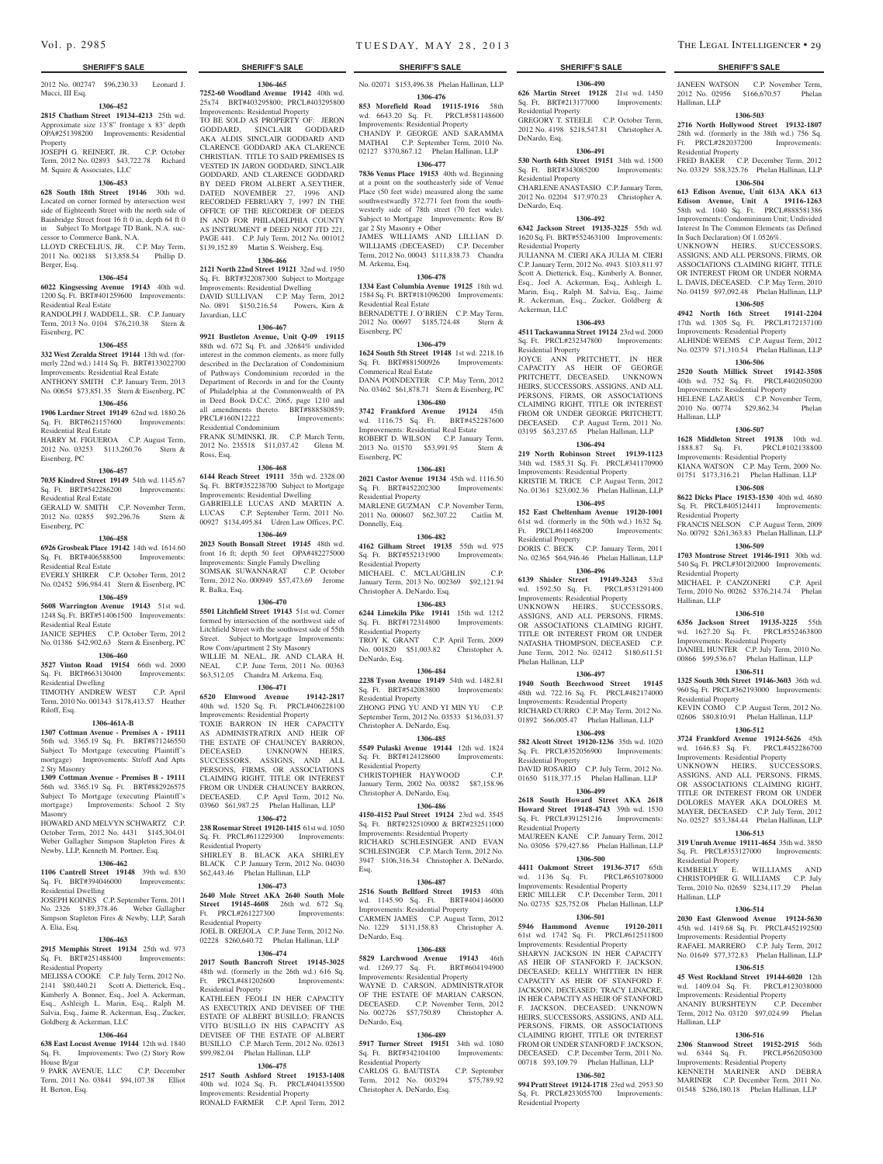2012 No. 002747 \$96,230.33 Leonard J. Mucci, III Esq.

## **1306-452**

**2815 Chatham Street 19134-4213** 25th wd. Approximate size 13'8" frontage x 83' depth OPA#251398200 Improvements: Residential Property

JOSEPH G. REINERT, JR. C.P. October Term, 2012 No. 02893 \$43,722.78 Richard M. Squire & Associates, LLC

## **1306-453**

**628 South 18th Street 19146** 30th wd. Located on corner formed by intersection west side of Eighteenth Street with the north side of Bainbridge Street front 16 ft 0 in, depth 64 ft 0 in Subject To Mortgage TD Bank, N.A. successor to Commerce Bank, N.A.

LLOYD CRECELIUS, JR. C.P. May Term, 2011 No. 002188 \$13,858.54 Phillip D. Berger, Esq.

## **1306-454**

**6022 Kingsessing Avenue 19143** 40th wd. 1200 Sq. Ft. BRT#401259600 Improvements:

Residential Real Estate RANDOLPH J. WADDELL, SR. C.P. January Term, 2013 No. 0104 \$76,210.38 Stern & Eisenberg, PC

#### **1306-455**

**332 West Zeralda Street 19144** 13th wd. (formerly 22nd wd.) 1414 Sq. Ft. BRT#133022700 Improvements: Residential Real Estate ANTHONY SMITH C.P. January Term, 2013 No. 00654 \$73,851.35 Stern & Eisenberg, PC

## **1306-456**

**1906 Lardner Street 19149** 62nd wd. 1880.26 Sq. Ft. BRT#621157600 Improvements: Residential Real Estate

HARRY M. FIGUEROA C.P. August Term, 2012 No. 03253 \$113,260.76 Stern & Eisenberg, PC

#### **1306-457**

**7035 Kindred Street 19149** 54th wd. 1145.67 Sq. Ft. BRT#542286200 Improvements: Residential Real Estate GERALD W. SMITH C.P. November Term,

2012 No. 02855 \$92,296.76 Stern & Eisenberg, PC **1306-458**

**6926 Grosbeak Place 19142** 14th wd. 1614.60 Sq. Ft. BRT#406588500 Improvements: Residential Real Estate

EVERLY SHIRER C.P. October Term, 2012 No. 02452 \$96,984.41 Stern & Eisenberg, PC

#### **1306-459**

**5608 Warrington Avenue 19143** 51st wd. 1248 Sq. Ft. BRT#514061500 Improvements: Residential Real Estate

JANICE SEPHES C.P. October Term, 2012 No. 01386 \$42,902.63 Stern & Eisenberg, PC

#### **1306-460**

**3527 Vinton Road 19154** 66th wd. 2000 Sq. Ft. BRT#663130400 Improvements: Residential Dwelling TIMOTHY ANDREW WEST C.P. April

Term, 2010 No. 001343 \$178,413.57 Heather Riloff, Esq.

#### **1306-461A-B**

**1307 Cottman Avenue - Premises A - 19111**  56th wd. 3365.19 Sq. Ft. BRT#871246550 Subject To Mortgage (executing Plaintiff's mortgage) Improvements: Str/off And Apts 2 Sty Masonry

**1309 Cottman Avenue - Premises B - 19111**  56th wd. 3365.19 Sq. Ft. BRT#882926575 Subject To Mortgage (executing Plaintiff's mortgage) Improvements: School 2 Sty Masonry

HOWARD AND MELVYN SCHWARTZ C.P. October Term, 2012 No. 4431 \$145,304.01 Weber Gallagher Simpson Stapleton Fires & Newby, LLP, Kenneth M. Portner, Esq.

#### **1306-462**

**1106 Cantrell Street 19148** 39th wd. 830 Sq. Ft. BRT#394046000 Improvements: Residential Dwelling

JOSEPH KOINES C.P. September Term, 2011 No. 2326 \$189,378.46 Weber Gallagher Simpson Stapleton Fires & Newby, LLP, Sarah A. Elia, Esq.

#### **1306-463**

**2915 Memphis Street 19134** 25th wd. 973 Sq. Ft. BRT#251488400 Improvements: Residential Property

MELISSA COOKE C.P. July Term, 2012 No. 2141 \$80,440.21 Scott A. Dietterick, Esq., Kimberly A. Bonner, Esq., Joel A. Ackerman, Esq., Ashleigh L. Marin, Esq., Ralph M. Salvia, Esq., Jaime R. Ackerman, Esq., Zucker, Goldberg & Ackerman, LLC

#### **1306-464**

**638 East Locust Avenue 19144** 12th wd. 1840 Sq. Ft. Improvements: Two (2) Story Row House B/gar

9 PARK AVENUE, LLC C.P. December Term, 2011 No. 03841 \$94,107.38 Elliot H. Berton, Esq.

#### **SHERIFF'S SALE SHERIFF'S SALE SHERIFF'S SALE SHERIFF'S SALE SHERIFF'S SALE**

No. 02071 \$153,496.38 Phelan Hallinan, LLP **1306-476**

**1306-465 7252-60 Woodland Avenue 19142** 40th wd. 25x74 BRT#403295800; PRCL#403295800 Improvements: Residential Property TO BE SOLD AS PROPERTY OF: JERON GODDARD, SINCLAIR GODDARD AKA ALDIS SINCLAIR GODDARD AND CLARENCE GODDARD AKA CLARENCE CHRISTIAN. TITLE TO SAID PREMISES IS VESTED IN JARON GODDARD, SINCLAIR GODDARD, AND CLARENCE GODDARD BY DEED FROM ALBERT A.SEYTHER, DATED NOVEMBER 27, 1996 AND RECORDED FEBRUARY 7, 1997 IN THE OFFICE OF THE RECORDER OF DEEDS IN AND FOR PHILADELPHIA COUNTY AS INSTRUMENT # DEED NOOT JTD 221, PAGE 441. C.P. July Term, 2012 No. 001012 \$139,152.89 Martin S. Weisberg, Esq. **1306-466 2121 North 22nd Street 19121** 32nd wd. 1950 Sq. Ft. BRT#322087300 Subject to Mortgage Improvements: Residential Dwelling DAVID SULLIVAN C.P. May Term, 2012 No. 0891 \$150,216.54 Powers, Kirn &

Javardian, LLC

Residential Condominium

Ross, Esq.

R. Balka, Esq.

Residential Property

Residential Property

Residential Property

SHIRLEY B. BLACK AKA SHIRLE BLACK C.P. January Term, 2012 No. 04030 \$62,443.46 Phelan Hallinan, LLP **1306-473 2640 Mole Street AKA 2640 South Mole Street 19145-4608** 26th wd. 672 Sq. Ft. PRCL#261227300 Improvements:

JOEL B. OREJOLA C.P. June Term, 2012 No. 02228 \$260,640.72 Phelan Hallinan, LLP **1306-474 2017 South Bancroft Street 19145-3025**  48th wd. (formerly in the 26th wd.) 616 Sq. Ft. PRCL#481202600 Improvements:

KATHLEEN FEOLI IN HER CAPACITY AS EXECUTRIX AND DEVISEE OF THE ESTATE OF ALBERT BUSILLO; FRANCIS VITO BUSILLO IN HIS CAPACITY AS DEVISEE OF THE ESTATE OF ALBERT BUSILLO C.P. March Term, 2012 No. 02613 \$99,982.04 Phelan Hallinan, LLP **1306-475 2517 South Ashford Street 19153-1408**  40th wd. 1024 Sq. Ft. PRCL#404135500 Improvements: Residential Property RONALD FARMER C.P. April Term, 2012

**1306-467 9921 Bustleton Avenue, Unit Q-09 19115**  88th wd. 672 Sq. Ft. and .32684% undivided interest in the common elements, as more fully described in the Declaration of Condominium of Pathways Condominium recorded in the Department of Records in and for the County of Philadelphia at the Commonwealth of PA in Deed Book D.C.C. 2065, page 1210 and all amendments thereto. BRT#888580859; PRCL#160N12222 Improvements:

FRANK SUMINSKI, JR. C.P. March Term, 2012 No. 235518 \$11,037.42 Glenn M.

**1306-468 6144 Reach Street 19111** 35th wd. 2328.00 Sq. Ft. BRT#352238700 Subject to Mortgage Improvements: Residential Dwelling GABRIELLE LUCAS AND MARTIN A. LUCAS C.P. September Term, 2011 No. 00927 \$134,495.84 Udren Law Offices, P.C. **1306-469 2023 South Bonsall Street 19145** 48th wd. front 16 ft; depth 50 feet OPA#482275000 Improvements: Single Family Dwelling SOMSAK SUWANNARAT C.P. October Term, 2012 No. 000949 \$57,473.69 Jerome

**1306-470 5501 Litchfield Street 19143** 51st wd. Corner formed by intersection of the northwest side of Litchfield Street with the southwest side of 55th Street. Subject to Mortgage Improvements: Row Conv/apartment 2 Sty Masonry WILLIE M. NEAL, JR. AND CLARA H. NEAL C.P. June Term, 2011 No. 00363 \$63,512.05 Chandra M. Arkema, Esq. **1306-471 6520 Elmwood Avenue 19142-2817**  40th wd. 1520 Sq. Ft. PRCL#406228100 Improvements: Residential Property TOXIE BARRON IN HER CAPACITY AS ADMINISTRATRIX AND HEIR OF THE ESTATE OF CHAUNCEY BARRON. DECEASED. UNKNOWN HEIRS, SUCCESSORS, ASSIGNS, AND ALL PERSONS, FIRMS, OR ASSOCIATIONS CLAIMING RIGHT, TITLE OR INTEREST FROM OR UNDER CHAUNCEY BARRON, DECEASED. C.P. April Term, 2012 No. 03960 \$61,987.25 Phelan Hallinan, LLP **1306-472 238 Rosemar Street 19120-1415** 61st wd. 1050 Sq. Ft. PRCL#611229300 Improvements:

**853 Morefield Road 19115-1916** 58th wd. 6643.20 Sq. Ft. PRCL#581148600 Improvements: Residential Property CHANDY P. GEORGE AND SARAMMA MATHAI C.P. September Term, 2010 No. 02127 \$370,867.12 Phelan Hallinan, LLP

## **1306-477**

**7836 Venus Place 19153** 40th wd. Beginning at a point on the southeasterly side of Venue Place (50 feet wide) measured along the same southwestwardly 372.771 feet from the southwesterly side of 78th street (70 feet wide). Subject to Mortgage Improvements: Row B/ gar 2 Sty Masonry + Other JAMES WILLIAMS AND LILLIAN D. WILLIAMS (DECEASED) C.P. December Term, 2012 No. 00043 \$111,838.73 Chandra M. Arkema, Esq.

#### **1306-478**

**1334 East Columbia Avenue 19125** 18th wd. 1584 Sq. Ft. BRT#181096200 Improvements: Residential Real Estate BERNADETTE J. O'BRIEN C.P. May Term,

2012 No. 00697 \$185,724.48 Stern & Eisenberg, PC **1306-479**

**1624 South 5th Street 19148** 1st wd. 2218.16 Sq. Ft. BRT#881500926 Improvements: Commerical Real Estate DANA POINDEXTER C.P. May Term, 2012 No. 03462 \$61,878.71 Stern & Eisenberg, PC

## **1306-480**

**3742 Frankford Avenue 19124** 45th wd. 1116.75 Sq. Ft. BRT#452287600 Improvements: Residential Real Estate ROBERT D. WILSON C.P. January Term, 2013 No. 01570 \$53,991.95 Stern & Eisenberg, PC

#### **1306-481**

**2021 Castor Avenue 19134** 45th wd. 1116.50 Sq. Ft. BRT#452202300 Improvements: Residential Property MARLENE GUZMAN C.P. November Term, 2011 No. 000607 \$62,307.22 Caitlin M. Donnelly, Esq.

#### **1306-482**

**4162 Gilham Street 19135** 55th wd. 975 Sq. Ft. BRT#552131900 Improvements: Residential Property MICHAEL C. MCLAUGHLIN C.P.

January Term, 2013 No. 002369 \$92,121.94 Christopher A. DeNardo, Esq. **1306-483**

**6244 Limekiln Pike 19141** 15th wd. 1212 Sq. Ft. BRT#172314800 Improvements: Residential Property TROY K. GRANT C.P. April Term, 2009 No. 001820 \$51,003.82 Christopher A. DeNardo, Esq.

#### **1306-484**

**2238 Tyson Avenue 19149** 54th wd. 1482.81 Sq. Ft. BRT#542083800 Improvements: Residential Property ZHONG PING YU AND YI MIN YU C.P. September Term, 2012 No. 03533 \$136,031.37

Christopher A. DeNardo, Esq. **1306-485**

**5549 Pulaski Avenue 19144** 12th wd. 1824 Sq. Ft. BRT#124128600 Improvements: Residential Property CHRISTOPHER HAYWOOD C.P.

January Term, 2002 No. 00382 \$87,158.96 Christopher A. DeNardo, Esq. **1306-486**

**4150-4152 Paul Street 19124** 23rd wd. 3545 Sq. Ft. BRT#232510900 & BRT#232511000 Improvements: Residential Property RICHARD SCHLESINGER AND EVAN SCHLESINGER C.P. March Term, 2012 No. 3947 \$106,316.34 Christopher A. DeNardo, Esq.

#### **1306-487**

**2516 South Bellford Street 19153** 40th wd. 1145.90 Sq. Ft. BRT#404146000 wd. 1145.90 Sq. Ft. BRT#404146000 Improvements: Residential Property CARMEN JAMES C.P. August Term, 2012 No. 1229 \$131,158.83 Christopher A. DeNardo, Esq.

#### **1306-488**

**5829 Larchwood Avenue 19143** 46th wd. 1269.77 Sq. Ft. BRT#604194900 Improvements: Residential Property

WAYNE D. CARSON, ADMINISTRATOR OF THE ESTATE OF MARIAN CARSON, DECEASED. C.P. November Term, 2012 No. 002726 \$57,750.89 Christopher A. DeNardo, Esq.

#### **1306-489**

**5917 Turner Street 19151** 34th wd. 1080 Sq. Ft. BRT#342104100 Improvements: Residential Property CARLOS G. BAUTISTA C.P. September<br>Term, 2012 No. 003294 \$75,789.92 Term, 2012 No. 003294 Christopher A. DeNardo, Esq.

JANEEN WATSON C.P. November Term, 2012 No. 02956 \$166,670.57 Phelan

**1306-503 2716 North Hollywood Street 19132-1807**  28th wd. (formerly in the 38th wd.) 756 Sq. Ft. PRCL#282037200 Improvements:

FRED BAKER C.P. December Term, 2012 No. 03329 \$58,325.76 Phelan Hallinan, LLP **1306-504 613 Edison Avenue, Unit 613A AKA 613 Edison Avenue, Unit A 19116-1263**  58th wd. 1040 Sq. Ft. PRCL#888581386 Improvements: Condomininum Unit; Undivided Interest In The Common Elements (as Defined

UNKNOWN HEIRS, SUCCESSORS, ASSIGNS, AND ALL PERSONS, FIRMS, OR ASSOCIATIONS CLAIMING RIGHT, TITLE OR INTEREST FROM OR UNDER NORMA L. DAVIS, DECEASED. C.P. May Term, 2010 No. 04159 \$97,092.48 Phelan Hallinan, LLP **1306-505 4942 North 16th Street 19141-2204**  17th wd. 1305 Sq. Ft. PRCL#172137100 Improvements: Residential Property ALHINDE WEEMS C.P. August Term, 2012 No. 02379 \$71,310.54 Phelan Hallinan, LLP **1306-506 2520 South Millick Street 19142-3508**  40th wd. 752 Sq. Ft. PRCL#402050200 Improvements: Residential Property HELENE LAZARUS C.P. November Term,<br>2010 No. 00774 \$29.862.34 Phelan 2010 No. 00774 \$29,862.34

**1306-507 1628 Middleton Street 19138** 10th wd. 1888.87 Sq. Ft. PRCL#102138800 Improvements: Residential Property KIANA WATSON C.P. May Term, 2009 No. 01751 \$173,316.21 Phelan Hallinan, LLP **1306-508 8622 Dicks Place 19153-1530** 40th wd. 4680 Sq. Ft. PRCL#405124411 Improvements:

FRANCIS NELSON C.P. August Term, 2009 No. 00792 \$261,363.83 Phelan Hallinan, LLP **1306-509 1703 Montrose Street 19146-1911** 30th wd. 540 Sq. Ft. PRCL#301202000 Improvements:

MICHAEL P. CANZONERI C.P. April Term, 2010 No. 00262 \$376,214.74 Phelan

**1306-510 6356 Jackson Street 19135-3225** 55th wd. 1627.20 Sq. Ft. PRCL#552463800 Improvements: Residential Property DANIEL HUNTER C.P. July Term, 2010 No. 00866 \$99,536.67 Phelan Hallinan, LLP **1306-511 1325 South 30th Street 19146-3603** 36th wd. 960 Sq. Ft. PRCL#362193000 Improvements:

KEVIN COMO C.P. August Term, 2012 No. 02606 \$80,810.91 Phelan Hallinan, LLP **1306-512 3724 Frankford Avenue 19124-5626** 45th wd. 1646.83 Sq. Ft. PRCL#452286700 Improvements: Residential Property UNKNOWN HEIRS, SUCCESSORS, ASSIGNS, AND ALL PERSONS, FIRMS, OR ASSOCIATIONS CLAIMING RIGHT. TITLE OR INTEREST FROM OR UNDER DOLORES MAYER AKA DOLORES M. MAYER, DECEASED C.P. July Term, 2012 No. 02527 \$53,384.44 Phelan Hallinan, LLP **1306-513 319 Unruh Avenue 19111-4654** 35th wd. 3850 Sq. Ft. PRCL#353127000 Improvements:

KIMBERLY E. WILLIAMS AND CHRISTOPHER G. WILLIAMS C.P. July Term, 2010 No. 02659 \$234,117.29 Phelan

**1306-514 2030 East Glenwood Avenue 19124-5630**  45th wd. 1419.68 Sq. Ft. PRCL#452192500 Improvements: Residential Property RAFAEL MARRERO C.P. July Term, 2012 No. 01649 \$77,372.83 Phelan Hallinan, LLP **1306-515 45 West Rockland Street 19144-6020** 12th wd. 1409.04 Sq. Ft. PRCL#123038000 Improvements: Residential Property ANANIY BURSHTEYN C.P. December Term, 2012 No. 03120 \$97,024.99 Phelan

**1306-516 2306 Stanwood Street 19152-2915** 56th wd. 6344 Sq. Ft. PRCL#562050300 Improvements: Residential Property KENNETH MARINER AND DEBRA MARINER C.P. December Term, 2011 No. 01548 \$286,180.18 Phelan Hallinan, LLP

In Such Declaration) Of 1.0526%.

Hallinan, LLP

Residential Property

Hallinan, LLP

Residential Property

Residential Property

Residential Property

Residential Property

Hallinan, LLP

Hallinan, LLP

Hallinan, LLP

#### **1306-490 626 Martin Street 19128** 21st wd. 1450 Sq. Ft. BRT#213177000 Improvements: Residential Property

GREGORY T. STEELE C.P. October Term, 2012 No. 4198 \$218,547.81 Christopher A. DeNardo, Esq.

## **1306-491**

**530 North 64th Street 19151** 34th wd. 1500 Sq. Ft. BRT#343085200 Improvements: Residential Property CHARLENEANASTASIO C.P. January Term,

2012 No. 02204 \$17,970.23 Christopher A.

#### **1306-492**

DeNardo, Esq.

**6342 Jackson Street 19135-3225** 55th wd. 1620 Sq. Ft. BRT#552463100 Improvements: Residential Property JULIANNA M. CIERI AKA JULIA M. CIERI C.P. January Term, 2012 No. 4943 \$103,811.97 Scott A. Dietterick, Esq., Kimberly A. Bonner, Esq., Joel A. Ackerman, Esq., Ashleigh L. Marin, Esq., Ralph M. Salvia, Esq., Jaime R. Ackerman, Esq., Zucker, Goldberg & Ackerman, LLC

## **1306-493**

**4511 Tackawanna Street 19124** 23rd wd. 2000 Sq. Ft. PRCL#232347800 Improvements: Residential Property

JOYCE ANN PRITCHETT, IN HER CAPACITY AS HEIR OF GEORGE PRITCHETT, DECEASED. UNKNOWN HEIRS, SUCCESSORS, ASSIGNS, AND ALL PERSONS, FIRMS, OR ASSOCIATIONS CLAIMING RIGHT, TITLE OR INTEREST FROM OR UNDER GEORGE PRITCHETT, DECEASED. C.P. August Term, 2011 No. 03195 \$63,237.65 Phelan Hallinan, LLP

## **1306-494**

**219 North Robinson Street 19139-1123**  34th wd. 1585.31 Sq. Ft. PRCL#341170900 Improvements: Residential Property KRISTIE M. TRICE C.P. August Term, 2012

## No. 01361 \$23,002.36 Phelan Hallinan, LLP

**1306-495**

**152 East Cheltenham Avenue 19120-1001**  % 61st wd. (formerly in the 50th wd.) 1632 Sq.<br>Ft. PRCL#611468200 Improvements: Ft. PRCL#611468200 Residential Property

DORIS C. BECK C.P. January Term, 2011 No. 02365 \$64,946.46 Phelan Hallinan, LLP

## **1306-496**

**6139 Shisler Street 19149-3243** 53rd wd. 1592.50 Sq. Ft. PRCL#531291400 Improvements: Residential Property UNKNOWN HEIRS, SUCCESSORS, ASSIGNS, AND ALL PERSONS, FIRMS, OR ASSOCIATIONS CLAIMING RIGHT, TITLE OR INTEREST FROM OR UNDER NATASHA THOMPSON, DECEASED C.P. June Term, 2012 No. 02412 \$180,611.51 Phelan Hallinan, LLP

#### **1306-497 1940 South Beechwood Street 19145**

48th wd. 722.16 Sq. Ft. PRCL#482174000 Improvements: Residential Property RICHARD CURRO C.P. May Term, 2012 No. 01892 \$66,005.47 Phelan Hallinan, LLP

#### **1306-498**

**582 Alcott Street 19120-1236** 35th wd. 1020 Sq. Ft. PRCL#352056900 Improvements: Residential Property DAVID ROSARIO C.P. July Term, 2012 No. 01650 \$118,377.15 Phelan Hallinan, LLP

#### **1306-499**

**2618 South Howard Street AKA 2618 Howard Street 19148-4743** 39th wd. 1530 Sq. Ft. PRCL#391251216 Improvements: Residential Property MAUREEN KANE C.P. January Term, 2012 No. 03056 \$79,427.86 Phelan Hallinan, LLP

#### **1306-500 4411 Oakmont Street 19136-3717** 65th

Residential Property

wd. 1136 Sq. Ft. PRCL#651078000 Improvements: Residential Property ERIC MILLER C.P. December Term, 2011 No. 02735 \$25,752.08 Phelan Hallinan, LLP **1306-501 5946 Hammond Avenue 19120-2011**  61st wd. 1742 Sq. Ft. PRCL#612511800 Improvements: Residential Property SHARYN JACKSON IN HER CAPACITY AS HEIR OF STANFORD F. JACKSON DECEASED; KELLY WHITTIER IN HER CAPACITY AS HEIR OF STANFORD F. JACKSON, DECEASED; TRACY LINACRE, IN HER CAPACITY AS HEIR OF STANFORD F. JACKSON, DECEASED; UNKNOWN HEIRS, SUCCESSORS, ASSIGNS, AND ALL PERSONS, FIRMS, OR ASSOCIATIONS CLAIMING RIGHT, TITLE OR INTEREST FROM OR UNDER STANFORD F. JACKSON, DECEASED. C.P. December Term, 2011 No. 00718 \$93,109.79 Phelan Hallinan, LLP **1306-502 994 Pratt Street 19124-1718** 23rd wd. 2953.50 Sq. Ft. PRCL#233055700 Improvements: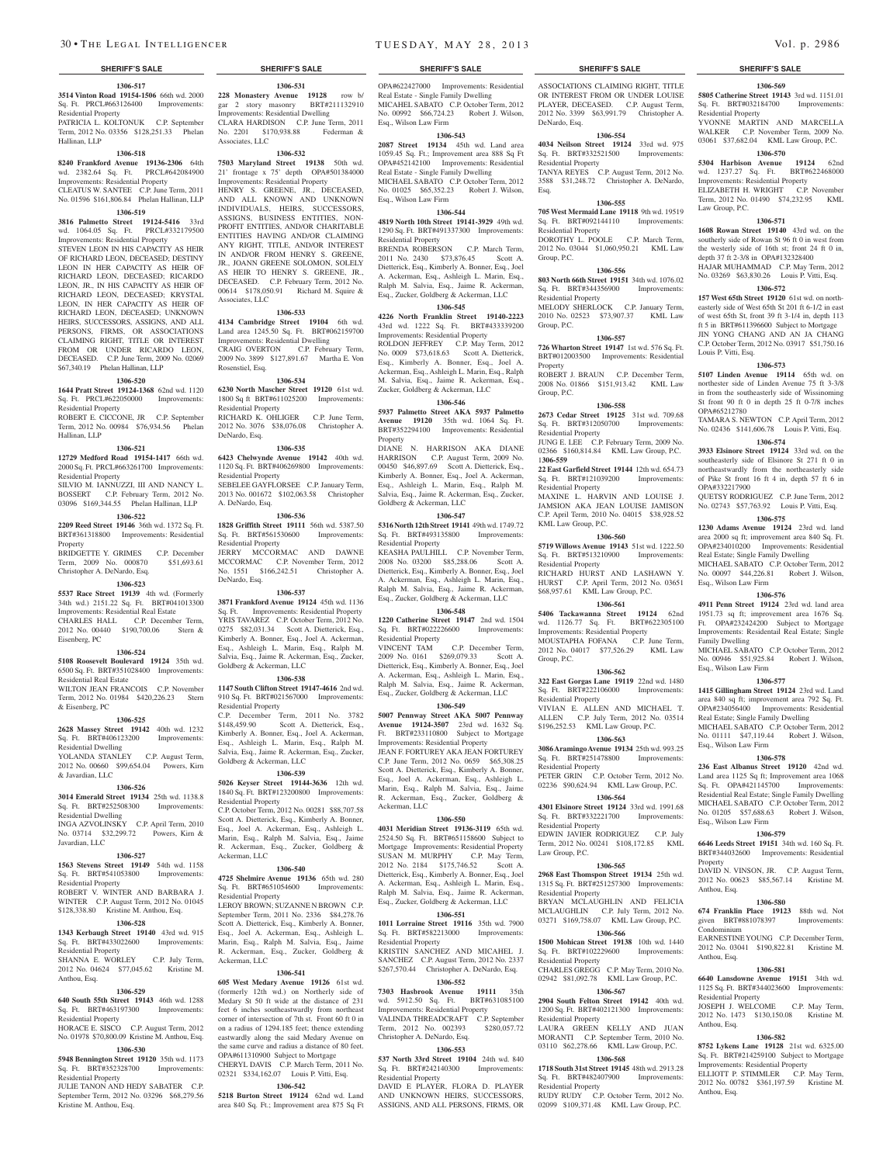## **1306-517** Sq. Ft. PRCL#663126400 Improvements:

Residential Property PATRICIA L. KOLTONUK C.P. September Term, 2012 No. 03356 \$128,251.33 Phelan Hallinan, LLP

#### **1306-518**

**8240 Frankford Avenue 19136-2306** 64th wd. 2382.64 Sq. Ft. PRCL#642084900 Improvements: Residential Property

#### CLEATUS W. SANTEE C.P. June Term, 2011 No. 01596 \$161,806.84 Phelan Hallinan, LLP

#### **1306-519**

**3816 Palmetto Street 19124-5416** 33rd wd. 1064.05 Sq. Ft. PRCL#332179500 Improvements: Residential Property

STEVEN LEON IN HIS CAPACITY AS HEIR OF RICHARD LEON, DECEASED; DESTINY LEON IN HER CAPACITY AS HEIR OF RICHARD LEON, DECEASED; RICARDO LEON, JR., IN HIS CAPACITY AS HEIR OF RICHARD LEON, DECEASED; KRYSTAL LEON, IN HER CAPACITY AS HEIR OF RICHARD LEON, DECEASED; UNKNOWN HEIRS, SUCCESSORS, ASSIGNS, AND ALL PERSONS, FIRMS, OR ASSOCIATIONS CLAIMING RIGHT, TITLE OR INTEREST FROM OR UNDER RICARDO LEON, DECEASED. C.P. June Term, 2009 No. 02069 \$67,340.19 Phelan Hallinan, LLP

#### **1306-520**

#### **1644 Pratt Street 19124-1368** 62nd wd. 1120 Sq. Ft. PRCL#622050000 Improvements:

Residential Property ROBERT E. CICCONE, JR C.P. September Term, 2012 No. 00984 \$76,934.56 Phelan

Hallinan, LLP

## **1306-521**

**12729 Medford Road 19154-1417** 66th wd. 2000 Sq. Ft. PRCL#663261700 Improvements: Residential Property

SILVIO M. IANNUZZI, III AND NANCY L. BOSSERT C.P. February Term, 2012 No. 03096 \$169,344.55 Phelan Hallinan, LLP

## **1306-522**

**2209 Reed Street 19146** 36th wd. 1372 Sq. Ft. BRT#361318800 Improvements: Residential Property

BRIDGETTE Y. GRIMES C.P. December Term, 2009 No. 000870 \$51,693.61 Christopher A. DeNardo, Esq.

### **1306-523**

**5537 Race Street 19139** 4th wd. (Formerly 34th wd.) 2151.22 Sq. Ft. BRT#041013300 Improvements: Residential Real Estate CHARLES HALL C.P. December Term, 2012 No. 00440 \$190,700.06 Stern & Eisenberg, PC

#### **1306-524**

**5108 Roosevelt Boulevard 19124** 35th wd. 6500 Sq. Ft. BRT#351028400 Improvements:

#### Residential Real Estate WILTON JEAN FRANCOIS C.P. November Term, 2012 No. 01984 \$420,226.23 Stern

& Eisenberg, PC **1306-525**

#### **2628 Massey Street 19142** 40th wd. 1232

Sq. Ft. BRT#406123200 Improvements: Residential Dwelling YOLANDA STANLEY C.P. August Term, 2012 No. 00660 \$99,654.04 Powers, Kirn

## & Javardian, LLC **1306-526**

**3014 Emerald Street 19134** 25th wd. 1138.8 Sq. Ft. BRT#252508300 Improvements: Residential Dwelling INGA AZVOLINSKY C.P. April Term, 2010 No. 03714 \$32,299.72 Powers, Kirn &

#### **1306-527**

Javardian, LLC

**1563 Stevens Street 19149** 54th wd. 1158 Sq. Ft. BRT#541053800 Improvements: Residential Property ROBERT V. WINTER AND BARBARA J. WINTER C.P. August Term, 2012 No. 01045 \$128,338.80 Kristine M. Anthou, Esq.

#### **1306-528**

**1343 Kerbaugh Street 19140** 43rd wd. 915 Sq. Ft. BRT#433022600 Improvements: Residential Property SHANNA E. WORLEY C.P. July Term,

#### 2012 No. 04624 \$77,045.62 Kristine M. Anthou, Esq. **1306-529**

### **640 South 55th Street 19143** 46th wd. 1288 Sq. Ft. BRT#463197300 Improvements:

Residential Property HORACE E. SISCO C.P. August Term, 2012 No. 01978 \$70,800.09 Kristine M. Anthou, Esq.

## **1306-530**

**5948 Bennington Street 19120** 35th wd. 1173 Sq. Ft. BRT#352328700 Improvements: Residential Property

JULIE TANON AND HEDY SABATER C.P. September Term, 2012 No. 03296 \$68,279.56 Kristine M. Anthou, Esq.

**3514 Vinton Road 19154-1506** 66th wd. 2000 **228 Monastery Avenue 19128** row b/ **1306-531** gar 2 story masonry BRT#211132910 Improvements: Residential Dwelling CLARA HARDISON C.P. June Term, 2011 No. 2201 \$170,938.88 Federman & Associates, LLC

#### **1306-532**

**7503 Maryland Street 19138** 50th wd. 21' frontage x 75' depth OPA#501384000 Improvements: Residential Property

HENRY S. GREENE, JR., DECEASED, AND ALL KNOWN AND UNKNOWN INDIVIDUALS, HEIRS, SUCCESSORS, ASSIGNS, BUSINESS ENTITIES, NON-PROFIT ENTITIES, AND/OR CHARITABLE ENTITIES HAVING AND/OR CLAIMING ANY RIGHT, TITLE, AND/OR INTEREST IN AND/OR FROM HENRY S. GREENE JR., JOANN GREENE SOLOMON, SOLELY AS HEIR TO HENRY S. GREENE, JR., DECEASED. C.P. February Term, 2012 No. 00614 \$178,050.91 Richard M. Squire & Associates, LLC

#### **1306-533**

**4134 Cambridge Street 19104** 6th wd. Land area 1245.50 Sq. Ft. BRT#062159700 Improvements: Residential Dwelling CRAIG OVERTON C.P. February Term, 2009 No. 3899 \$127,891.67 Martha E. Von Rosenstiel, Esq.

## **1306-534**

**6230 North Mascher Street 19120** 61st wd. 1800 Sq ft BRT#611025200 Improvements: Residential Property RICHARD K. OHLIGER C.P. June Term, 2012 No. 3076 \$38,076.08 Christopher A. DeNardo, Esq.

#### **1306-535**

**6423 Chelwynde Avenue 19142** 40th wd. 1120 Sq. Ft. BRT#406269800 Improvements: Residential Property SEBELEE GAYFLORSEE C.P. January Term, 2013 No. 001672 \$102,063.58 Christopher

#### A. DeNardo, Esq. **1306-536**

**1828 Griffith Street 19111** 56th wd. 5387.50 Sq. Ft. BRT#561530600 Improvements: Residential Property JERRY MCCORMAC AND DAWNE MCCORMAC C.P. November Term, 2012 No. 1551 \$166,242.51 Christopher A.

DeNardo, Esq. **1306-537 3871 Frankford Avenue 19124** 45th wd. 1136 Sq. Ft. Improvements: Residential Property YRIS TAVAREZ C.P. October Term, 2012 No.

0275 \$82,031.34 Scott A. Dietterick, Esq., Kimberly A. Bonner, Esq., Joel A. Ackerman, Esq., Ashleigh L. Marin, Esq., Ralph M. Salvia, Esq., Jaime R. Ackerman, Esq., Zucker, Goldberg & Ackerman, LLC

## **1306-538**

**1147 South Clifton Street 19147-4616** 2nd wd. 910 Sq. Ft. BRT#021567000 Improvements: Residential Property

C.P. December Term, 2011 No. 3782 \$148,459.90 Scott A. Dietterick, Esq., Kimberly A. Bonner, Esq., Joel A. Ackerman, Esq., Ashleigh L. Marin, Esq., Ralph M. Salvia, Esq., Jaime R. Ackerman, Esq., Zucker, Goldberg & Ackerman, LLC

#### **1306-539**

**5026 Keyser Street 19144-3636** 12th wd. 1840 Sq. Ft. BRT#123200800 Improvements: Residential Property C.P. October Term, 2012 No. 00281 \$88,707.58 Scott A. Dietterick, Esq., Kimberly A. Bonner,

Esq., Joel A. Ackerman, Esq., Ashleigh L. Marin, Esq., Ralph M. Salvia, Esq., Jaime R. Ackerman, Esq., Zucker, Goldberg & Ackerman, LLC **1306-540**

**4725 Shelmire Avenue 19136** 65th wd. 280 Sq. Ft. BRT#651054600 Improvements: Residential Property

LEROY BROWN; SUZANNE N BROWN C.P. September Term, 2011 No. 2336 \$84,278.76 Scott A. Dietterick, Esq., Kimberly A. Bonner, Esq., Joel A. Ackerman, Esq., Ashleigh L. Marin, Esq., Ralph M. Salvia, Esq., Jaime R. Ackerman, Esq., Zucker, Goldberg & Ackerman, LLC

#### **1306-541**

**605 West Medary Avenue 19126** 61st wd. (formerly 12th wd.) on Northerly side of Medary St 50 ft wide at the distance of 231 feet 6 inches southeastwardly from northeast corner of intersection of 7th st. Front 60 ft 0 in on a radius of 1294.185 feet; thence extending eastwardly along the said Medary Avenue on the same curve and radius a distance of 80 feet. OPA#611310900 Subject to Mortgage

CHERYL DAVIS C.P. March Term, 2011 No. 02321 \$334,162.07 Louis P. Vitti, Esq. **1306-542**

**5218 Burton Street 19124** 62nd wd. Land area 840 Sq. Ft.; Improvement area 875 Sq Ft

#### **SHERIFF'S SALE SHERIFF'S SALE SHERIFF'S SALE SHERIFF'S SALE SHERIFF'S SALE**

ASSOCIATIONS CLAIMING RIGHT, TITLE OR INTEREST FROM OR UNDER LOUIS PLAYER, DECEASED. C.P. August Term, 2012 No. 3399 \$63,991.79 Christopher A.

**1306-569 5805 Catherine Street 19143** 3rd wd. 1151.01 Sq. Ft. BRT#032184700 Improvements:

YVONNE MARTIN AND MARCELLA WALKER C.P. November Term, 2009 No. 03061 \$37,682.04 KML Law Group, P.C. **1306-570 5304 Harbison Avenue 19124** 62nd wd. 1237.27 Sq. Ft. BRT#622468000 Improvements: Residential Property ELIZABETH H. WRIGHT C.P. November Term, 2012 No. 01490 \$74,232.95 KML

**1306-571 1608 Rowan Street 19140** 43rd wd. on the southerly side of Rowan St 96 ft 0 in west from the westerly side of 16th st; front 24 ft 0 in, depth 37 ft 2-3/8 in OPA#132328400 HAJAR MUHAMMAD C.P. May Term, 2012 No. 03269 \$63,830.26 Louis P. Vitti, Esq. **1306-572 157 West 65th Street 19120** 61st wd. on northeasterly side of West 65th St 201 ft 6-1/2 in east of west 65th St, front 39 ft 3-1/4 in, depth 113 ft 5 in BRT#611396600 Subject to Mortgage JIN YONG CHANG AND AN JA CHANG C.P. October Term, 2012 No. 03917 \$51,750.16

**1306-573 5107 Linden Avenue 19114** 65th wd. on northester side of Linden Avenue 75 ft 3-3/8 in from the southeasterly side of Wissinoming St front 90 ft 0 in depth 25 ft 0-7/8 inches

TAMARA S. NEWTON C.P. April Term, 2012 No. 02436 \$141,606.78 Louis P. Vitti, Esq. **1306-574 3933 Elsinore Street 19124** 33rd wd. on the southeasterly side of Elsinore St 271 ft 0 in northeastwardly from the northeasterly side of Pike St front 16 ft 4 in, depth 57 ft 6 in

QUETSY RODRIGUEZ C.P. June Term, 2012 No. 02743 \$57,763.92 Louis P. Vitti, Esq. **1306-575 1230 Adams Avenue 19124** 23rd wd. land area 2000 sq ft; improvement area 840 Sq. Ft. OPA#234010200 Improvements: Residential Real Estate; Single Family Dwelling MICHAEL SABATO C.P. October Term, 2012 No. 00097 \$44,226.81 Robert J. Wilson,

**1306-576 4911 Penn Street 19124** 23rd wd. land area 1951.73 sq ft; improvement area 1676 Sq. Ft. OPA#232424200 Subject to Mortgage Improvements: Residentail Real Estate; Single

MICHAEL SABATO C.P. October Term, 2012 No. 00946 \$51,925.84 Robert J. Wilson,

**1306-577 1415 Gillingham Street 19124** 23rd wd. Land area 840 sq ft; improvement area 792 Sq. Ft. OPA#234056400 Improvements: Residential Real Estate; Single Family Dwelling MICHAEL SABATO C.P. October Term, 2012 No. 01111 \$47,119.44 Robert J. Wilson,

**1306-578 236 East Albanus Street 19120** 42nd wd. Land area 1125 Sq ft; Improvement area 1068 Sq. Ft. OPA#421145700 Improvements: Residential Real Estate; Single Family Dwelling MICHAEL SABATO C.P. October Term, 2012 No. 01205 \$57,688.63 Robert J. Wilson,

**1306-579 6646 Leeds Street 19151** 34th wd. 160 Sq. Ft. BRT#344032600 Improvements: Residential

DAVID N. VINSON, JR. C.P. August Term, 2012 No. 00623 \$85,567.14 Kristine M.

**1306-580 674 Franklin Place 19123** 88th wd. Not given BRT#881078397 Improvements:

EARNESTINEYOUNG C.P. December Term, 2012 No. 03041 \$190,822.81 Kristine M.

**1306-581 6640 Lansdowne Avenue 19151** 34th wd. 1125 Sq. Ft. BRT#344023600 Improvements:

JOSEPH J. WELCOME C.P. May Term, 2012 No. 1473 \$130,150.08 Kristine M.

**1306-582 8752 Lykens Lane 19128** 21st wd. 6325.00 S<sub>12</sub> Lykens Lane 13126 21st wd. 0323.00<br>Sq. Ft. BRT#214259100 Subject to Mortgage Improvements: Residential Property ELLIOTT P. STIMMLER C.P. May Term, 2012 No. 00782 \$361,197.59 Kristine M.

Residential Property

Law Group, P.C.

Louis P. Vitti, Esq.

OPA#65212780

OPA#332217900

Esq., Wilson Law Firm

Family Dwelling

Esq., Wilson Law Firm

Esq., Wilson Law Firm

Esq., Wilson Law Firm

Property

Anthou, Esq.

Condominium

Anthou, Esq.

Anthou, Esq.

Anthou, Esq.

Residential Property

**1306-554 4034 Neilson Street 19124** 33rd wd. 975 Sq. Ft. BRT#332521500 Improvements:

TANYA REYES C.P. August Term, 2012 No. 3588 \$31,248.72 Christopher A. DeNardo,

**1306-555 705 West Mermaid Lane 19118** 9th wd. 19519 Sq. Ft. BRT#092144110 Improvements:

DOROTHY L. POOLE C.P. March Term, 2012 No. 03044 \$1,060,950.21 KML Law

**1306-556 803 North 66th Street 19151** 34th wd. 1076.02 Sq. Ft. BRT#344356900 Improvements:

MELODY SHERLOCK C.P. January Term, 2010 No. 02523 \$73,907.37 KML Law

**1306-557 726 Wharton Street 19147** 1st wd. 576 Sq. Ft. BRT#012003500 Improvements: Residential

ROBERT J. BRAUN C.P. December Term, 2008 No. 01866 \$151,913.42 KML Law

**1306-558 2673 Cedar Street 19125** 31st wd. 709.68 Sq. Ft. BRT#312050700 Improvements:

JUNG E. LEE C.P. February Term, 2009 No. 02366 \$160,814.84 KML Law Group, P.C.

**22 East Garfield Street 19144** 12th wd. 654.73 Sq. Ft. BRT#121039200 Improvements:

MAXINE L. HARVIN AND LOUISE J. JAMSION AKA JEAN LOUISE JAMISON C.P. April Term, 2010 No. 04015 \$38,928.52

**1306-560 5719 Willows Avenue 19143** 51st wd. 1222.50 Sq. Ft. BRT#513210900 Improvements:

RICHARD HURST AND LASHAWN Y. HURST C.P. April Term, 2012 No. 03651 \$68,957.61 KML Law Group, P.C. **1306-561 5406 Tackawanna Street 19124** 62nd wd. 1126.77 Sq. Ft. BRT#622305100 Improvements: Residential Property MOUSTAPHA FOFANA C.P. June Term, 2012 No. 04017 \$77,526.29 KML Law

**1306-562 322 East Gorgas Lane 19119** 22nd wd. 1480 Sq. Ft. BRT#222106000 Improvements:

VIVIAN E. ALLEN AND MICHAEL T. ALLEN C.P. July Term, 2012 No. 03514 \$196,252.53 KML Law Group, P.C. **1306-563 3086 Aramingo Avenue 19134** 25th wd. 993.25 Sq. Ft. BRT#251478800 Improvements:

PETER GRIN C.P. October Term, 2012 No. 02236 \$90,624.94 KML Law Group, P.C. **1306-564 4301 Elsinore Street 19124** 33rd wd. 1991.68 Sq. Ft. BRT#332221700 Improvements:

EDWIN JAVIER RODRIGUEZ C.P. July Term, 2012 No. 00241 \$108,172.85 KML

**1306-565 2968 East Thomspon Street 19134** 25th wd. 1315 Sq. Ft. BRT#251257300 Improvements:

BRYAN MCLAUGHLIN AND FELICIA MCLAUGHLIN C.P. July Term, 2012 No. 03271 \$169,758.07 KML Law Group, P.C. **1306-566 1500 Mohican Street 19138** 10th wd. 1440 Sq. Ft. BRT#102229600 Improvements:

02942 \$81,092.78 KML Law Group, P.C. **1306-567 2904 South Felton Street 19142** 40th wd. 1200 Sq. Ft. BRT#402121300 Improvements:

LAURA GREEN KELLY AND JUAN MORANTI C.P. September Term, 2010 No. 03110 \$62,278.66 KML Law Group, P.C. **1306-568 1718 South 31st Street 19145** 48th wd. 2913.28 Sq. Ft. BRT#482407900 Improvements:

RUDY RUDY C.P. October Term, 2012 No. 02099 \$109,371.48 KML Law Group, P.C.

C.P. May Term, 2010

DeNardo, Esq.

Esq.

Residential Property

Residential Property

Residential Property

Group, P.C.

Group, P.C.

Property

Group, P.C.

1**306-559**

Residential Property

Residential Property

KML Law Group, P.C.

Residential Property

Group, P.C.

Residential Property

Residential Property

Residential Property

Residential Property

Residential Property<br>CHARLES GREGG

Residential Property

Residential Property

Law Group, P.C.

OPA#622427000 Improvements: Residential Real Estate - Single Family Dwelling MICAHEL SABATO C.P. October Term, 2012 No. 00992 \$66,724.23 Robert J. Wilson, Esq., Wilson Law Firm

## **1306-543**

**2087 Street 19134** 45th wd. Land area 1059.45 Sq. Ft.; Improvement area 888 Sq Ft OPA#452142100 Improvements: Residential Real Estate - Single Family Dwelling MICHAEL SABATO C.P. October Term, 2012 No. 01025 \$65,352.23 Robert J. Wilson, Esq., Wilson Law Firm

#### **1306-544**

**4819 North 10th Street 19141-3929** 49th wd. 1290 Sq. Ft. BRT#491337300 Improvements: Residential Property

BRENDA ROBERSON C.P. March Term, 2011 No. 2430 \$73,876.45 Scott A. Dietterick, Esq., Kimberly A. Bonner, Esq., Joel A. Ackerman, Esq., Ashleigh L. Marin, Esq., Ralph M. Salvia, Esq., Jaime R. Ackerman, Esq., Zucker, Goldberg & Ackerman, LLC

## **1306-545**

**4226 North Franklin Street 19140-2223**  43rd wd. 1222 Sq. Ft. BRT#433339200 Improvements: Residential Property ROLDON JEFFREY C.P. May Term, 2012 No. 0009 \$73,618.63 Scott A. Dietterick, Esq., Kimberly A. Bonner, Esq., Joel A. Ackerman, Esq., Ashleigh L. Marin, Esq., Ralph M. Salvia, Esq., Jaime R. Ackerman, Esq., Zucker, Goldberg & Ackerman, LLC

## **1306-546**

**5937 Palmetto Street AKA 5937 Palmetto Avenue 19120** 35th wd. 1064 Sq. Ft. BRT#352294100 Improvements: Residential Property

DIANE N. HARRISON AKA DIANE HARRISON C.P. August Term, 2009 No. 00450 \$46,897.69 Scott A. Dietterick, Esq., Kimberly A. Bonner, Esq., Joel A. Ackerman, Esq., Ashleigh L. Marin, Esq., Ralph M. Salvia, Esq., Jaime R. Ackerman, Esq., Zucker, Goldberg & Ackerman, LLC

#### **1306-547**

**5316 North 12th Street 19141** 49th wd. 1749.72 Sq. Ft. BRT#493135800 Improvements: Residential Property

KEASHA PAULHILL C.P. November Term, 2008 No. 03200 \$85,288.06 Scott A. Dietterick, Esq., Kimberly A. Bonner, Esq., Joel A. Ackerman, Esq., Ashleigh L. Marin, Esq., Ralph M. Salvia, Esq., Jaime R. Ackerman, Esq., Zucker, Goldberg & Ackerman, LLC

## **1306-548**

**1220 Catherine Street 19147** 2nd wd. 1504 Sq. Ft. BRT#022226600 Improvements: Residential Property<br>VINCENT TAM C.P. December Term,

2009 No. 0161 \$269,079.33 Scott A. Dietterick, Esq., Kimberly A. Bonner, Esq., Joel A. Ackerman, Esq., Ashleigh L. Marin, Esq., Ralph M. Salvia, Esq., Jaime R. Ackerman, Esq., Zucker, Goldberg & Ackerman, LLC

### **1306-549**

**5007 Pennway Street AKA 5007 Pennway Avenue 19124-3507** 23rd wd. 1632 Sq. Ft. BRT#233110800 Subject to Mortgage Improvements: Residential Property JEAN F. FORTUREY AKA JEAN FORTUREY C.P. June Term, 2012 No. 0659 \$65,308.25 Scott A. Dietterick, Esq., Kimberly A. Bonner, Esq., Joel A. Ackerman, Esq., Ashleigh L. Marin, Esq., Ralph M. Salvia, Esq., Jaime R. Ackerman, Esq., Zucker, Goldberg & Ackerman, LLC

#### **1306-550**

**4031 Meridian Street 19136-3119** 65th wd. 2524.50 Sq. Ft. BRT#651158600 Subject to Mortgage Improvements: Residential Property SUSAN M. MURPHY C.P. May Term, 2012 No. 2184 \$175,746.52 Scott A. Dietterick, Esq., Kimberly A. Bonner, Esq., Joel A. Ackerman, Esq., Ashleigh L. Marin, Esq., Ralph M. Salvia, Esq., Jaime R. Ackerman, Esq., Zucker, Goldberg & Ackerman, LLC

#### **1306-551**

**1011 Lorraine Street 19116** 35th wd. 7900 Sq. Ft. BRT#582213000 Improvements: Residential Property KRISTIN SANCHEZ AND MICAHEL J.

SANCHEZ C.P. August Term, 2012 No. 2337 \$267,570.44 Christopher A. DeNardo, Esq.

### **1306-552**

**7303 Hasbrook Avenue 19111** 35th wd. 5912.50 Sq. Ft. BRT#631085100 Improvements: Residential Property VALINDA THREADCRAFT C.P. September

Term, 2012 No. 002393 \$280,057.72 Christopher A. DeNardo, Esq.

## **1306-553**

DAVID E PLAYER, FLORA D. PLAYER AND UNKNOWN HEIRS, SUCCESSORS, ASSIGNS, AND ALL PERSONS, FIRMS, OR

**537 North 33rd Street 19104** 24th wd. 840 Sq. Ft. BRT#242140300 Improvements: Residential Property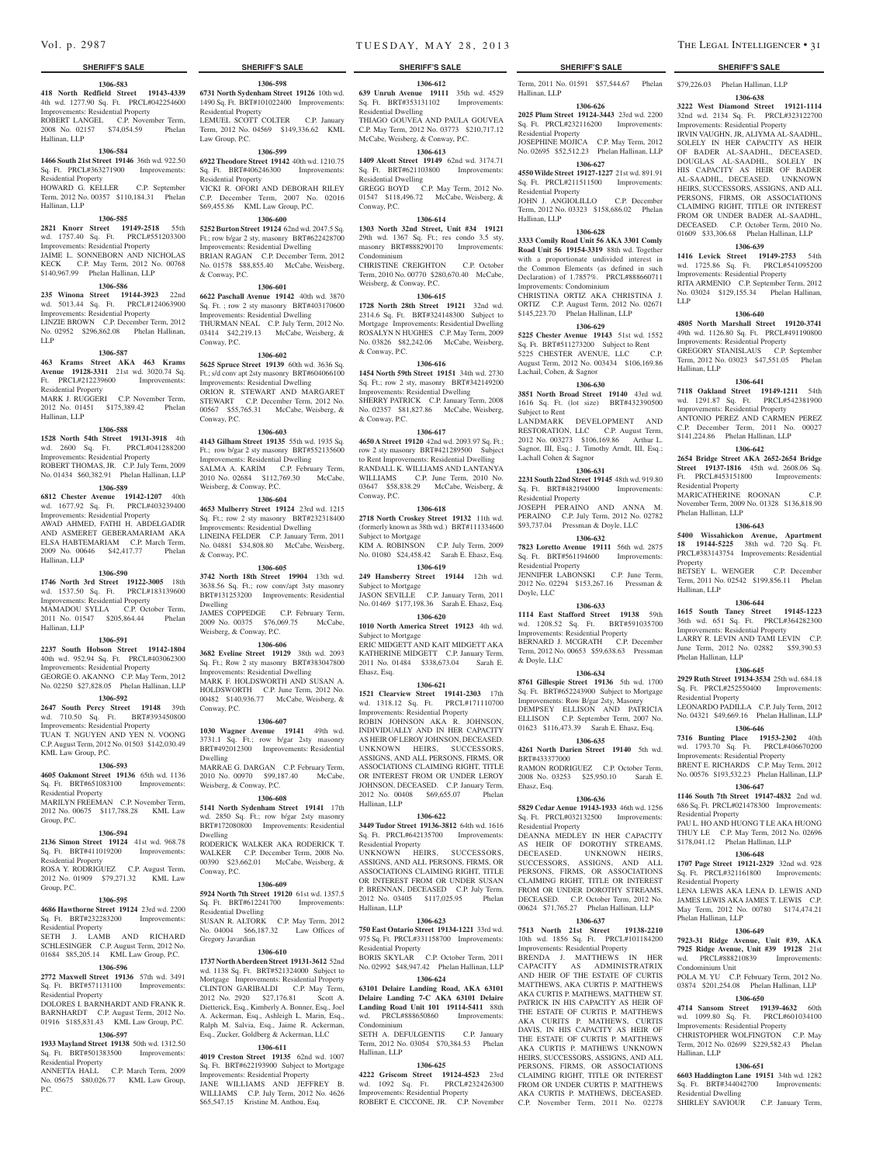Hallinan, LLP

#### **SHERIFF'S SALE SHERIFF'S SALE SHERIFF'S SALE SHERIFF'S SALE SHERIFF'S SALE**

### **1306-583**

**418 North Redfield Street 19143-4339**  4th wd. 1277.90 Sq. Ft. PRCL#042254600 Improvements: Residential Property ROBERT LANGEL C.P. November Term, 2008 No. 02157 \$74,054.59 Phelan

## **1306-584**

**1466 South 21st Street 19146** 36th wd. 922.50 Sq. Ft. PRCL#363271900 Improvements: Residential Property HOWARD G. KELLER C.P. September

### Term, 2012 No. 00357 \$110,184.31 Phelan Hallinan, LLP **1306-585**

**2821 Knorr Street 19149-2518** 55th wd. 1757.40 Sq. Ft. PRCL#551203300 Improvements: Residential Property JAIME L. SONNEBORN AND NICHOLAS KECK C.P. May Term, 2012 No. 00768

## \$140,967.99 Phelan Hallinan, LLP

### **1306-586**

**235 Winona Street 19144-3923** 22nd wd. 5013.44 Sq. Ft. PRCL#124063900 Improvements: Residential Property LINZIE BROWN C.P. December Term, 2012 No. 02952 \$296,862.08 Phelan Hallinan, LLP

#### **1306-587**

**463 Krams Street AKA 463 Krams Avenue 19128-3311** 21st wd. 3020.74 Sq. Ft. PRCL#212239600 Improvements: Residential Property MARK J. RUGGERI C.P. November Term,

### 2012 No. 01451 \$175,389.42 Phelan Hallinan, LLP

## **1306-588**

**1528 North 54th Street 19131-3918** 4th wd. 2600 Sq. Ft. PRCL#041288200 Improvements: Residential Property

ROBERT THOMAS, JR. C.P. July Term, 2009 No. 01434 \$60,382.91 Phelan Hallinan, LLP

## **1306-589**

**6812 Chester Avenue 19142-1207** 40th wd. 1677.92 Sq. Ft. PRCL#403239400 Improvements: Residential Property AWAD AHMED, FATHI H. ABDELGADIR

AND ASMERET GEBERAMARIAM AKA ELSA HABTEMARIAM C.P. March Term, 2009 No. 00646 \$42,417.77 Phelan Hallinan, LLP

#### **1306-590**

#### **1746 North 3rd Street 19122-3005** 18th wd. 1537.50 Sq. Ft. PRCL#183139600 Improvements: Residential Property

MAMADOU SYLLA C.P. October Term, 2011 No. 01547 \$205,864.44 Phelan Hallinan, LLP

#### **1306-591**

**2237 South Hobson Street 19142-1804**  40th wd. 952.94 Sq. Ft. PRCL#403062300 Improvements: Residential Property GEORGE O. AKANNO C.P. May Term, 2012 No. 02250 \$27,828.05 Phelan Hallinan, LLP

## **1306-592**

**2647 South Percy Street 19148** 39th wd. 710.50 Sq. Ft. BRT#393450800 Improvements: Residential Property TUAN T. NGUYEN AND YEN N. VOONG C.P. August Term, 2012 No. 01503 \$142,030.49 KML Law Group, P.C.

## **1306-593**

**4605 Oakmont Street 19136** 65th wd. 1136 Sq. Ft. BRT#651083100 Improvements: Residential Property

MARILYN FREEMAN C.P. November Term, 2012 No. 00675 \$117,788.28 KML Law Group, P.C.

#### **1306-594**

**2136 Simon Street 19124** 41st wd. 968.78 Sq. Ft. BRT#411019200 Improvements: Residential Property ROSA Y. RODRIGUEZ C.P. August Term,

## 2012 No. 01909 \$79,271.32 KML Law Group, P.C.

## **1306-595**

**4686 Hawthorne Street 19124** 23rd wd. 2200 Sq. Ft. BRT#232283200 Improvements: Residential Property

SETH J. LAMB AND RICHARD SCHLESINGER C.P. August Term, 2012 No. 01684 \$85,205.14 KML Law Group, P.C.

#### **1306-596**

**2772 Maxwell Street 19136** 57th wd. 3491 Sq. Ft. BRT#571131100 Improvements: Residential Property DOLORES I. BARNHARDT AND FRANK R.

#### BARNHARDT C.P. August Term, 2012 No. 01916 \$185,831.43 KML Law Group, P.C.

#### **1306-597**

**1933 Mayland Street 19138** 50th wd. 1312.50 Sq. Ft. BRT#501383500 Improvements: Residential Property

ANNETTA HALL C.P. March Term, 2009 No. 05675 \$80,026.77 KML Law Group, P.C.

**1306-598 6731 North Sydenham Street 19126** 10th wd. 1490 Sq. Ft. BRT#101022400 Improvements:

LEMUEL SCOTT COLTER C.P. January Term, 2012 No. 04569 \$149,336.62 KML

**1306-599 6922 Theodore Street 19142** 40th wd. 1210.75 Sq. Ft. BRT#406246300 Improvements:

VICKI R. OFORI AND DEBORAH RILEY C.P. December Term, 2007 No. 02016 \$69,455.86 KML Law Group, P.C. **1306-600 5252 Burton Street 19124** 62nd wd. 2047.5 Sq. Ft.; row b/gar 2 sty, masonry BRT#622428700 Improvements: Residential Dwelling BRIAN RAGAN C.P. December Term, 2012 No. 01578 \$88,855.40 McCabe, Weisberg,

**1306-601 6622 Paschall Avenue 19142** 40th wd. 3870 Sq. Ft. ; row 2 sty masonry BRT#403170600 Improvements: Residential Dwelling THURMAN NEAL C.P. July Term, 2012 No. 03414 \$42,219.13 McCabe, Weisberg, &

**1306-602 5625 Spruce Street 19139** 60th wd. 3636 Sq. Ft.; s/d conv apt 2sty masonry BRT#604066100 Improvements: Residential Dwelling ORION R. STEWART AND MARGARET STEWART C.P. December Term, 2012 No. 00567 \$55,765.31 McCabe, Weisberg, &

**1306-603 4143 Gilham Street 19135** 55th wd. 1935 Sq. Ft.; row b/gar 2 sty masonry BRT#552135600 Improvements: Residential Dwelling SALMA A. KARIM C.P. February Term, 2010 No. 02684 \$112,769.30 McCabe,

**1306-604 4653 Mulberry Street 19124** 23rd wd. 1215 Sq. Ft.; row 2 sty masonry BRT#232318400 Improvements: Residential Dwelling LINEINA FELDER C.P. January Term, 2011 No. 04881 \$34,808.80 McCabe, Weisberg,

**1306-605 3742 North 18th Street 19904** 13th wd. 3638.56 Sq. Ft.; row conv/apt 3sty masonry BRT#131253200 Improvements: Residential

JAMES COPPEDGE C.P. February Term, 2009 No. 00375 \$76,069.75 McCabe,

**1306-606 3682 Eveline Street 19129** 38th wd. 2093 Sq. Ft.; Row 2 sty masonry BRT#383047800 Improvements: Residential Dwelling MARK F. HOLDSWORTH AND SUSAN A. HOLDSWORTH C.P. June Term, 2012 No. 00482 \$140,936.77 McCabe, Weisberg, &

**1306-607 1030 Wagner Avenue 19141** 49th wd. 3731.1 Sq. Ft.; row b/gar 2sty masonry BRT#492012300 Improvements: Residential

MARRAE G. DARGAN C.P. February Term, 2010 No. 00970 \$99,187.40 McCabe,

**1306-608 5141 North Sydenham Street 19141** 17th wd. 2850 Sq. Ft.; row b/gar 2sty masonry BRT#172080800 Improvements: Residential

RODERICK WALKER AKA RODERICK T. WALKER C.P. December Term, 2008 No. 00390 \$23,662.01 McCabe, Weisberg, &

**1306-609 5924 North 7th Street 19120** 61st wd. 1357.5 Sq. Ft. BRT#612241700 Improvements:

SUSAN R. ALTORK C.P. May Term, 2012 No. 04004 \$66,187.32 Law Offices of

**1306-610 1737 North Aberdeen Street 19131-3612** 52nd wd. 1138 Sq. Ft. BRT#521324000 Subject to Mortgage Improvements: Residential Property CLINTON GARIBALDI C.P. May Term, 2012 No. 2920 \$27,176.81 Scott A. Dietterick, Esq., Kimberly A. Bonner, Esq., Joel A. Ackerman, Esq., Ashleigh L. Marin, Esq., Ralph M. Salvia, Esq., Jaime R. Ackerman, Esq., Zucker, Goldberg & Ackerman, LLC **1306-611 4019 Creston Street 19135** 62nd wd. 1007 Sq. Ft. BRT#622193900 Subject to Mortgage Improvements: Residential Property JANE WILLIAMS AND JEFFREY B. WILLIAMS C.P. July Term, 2012 No. 4626 \$65,547.15 Kristine M. Anthou, Esq.

Residential Property

Law Group, P.C.

Residential Property

& Conway, P.C.

Conway, P.C.

Conway, P.C.

Weisberg, & Conway, P.C.

Weisberg, & Conway, P.C.

Weisberg, & Conway, P.C.

& Conway, P.C.

Dwelling

Conway, P.C.

Dwelling

Dwelling

Conway, P.C.

Residential Dwelling

Gregory Javardian

**1306-612 639 Unruh Avenue 19111** 35th wd. 4529 Sq. Ft. BRT#353131102 Improvements: Residential Dwelling THIAGO GOUVEA AND PAULA GOUVE.

C.P. May Term, 2012 No. 03773 \$210,717.12 McCabe, Weisberg, & Conway, P.C. **1306-613**

**1409 Alcott Street 19149** 62nd wd. 3174.71 Sq. Ft. BRT#621103800 Improvements: Residential Dwelling GREGG BOYD C.P. May Term, 2012 No. 01547 \$118,496.72 McCabe, Weisberg, & Conway, P.C.

#### **1306-614**

**1303 North 32nd Street, Unit #34 19121**  29th wd. 1367 Sq. Ft.; res condo 3.5 sty, masonry BRT#888290170 Improvements: Condominium CHRISTINE CREIGHTON C.P. October

Term, 2010 No. 00770 \$280,670.40 McCabe, Weisberg, & Conway, P.C. **1306-615**

## **1728 North 28th Street 19121** 32nd wd.

2314.6 Sq. Ft. BRT#324148300 Subject to Mortgage Improvements: Residential Dwelling ROSALYN N HUGHES C.P. May Term, 2009 No. 03826 \$82,242.06 McCabe, Weisberg, & Conway, P.C.

#### **1306-616**

**1454 North 59th Street 19151** 34th wd. 2730 Sq. Ft.; row 2 sty, masonry BRT#342149200 Improvements: Residential Dwelling SHERRY PATRICK C.P. January Term, 2008 No. 02357 \$81,827.86 McCabe, Weisberg, & Conway, P.C.

#### **1306-617**

**4650 A Street 19120** 42nd wd. 2093.97 Sq. Ft.; row 2 sty masonry BRT#421289500 Subject to Rent Improvements: Residential Dwelling RANDALL K. WILLIAMS AND LANTANYA WILLIAMS C.P. June Term, 2010 No. 03647 \$58,838.29 McCabe, Weisberg, & Conway, P.C.

#### **1306-618**

**2718 North Croskey Street 19132** 11th wd. (formerly known as 38th wd.) BRT#111334600 Subject to Mortgage KIM A. ROBINSON C.P. July Term, 2009 No. 01080 \$24,458.42 Sarah E. Ehasz, Esq.

**1306-619 249 Hansberry Street 19144** 12th wd.

Subject to Mortgage JASON SEVILLE C.P. January Term, 2011 No. 01469 \$177,198.36 Sarah E. Ehasz, Esq.

**1306-620 1010 North America Street 19123** 4th wd. Subject to Mortgage

ERIC MIDGETT AND KAIT MIDGETT AKA KATHERINE MIDGETT C.P. January Term, 2011 No. 01484 \$338,673.04 Sarah E. Ehasz, Esq.

### **1306-621**

**1521 Clearview Street 19141-2303** 17th wd. 1318.12 Sq. Ft. PRCL#171110700 Improvements: Residential Property ROBIN JOHNSON AKA R. JOHNSON, INDIVIDUALLY AND IN HER CAPACITY AS HEIR OF LEROY JOHNSON, DECEASED. UNKNOWN HEIRS, SUCCESSORS, ASSIGNS, AND ALL PERSONS, FIRMS, OR ASSOCIATIONS CLAIMING RIGHT, TITLE OR INTEREST FROM OR UNDER LEROY JOHNSON, DECEASED. C.P. January Term, 2012 No. 00408 \$69,655.07 Phelan

## **1306-622**

Hallinan, LLP

**3449 Tudor Street 19136-3812** 64th wd. 1616 Sq. Ft. PRCL#642135700 Improvements: Residential Property UNKNOWN HEIRS, SUCCESSORS, ASSIGNS, AND ALL PERSONS, FIRMS, OR ASSOCIATIONS CLAIMING RIGHT, TITLE

OR INTEREST FROM OR UNDER SUSAN P. BRENNAN, DECEASED C.P. July Term, 2012 No. 03405 \$117,025.95 Phelan Hallinan, LLP

## **1306-623**

**750 East Ontario Street 19134-1221** 33rd wd. 975 Sq. Ft. PRCL#331158700 Improvements: Residential Property BORIS SKYLAR C.P. October Term, 2011 No. 02992 \$48,947.42 Phelan Hallinan, LLP

#### **1306-624 63101 Delaire Landing Road, AKA 63101 Delaire Landing 7-C AKA 63101 Delaire Landing Road Unit 101 19114-5411** 88th wd. PRCL#888650860 Improvements:

Condominium SETH A. DEFULGENTIS C.P. January Term, 2012 No. 03054 \$70,384.53 Phelan Hallinan, LLP

## **1306-625**

**4222 Griscom Street 19124-4523** 23rd wd. 1092 Sq. Ft. PRCL#232426300 Improvements: Residential Property ROBERT E. CICCONE, JR. C.P. November

Term, 2011 No. 01591 \$57,544.67 Phelan Hallinan, LLP

\$79,226.03 Phelan Hallinan, LLP **1306-638 3222 West Diamond Street 19121-1114**  32nd wd. 2134 Sq. Ft. PRCL#323122700 Improvements: Residential Property IRVIN VAUGHN, JR, ALIYMA AL-SAADHL, SOLELY IN HER CAPACITY AS HEIR OF BADER AL-SAADHL, DECEASED, DOUGLAS AL-SAADHL, SOLELY IN HIS CAPACITY AS HEIR OF BADER AL-SAADHL, DECEASED. UNKNOWN HEIRS, SUCCESSORS, ASSIGNS, AND ALL PERSONS, FIRMS, OR ASSOCIATIONS CLAIMING RIGHT, TITLE OR INTEREST FROM OR UNDER BADER AL-SAADHL, DECEASED. C.P. October Term, 2010 No. 01609 \$33,306.68 Phelan Hallinan, LLP **1306-639 1416 Levick Street 19149-2753** 54th wd. 1725.86 Sq. Ft. PRCL#541095200 Improvements: Residential Property RITA ARMENIO C.P. September Term, 2012 No. 03024 \$129,155.34 Phelan Hallinan,

**1306-640 4805 North Marshall Street 19120-3741**  49th wd. 1126.80 Sq. Ft. PRCL#491190800 Improvements: Residential Property GREGORY STANISLAUS C.P. September Term, 2012 No. 03023 \$47,551.05 Phelan

**1306-641 7118 Oakland Street 19149-1211** 54th wd. 1291.87 Sq. Ft. PRCL#542381900 Improvements: Residential Property ANTONIO PEREZ AND CARMEN PEREZ C.P. December Term, 2011 No. 00027 \$141,224.86 Phelan Hallinan, LLP **1306-642 2654 Bridge Street AKA 2652-2654 Bridge Street 19137-1816** 45th wd. 2608.06 Sq. Ft. PRCL#453151800 Improvements:

LLP

Hallinan, LLP

Residential Property

Phelan Hallinan, LLP

Property

Hallinan, LLP

Phelan Hallinan, LLP

Residential Property

Residential Property

Residential Property

Phelan Hallinan, LLP

Condominium Unit

Hallinan, LLP

Residential Dwelling

MARICATHERINE ROONAN November Term, 2009 No. 01328 \$136,818.90

**1306-643 5400 Wissahickon Avenue, Apartment 18 19144-5225** 38th wd. 720 Sq. Ft. PRCL#383143754 Improvements: Residential

BETSEY L. WENGER C.P. December Term, 2011 No. 02542 \$199,856.11 Phelan

**1306-644 1615 South Taney Street 19145-1223**  36th wd. 651 Sq. Ft. PRCL#364282300 Improvements: Residential Property LARRY R. LEVIN AND TAMI LEVIN C.P. June Term, 2012 No. 02882 \$59,390.53

**1306-645 2929 Ruth Street 19134-3534** 25th wd. 684.18 Sq. Ft. PRCL#252550400 Improvements:

LEONARDO PADILLA C.P. July Term, 2012 No. 04321 \$49,669.16 Phelan Hallinan, LLP **1306-646 7316 Bunting Place 19153-2302** 40th wd. 1793.70 Sq. Ft. PRCL#406670200 Improvements: Residential Property BRENT E. RICHARDS C.P. May Term, 2012 No. 00576 \$193,532.23 Phelan Hallinan, LLP **1306-647 1146 South 7th Street 19147-4832** 2nd wd. 686 Sq. Ft. PRCL#021478300 Improvements:

PAU L. HO AND HUONG T LE AKA HUONG THUY LE C.P. May Term, 2012 No. 02696 \$178,041.12 Phelan Hallinan, LLP **1306-648 1707 Page Street 19121-2329** 32nd wd. 928 Sq. Ft. PRCL#321161800 Improvements:

LENA LEWIS AKA LENA D. LEWIS AND JAMES LEWIS AKA JAMES T. LEWIS C.P. May Term, 2012 No. 00780 \$174,474.21

**1306-649 7923-31 Ridge Avenue, Unit #39, AKA 7925 Ridge Avenue, Unit #39 19128** 21st wd. PRCL#888210839 Improvements:

POLA M. YU C.P. February Term, 2012 No. 03874 \$201,254.08 Phelan Hallinan, LLP **1306-650 4714 Sansom Street 19139-4632** 60th wd. 1099.80 Sq. Ft. PRCL#601034100 Improvements: Residential Property CHRISTOPHER WOLFINGTON C.P. May Term, 2012 No. 02699 \$229,582.43 Phelan

**1306-651 6603 Haddington Lane 19151** 34th wd. 1282 Sq. Ft. BRT#344042700 Improvements:

SHIRLEY SAVIOUR C.P. January Term,

### **1306-626**

**2025 Plum Street 19124-3443** 23rd wd. 2200 Sq. Ft. PRCL#232116200 Improvements: Residential Property JOSEPHINE MOJICA C.P. May Term, 2012 No. 02695 \$52,512.23 Phelan Hallinan, LLP

**1306-627 4550 Wilde Street 19127-1227** 21st wd. 891.91

Sq. Ft. PRCL#211511500 Improvements: Residential Property JOHN J. ANGIOLILLO C.P. December Term, 2012 No. 03323 \$158,686.02 Phelan Hallinan, LLP

#### **1306-628**

**3333 Comily Road Unit 56 AKA 3301 Comly Road Unit 56 19154-3319** 88th wd. Together with a proportionate undivided interest in the Common Elements (as defined in such Declaration) of 1.7857%. PRCL#888660711 Improvements: Condominium CHRISTINA ORTIZ AKA CHRISTINA J. ORTIZ C.P. August Term, 2012 No. 02671 \$145,223.70 Phelan Hallinan, LLP

### **1306-629**

**5225 Chester Avenue 19143** 51st wd. 1552 Sq. Ft. BRT#511273200 Subject to Rent 5225 CHESTER AVENUE, LLC C.P. August Term, 2012 No. 003434 \$106,169.86 Lachail, Cohen, & Sagnor

## **1306-630**

**3851 North Broad Street 19140** 43rd wd. 1616 Sq. Ft. (lot size) BRT#432390500 Subject to Rent LANDMARK DEVELOPMENT AND RESTORATION, LLC C.P. August Term, 2012 No. 003273 \$106,169.86 Arthur L. Sagnor, III, Esq.; J. Timothy Arndt, III, Esq.; Lachall Cohen & Sagnor

### **1306-631**

**2231 South 22nd Street 19145** 48th wd. 919.80 Sq. Ft. BRT#482194000 Improvements: Residential Property JOSEPH PERAINO AND ANNA M. PERAINO C.P. July Term, 2012 No. 02782 \$93,737.04 Pressman & Doyle, LLC

#### **1306-632**

**7823 Loretto Avenue 19111** 56th wd. 2875 Sq. Ft. BRT#561194600 Improvements: Residential Property JENNIFER LABONSKI C.P. June Term, 2012 No. 02294 \$153,267.16 Pressman & Doyle, LLC

#### **1306-633**

**1114 East Stafford Street 19138** 59th wd. 1208.52 Sq. Ft. Improvements: Residential Property BERNARD J. MCGRATH C.P. December Term, 2012 No. 00653 \$59,638.63 Pressman & Doyle, LLC

#### **1306-634**

**8761 Gillespie Street 19136** 5th wd. 1700 Sq. Ft. BRT#652243900 Subject to Mortgage Improvements: Row B/gar 2sty, Masonry DEMPSEY ELLISON AND PATRICIA ELLISON C.P. September Term, 2007 No. 01623 \$116,473.39 Sarah E. Ehasz, Esq. **1306-635**

**4261 North Darien Street 19140** 5th wd. BRT#433377000 RAMON RODRIGUEZ C.P. October Term, 2008 No. 03253 \$25,950.10 Sarah E. Ehasz, Esq.

#### **1306-636 5829 Cedar Aenue 19143-1933** 46th wd. 1256

Sq. Ft. PRCL#032132500 Improvements: Residential Property DEANNA MEDLEY IN HER CAPACIT AS HEIR OF DOROTHY STREAMS,<br>DECEASED. UNKNOWN HEIRS, UNKNOWN HEIRS, SUCCESSORS, ASSIGNS, AND ALL PERSONS, FIRMS, OR ASSOCIATIONS CLAIMING RIGHT, TITLE OR INTERE FROM OR UNDER DOROTHY STREAMS, DECEASED. C.P. October Term, 2012 No. 00624 \$71,765.27 Phelan Hallinan, LLP

### **1306-637**

**7513 North 21st Street 19138-2210**  10th wd. 1856 Sq. Ft. PRCL#101184200 Improvements: Residential Property BRENDA J. MATTHEWS IN HER CAPACITY AS ADMINISTRATRIX AND HEIR OF THE ESTATE OF CURTIS MATTHEWS, AKA CURTIS P. MATTHEWS AKA CURTIS P. MATHEWS, MATTHEW ST. PATRICK IN HIS CAPACITY AS HEIR OF THE ESTATE OF CURTIS P. MATTHEWS AKA CURITS P. MATHEWS, CURTIS DAVIS, IN HIS CAPACITY AS HEIR OF THE ESTATE OF CURTIS P. MATTHEWS AKA CURTIS P. MATHEWS UNKNOWN HEIRS, SUCCESSORS, ASSIGNS, AND ALL PERSONS, FIRMS, OR ASSOCIATIONS CLAIMING RIGHT, TITLE OR INTEREST FROM OR UNDER CURTIS P. MATTHEWS AKA CURTIS P. MATHEWS, DECEASED. C.P. November Term, 2011 No. 02278